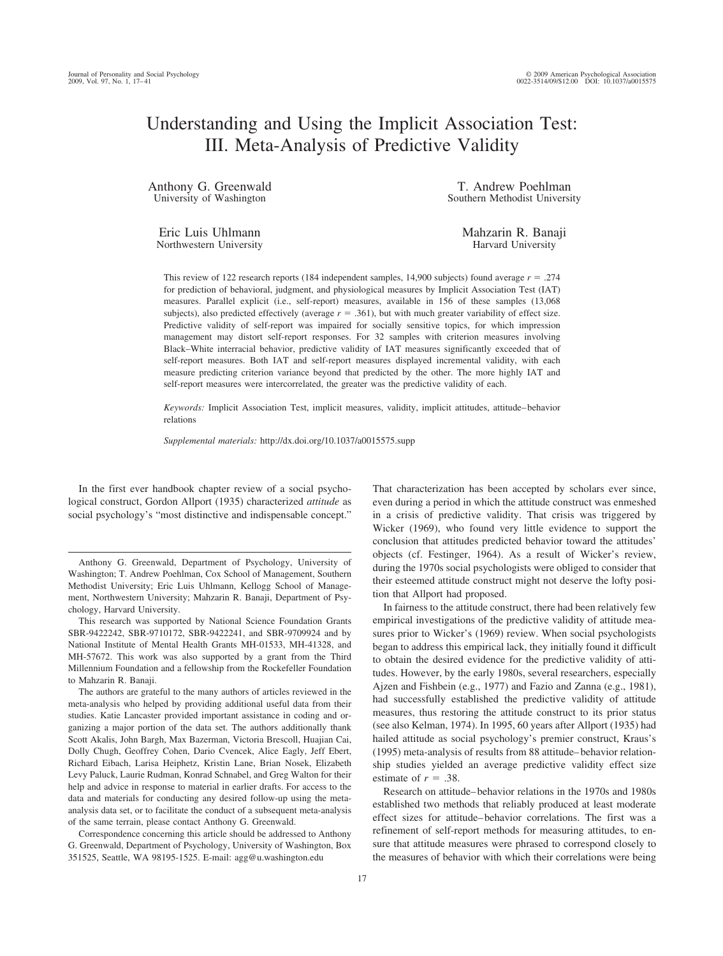# Understanding and Using the Implicit Association Test: III. Meta-Analysis of Predictive Validity

Anthony G. Greenwald University of Washington

T. Andrew Poehlman Southern Methodist University

Eric Luis Uhlmann Northwestern University Mahzarin R. Banaji Harvard University

This review of 122 research reports (184 independent samples, 14,900 subjects) found average  $r = .274$ for prediction of behavioral, judgment, and physiological measures by Implicit Association Test (IAT) measures. Parallel explicit (i.e., self-report) measures, available in 156 of these samples (13,068 subjects), also predicted effectively (average  $r = .361$ ), but with much greater variability of effect size. Predictive validity of self-report was impaired for socially sensitive topics, for which impression management may distort self-report responses. For 32 samples with criterion measures involving Black–White interracial behavior, predictive validity of IAT measures significantly exceeded that of self-report measures. Both IAT and self-report measures displayed incremental validity, with each measure predicting criterion variance beyond that predicted by the other. The more highly IAT and self-report measures were intercorrelated, the greater was the predictive validity of each.

*Keywords:* Implicit Association Test, implicit measures, validity, implicit attitudes, attitude– behavior relations

*Supplemental materials:* http://dx.doi.org/10.1037/a0015575.supp

In the first ever handbook chapter review of a social psychological construct, Gordon Allport (1935) characterized *attitude* as social psychology's "most distinctive and indispensable concept." That characterization has been accepted by scholars ever since, even during a period in which the attitude construct was enmeshed in a crisis of predictive validity. That crisis was triggered by Wicker (1969), who found very little evidence to support the conclusion that attitudes predicted behavior toward the attitudes' objects (cf. Festinger, 1964). As a result of Wicker's review, during the 1970s social psychologists were obliged to consider that their esteemed attitude construct might not deserve the lofty position that Allport had proposed.

In fairness to the attitude construct, there had been relatively few empirical investigations of the predictive validity of attitude measures prior to Wicker's (1969) review. When social psychologists began to address this empirical lack, they initially found it difficult to obtain the desired evidence for the predictive validity of attitudes. However, by the early 1980s, several researchers, especially Ajzen and Fishbein (e.g., 1977) and Fazio and Zanna (e.g., 1981), had successfully established the predictive validity of attitude measures, thus restoring the attitude construct to its prior status (see also Kelman, 1974). In 1995, 60 years after Allport (1935) had hailed attitude as social psychology's premier construct, Kraus's (1995) meta-analysis of results from 88 attitude– behavior relationship studies yielded an average predictive validity effect size estimate of  $r = .38$ .

Research on attitude– behavior relations in the 1970s and 1980s established two methods that reliably produced at least moderate effect sizes for attitude– behavior correlations. The first was a refinement of self-report methods for measuring attitudes, to ensure that attitude measures were phrased to correspond closely to the measures of behavior with which their correlations were being

Anthony G. Greenwald, Department of Psychology, University of Washington; T. Andrew Poehlman, Cox School of Management, Southern Methodist University; Eric Luis Uhlmann, Kellogg School of Management, Northwestern University; Mahzarin R. Banaji, Department of Psychology, Harvard University.

This research was supported by National Science Foundation Grants SBR-9422242, SBR-9710172, SBR-9422241, and SBR-9709924 and by National Institute of Mental Health Grants MH-01533, MH-41328, and MH-57672. This work was also supported by a grant from the Third Millennium Foundation and a fellowship from the Rockefeller Foundation to Mahzarin R. Banaji.

The authors are grateful to the many authors of articles reviewed in the meta-analysis who helped by providing additional useful data from their studies. Katie Lancaster provided important assistance in coding and organizing a major portion of the data set. The authors additionally thank Scott Akalis, John Bargh, Max Bazerman, Victoria Brescoll, Huajian Cai, Dolly Chugh, Geoffrey Cohen, Dario Cvencek, Alice Eagly, Jeff Ebert, Richard Eibach, Larisa Heiphetz, Kristin Lane, Brian Nosek, Elizabeth Levy Paluck, Laurie Rudman, Konrad Schnabel, and Greg Walton for their help and advice in response to material in earlier drafts. For access to the data and materials for conducting any desired follow-up using the metaanalysis data set, or to facilitate the conduct of a subsequent meta-analysis of the same terrain, please contact Anthony G. Greenwald.

Correspondence concerning this article should be addressed to Anthony G. Greenwald, Department of Psychology, University of Washington, Box 351525, Seattle, WA 98195-1525. E-mail: agg@u.washington.edu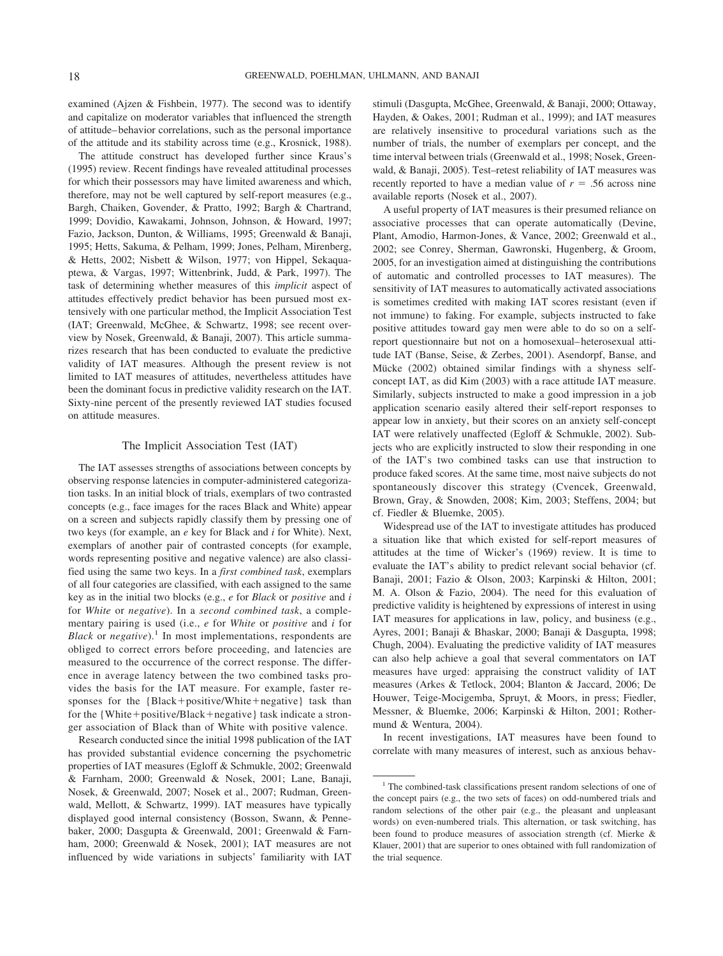examined (Ajzen & Fishbein, 1977). The second was to identify and capitalize on moderator variables that influenced the strength of attitude– behavior correlations, such as the personal importance of the attitude and its stability across time (e.g., Krosnick, 1988).

The attitude construct has developed further since Kraus's (1995) review. Recent findings have revealed attitudinal processes for which their possessors may have limited awareness and which, therefore, may not be well captured by self-report measures (e.g., Bargh, Chaiken, Govender, & Pratto, 1992; Bargh & Chartrand, 1999; Dovidio, Kawakami, Johnson, Johnson, & Howard, 1997; Fazio, Jackson, Dunton, & Williams, 1995; Greenwald & Banaji, 1995; Hetts, Sakuma, & Pelham, 1999; Jones, Pelham, Mirenberg, & Hetts, 2002; Nisbett & Wilson, 1977; von Hippel, Sekaquaptewa, & Vargas, 1997; Wittenbrink, Judd, & Park, 1997). The task of determining whether measures of this *implicit* aspect of attitudes effectively predict behavior has been pursued most extensively with one particular method, the Implicit Association Test (IAT; Greenwald, McGhee, & Schwartz, 1998; see recent overview by Nosek, Greenwald, & Banaji, 2007). This article summarizes research that has been conducted to evaluate the predictive validity of IAT measures. Although the present review is not limited to IAT measures of attitudes, nevertheless attitudes have been the dominant focus in predictive validity research on the IAT. Sixty-nine percent of the presently reviewed IAT studies focused on attitude measures.

#### The Implicit Association Test (IAT)

The IAT assesses strengths of associations between concepts by observing response latencies in computer-administered categorization tasks. In an initial block of trials, exemplars of two contrasted concepts (e.g., face images for the races Black and White) appear on a screen and subjects rapidly classify them by pressing one of two keys (for example, an *e* key for Black and *i* for White). Next, exemplars of another pair of contrasted concepts (for example, words representing positive and negative valence) are also classified using the same two keys. In a *first combined task*, exemplars of all four categories are classified, with each assigned to the same key as in the initial two blocks (e.g., *e* for *Black* or *positive* and *i* for *White* or *negative*). In a *second combined task*, a complementary pairing is used (i.e., *e* for *White* or *positive* and *i* for *Black* or *negative*).<sup>1</sup> In most implementations, respondents are obliged to correct errors before proceeding, and latencies are measured to the occurrence of the correct response. The difference in average latency between the two combined tasks provides the basis for the IAT measure. For example, faster responses for the {Black+positive/White+negative} task than for the {White-positive/Black-negative} task indicate a stronger association of Black than of White with positive valence.

Research conducted since the initial 1998 publication of the IAT has provided substantial evidence concerning the psychometric properties of IAT measures (Egloff & Schmukle, 2002; Greenwald & Farnham, 2000; Greenwald & Nosek, 2001; Lane, Banaji, Nosek, & Greenwald, 2007; Nosek et al., 2007; Rudman, Greenwald, Mellott, & Schwartz, 1999). IAT measures have typically displayed good internal consistency (Bosson, Swann, & Pennebaker, 2000; Dasgupta & Greenwald, 2001; Greenwald & Farnham, 2000; Greenwald & Nosek, 2001); IAT measures are not influenced by wide variations in subjects' familiarity with IAT

stimuli (Dasgupta, McGhee, Greenwald, & Banaji, 2000; Ottaway, Hayden, & Oakes, 2001; Rudman et al., 1999); and IAT measures are relatively insensitive to procedural variations such as the number of trials, the number of exemplars per concept, and the time interval between trials (Greenwald et al., 1998; Nosek, Greenwald, & Banaji, 2005). Test–retest reliability of IAT measures was recently reported to have a median value of  $r = .56$  across nine available reports (Nosek et al., 2007).

A useful property of IAT measures is their presumed reliance on associative processes that can operate automatically (Devine, Plant, Amodio, Harmon-Jones, & Vance, 2002; Greenwald et al., 2002; see Conrey, Sherman, Gawronski, Hugenberg, & Groom, 2005, for an investigation aimed at distinguishing the contributions of automatic and controlled processes to IAT measures). The sensitivity of IAT measures to automatically activated associations is sometimes credited with making IAT scores resistant (even if not immune) to faking. For example, subjects instructed to fake positive attitudes toward gay men were able to do so on a selfreport questionnaire but not on a homosexual– heterosexual attitude IAT (Banse, Seise, & Zerbes, 2001). Asendorpf, Banse, and Mücke (2002) obtained similar findings with a shyness selfconcept IAT, as did Kim (2003) with a race attitude IAT measure. Similarly, subjects instructed to make a good impression in a job application scenario easily altered their self-report responses to appear low in anxiety, but their scores on an anxiety self-concept IAT were relatively unaffected (Egloff & Schmukle, 2002). Subjects who are explicitly instructed to slow their responding in one of the IAT's two combined tasks can use that instruction to produce faked scores. At the same time, most naive subjects do not spontaneously discover this strategy (Cvencek, Greenwald, Brown, Gray, & Snowden, 2008; Kim, 2003; Steffens, 2004; but cf. Fiedler & Bluemke, 2005).

Widespread use of the IAT to investigate attitudes has produced a situation like that which existed for self-report measures of attitudes at the time of Wicker's (1969) review. It is time to evaluate the IAT's ability to predict relevant social behavior (cf. Banaji, 2001; Fazio & Olson, 2003; Karpinski & Hilton, 2001; M. A. Olson & Fazio, 2004). The need for this evaluation of predictive validity is heightened by expressions of interest in using IAT measures for applications in law, policy, and business (e.g., Ayres, 2001; Banaji & Bhaskar, 2000; Banaji & Dasgupta, 1998; Chugh, 2004). Evaluating the predictive validity of IAT measures can also help achieve a goal that several commentators on IAT measures have urged: appraising the construct validity of IAT measures (Arkes & Tetlock, 2004; Blanton & Jaccard, 2006; De Houwer, Teige-Mocigemba, Spruyt, & Moors, in press; Fiedler, Messner, & Bluemke, 2006; Karpinski & Hilton, 2001; Rothermund & Wentura, 2004).

In recent investigations, IAT measures have been found to correlate with many measures of interest, such as anxious behav-

<sup>&</sup>lt;sup>1</sup> The combined-task classifications present random selections of one of the concept pairs (e.g., the two sets of faces) on odd-numbered trials and random selections of the other pair (e.g., the pleasant and unpleasant words) on even-numbered trials. This alternation, or task switching, has been found to produce measures of association strength (cf. Mierke & Klauer, 2001) that are superior to ones obtained with full randomization of the trial sequence.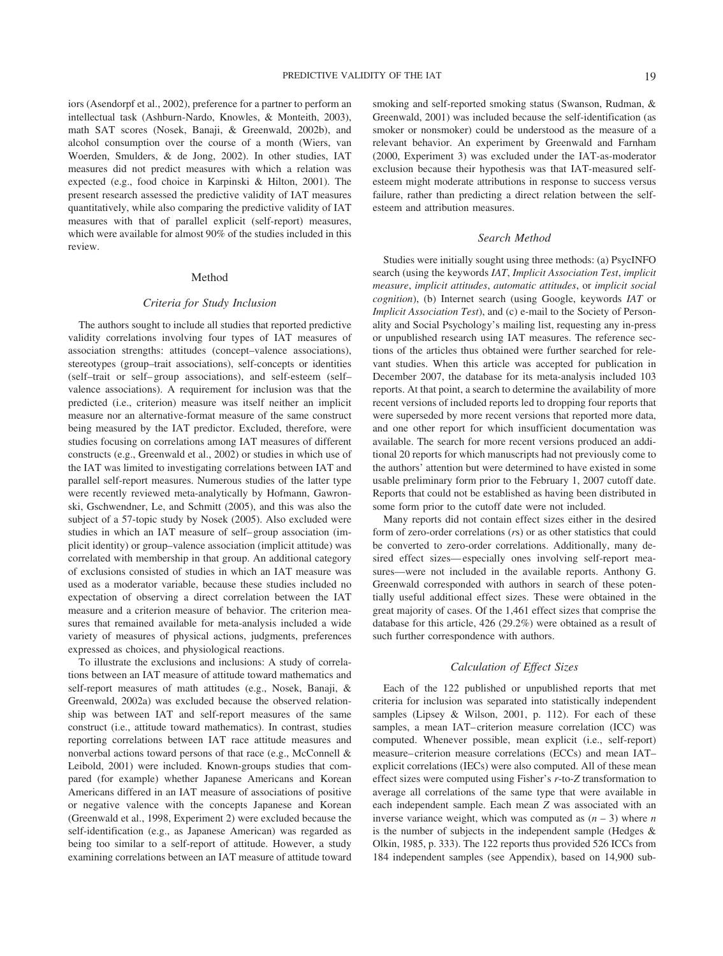iors (Asendorpf et al., 2002), preference for a partner to perform an intellectual task (Ashburn-Nardo, Knowles, & Monteith, 2003), math SAT scores (Nosek, Banaji, & Greenwald, 2002b), and alcohol consumption over the course of a month (Wiers, van Woerden, Smulders, & de Jong, 2002). In other studies, IAT measures did not predict measures with which a relation was expected (e.g., food choice in Karpinski & Hilton, 2001). The present research assessed the predictive validity of IAT measures quantitatively, while also comparing the predictive validity of IAT measures with that of parallel explicit (self-report) measures, which were available for almost 90% of the studies included in this review.

#### Method

#### *Criteria for Study Inclusion*

The authors sought to include all studies that reported predictive validity correlations involving four types of IAT measures of association strengths: attitudes (concept–valence associations), stereotypes (group–trait associations), self-concepts or identities (self–trait or self– group associations), and self-esteem (self– valence associations). A requirement for inclusion was that the predicted (i.e., criterion) measure was itself neither an implicit measure nor an alternative-format measure of the same construct being measured by the IAT predictor. Excluded, therefore, were studies focusing on correlations among IAT measures of different constructs (e.g., Greenwald et al., 2002) or studies in which use of the IAT was limited to investigating correlations between IAT and parallel self-report measures. Numerous studies of the latter type were recently reviewed meta-analytically by Hofmann, Gawronski, Gschwendner, Le, and Schmitt (2005), and this was also the subject of a 57-topic study by Nosek (2005). Also excluded were studies in which an IAT measure of self– group association (implicit identity) or group–valence association (implicit attitude) was correlated with membership in that group. An additional category of exclusions consisted of studies in which an IAT measure was used as a moderator variable, because these studies included no expectation of observing a direct correlation between the IAT measure and a criterion measure of behavior. The criterion measures that remained available for meta-analysis included a wide variety of measures of physical actions, judgments, preferences expressed as choices, and physiological reactions.

To illustrate the exclusions and inclusions: A study of correlations between an IAT measure of attitude toward mathematics and self-report measures of math attitudes (e.g., Nosek, Banaji, & Greenwald, 2002a) was excluded because the observed relationship was between IAT and self-report measures of the same construct (i.e., attitude toward mathematics). In contrast, studies reporting correlations between IAT race attitude measures and nonverbal actions toward persons of that race (e.g., McConnell & Leibold, 2001) were included. Known-groups studies that compared (for example) whether Japanese Americans and Korean Americans differed in an IAT measure of associations of positive or negative valence with the concepts Japanese and Korean (Greenwald et al., 1998, Experiment 2) were excluded because the self-identification (e.g., as Japanese American) was regarded as being too similar to a self-report of attitude. However, a study examining correlations between an IAT measure of attitude toward

smoking and self-reported smoking status (Swanson, Rudman, & Greenwald, 2001) was included because the self-identification (as smoker or nonsmoker) could be understood as the measure of a relevant behavior. An experiment by Greenwald and Farnham (2000, Experiment 3) was excluded under the IAT-as-moderator exclusion because their hypothesis was that IAT-measured selfesteem might moderate attributions in response to success versus failure, rather than predicting a direct relation between the selfesteem and attribution measures.

#### *Search Method*

Studies were initially sought using three methods: (a) PsycINFO search (using the keywords *IAT*, *Implicit Association Test*, *implicit measure*, *implicit attitudes*, *automatic attitudes*, or *implicit social cognition*), (b) Internet search (using Google, keywords *IAT* or *Implicit Association Test*), and (c) e-mail to the Society of Personality and Social Psychology's mailing list, requesting any in-press or unpublished research using IAT measures. The reference sections of the articles thus obtained were further searched for relevant studies. When this article was accepted for publication in December 2007, the database for its meta-analysis included 103 reports. At that point, a search to determine the availability of more recent versions of included reports led to dropping four reports that were superseded by more recent versions that reported more data, and one other report for which insufficient documentation was available. The search for more recent versions produced an additional 20 reports for which manuscripts had not previously come to the authors' attention but were determined to have existed in some usable preliminary form prior to the February 1, 2007 cutoff date. Reports that could not be established as having been distributed in some form prior to the cutoff date were not included.

Many reports did not contain effect sizes either in the desired form of zero-order correlations (*r*s) or as other statistics that could be converted to zero-order correlations. Additionally, many desired effect sizes— especially ones involving self-report measures—were not included in the available reports. Anthony G. Greenwald corresponded with authors in search of these potentially useful additional effect sizes. These were obtained in the great majority of cases. Of the 1,461 effect sizes that comprise the database for this article, 426 (29.2%) were obtained as a result of such further correspondence with authors.

#### *Calculation of Effect Sizes*

Each of the 122 published or unpublished reports that met criteria for inclusion was separated into statistically independent samples (Lipsey & Wilson, 2001, p. 112). For each of these samples, a mean IAT–criterion measure correlation (ICC) was computed. Whenever possible, mean explicit (i.e., self-report) measure– criterion measure correlations (ECCs) and mean IAT– explicit correlations (IECs) were also computed. All of these mean effect sizes were computed using Fisher's *r*-to-*Z* transformation to average all correlations of the same type that were available in each independent sample. Each mean *Z* was associated with an inverse variance weight, which was computed as  $(n - 3)$  where *n* is the number of subjects in the independent sample (Hedges & Olkin, 1985, p. 333). The 122 reports thus provided 526 ICCs from 184 independent samples (see Appendix), based on 14,900 sub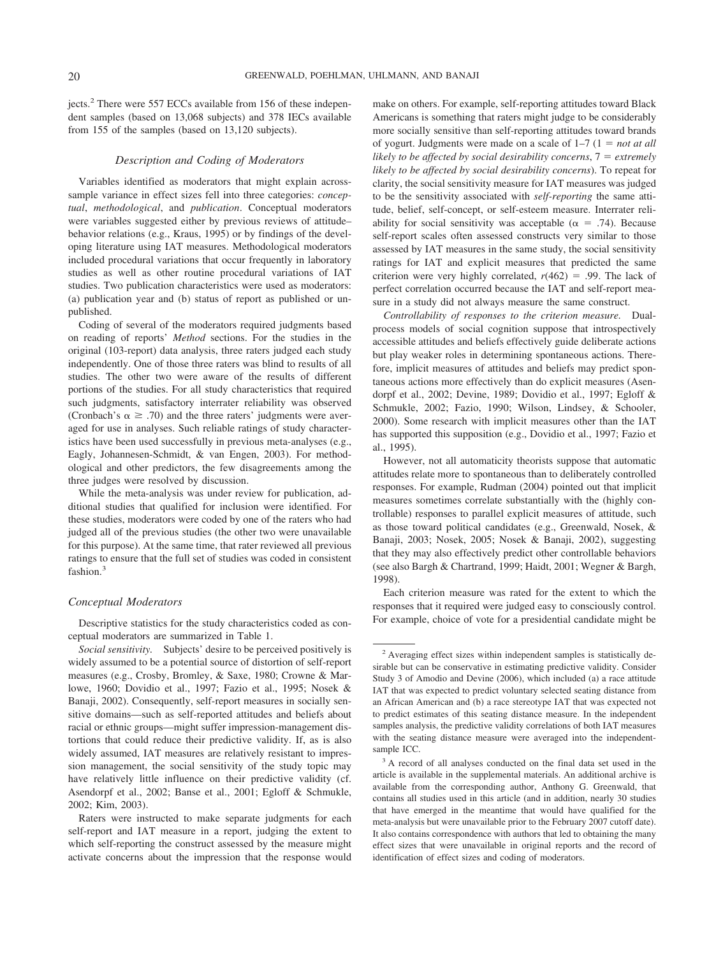jects.<sup>2</sup> There were 557 ECCs available from 156 of these independent samples (based on 13,068 subjects) and 378 IECs available from 155 of the samples (based on 13,120 subjects).

#### *Description and Coding of Moderators*

Variables identified as moderators that might explain acrosssample variance in effect sizes fell into three categories: *conceptual*, *methodological*, and *publication*. Conceptual moderators were variables suggested either by previous reviews of attitude– behavior relations (e.g., Kraus, 1995) or by findings of the developing literature using IAT measures. Methodological moderators included procedural variations that occur frequently in laboratory studies as well as other routine procedural variations of IAT studies. Two publication characteristics were used as moderators: (a) publication year and (b) status of report as published or unpublished.

Coding of several of the moderators required judgments based on reading of reports' *Method* sections. For the studies in the original (103-report) data analysis, three raters judged each study independently. One of those three raters was blind to results of all studies. The other two were aware of the results of different portions of the studies. For all study characteristics that required such judgments, satisfactory interrater reliability was observed (Cronbach's  $\alpha \geq .70$ ) and the three raters' judgments were averaged for use in analyses. Such reliable ratings of study characteristics have been used successfully in previous meta-analyses (e.g., Eagly, Johannesen-Schmidt, & van Engen, 2003). For methodological and other predictors, the few disagreements among the three judges were resolved by discussion.

While the meta-analysis was under review for publication, additional studies that qualified for inclusion were identified. For these studies, moderators were coded by one of the raters who had judged all of the previous studies (the other two were unavailable for this purpose). At the same time, that rater reviewed all previous ratings to ensure that the full set of studies was coded in consistent fashion.<sup>3</sup>

#### *Conceptual Moderators*

Descriptive statistics for the study characteristics coded as conceptual moderators are summarized in Table 1.

*Social sensitivity.* Subjects' desire to be perceived positively is widely assumed to be a potential source of distortion of self-report measures (e.g., Crosby, Bromley, & Saxe, 1980; Crowne & Marlowe, 1960; Dovidio et al., 1997; Fazio et al., 1995; Nosek & Banaji, 2002). Consequently, self-report measures in socially sensitive domains—such as self-reported attitudes and beliefs about racial or ethnic groups—might suffer impression-management distortions that could reduce their predictive validity. If, as is also widely assumed, IAT measures are relatively resistant to impression management, the social sensitivity of the study topic may have relatively little influence on their predictive validity (cf. Asendorpf et al., 2002; Banse et al., 2001; Egloff & Schmukle, 2002; Kim, 2003).

Raters were instructed to make separate judgments for each self-report and IAT measure in a report, judging the extent to which self-reporting the construct assessed by the measure might activate concerns about the impression that the response would

make on others. For example, self-reporting attitudes toward Black Americans is something that raters might judge to be considerably more socially sensitive than self-reporting attitudes toward brands of yogurt. Judgments were made on a scale of  $1-7$  ( $1 = not at all$ ) *likely to be affected by social desirability concerns*, 7 *extremely likely to be affected by social desirability concerns*). To repeat for clarity, the social sensitivity measure for IAT measures was judged to be the sensitivity associated with *self-reporting* the same attitude, belief, self-concept, or self-esteem measure. Interrater reliability for social sensitivity was acceptable ( $\alpha$  = .74). Because self-report scales often assessed constructs very similar to those assessed by IAT measures in the same study, the social sensitivity ratings for IAT and explicit measures that predicted the same criterion were very highly correlated,  $r(462) = .99$ . The lack of perfect correlation occurred because the IAT and self-report measure in a study did not always measure the same construct.

*Controllability of responses to the criterion measure.* Dualprocess models of social cognition suppose that introspectively accessible attitudes and beliefs effectively guide deliberate actions but play weaker roles in determining spontaneous actions. Therefore, implicit measures of attitudes and beliefs may predict spontaneous actions more effectively than do explicit measures (Asendorpf et al., 2002; Devine, 1989; Dovidio et al., 1997; Egloff & Schmukle, 2002; Fazio, 1990; Wilson, Lindsey, & Schooler, 2000). Some research with implicit measures other than the IAT has supported this supposition (e.g., Dovidio et al., 1997; Fazio et al., 1995).

However, not all automaticity theorists suppose that automatic attitudes relate more to spontaneous than to deliberately controlled responses. For example, Rudman (2004) pointed out that implicit measures sometimes correlate substantially with the (highly controllable) responses to parallel explicit measures of attitude, such as those toward political candidates (e.g., Greenwald, Nosek, & Banaji, 2003; Nosek, 2005; Nosek & Banaji, 2002), suggesting that they may also effectively predict other controllable behaviors (see also Bargh & Chartrand, 1999; Haidt, 2001; Wegner & Bargh, 1998).

Each criterion measure was rated for the extent to which the responses that it required were judged easy to consciously control. For example, choice of vote for a presidential candidate might be

<sup>&</sup>lt;sup>2</sup> Averaging effect sizes within independent samples is statistically desirable but can be conservative in estimating predictive validity. Consider Study 3 of Amodio and Devine (2006), which included (a) a race attitude IAT that was expected to predict voluntary selected seating distance from an African American and (b) a race stereotype IAT that was expected not to predict estimates of this seating distance measure. In the independent samples analysis, the predictive validity correlations of both IAT measures with the seating distance measure were averaged into the independentsample ICC.

<sup>&</sup>lt;sup>3</sup> A record of all analyses conducted on the final data set used in the article is available in the supplemental materials. An additional archive is available from the corresponding author, Anthony G. Greenwald, that contains all studies used in this article (and in addition, nearly 30 studies that have emerged in the meantime that would have qualified for the meta-analysis but were unavailable prior to the February 2007 cutoff date). It also contains correspondence with authors that led to obtaining the many effect sizes that were unavailable in original reports and the record of identification of effect sizes and coding of moderators.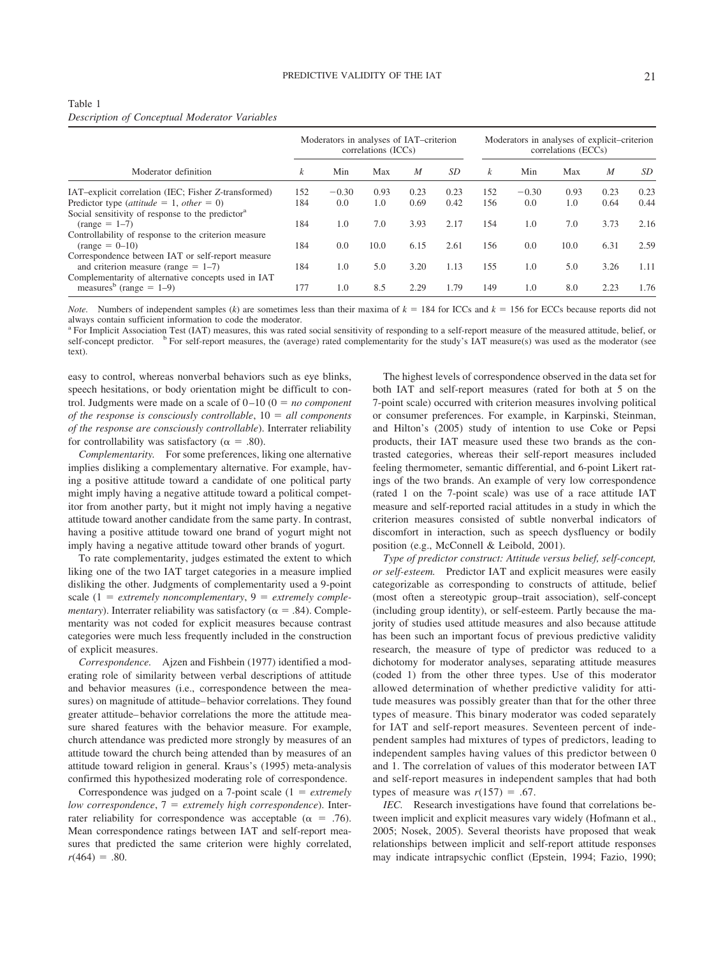| Table 1                                       |  |  |
|-----------------------------------------------|--|--|
| Description of Conceptual Moderator Variables |  |  |

|                                                              | Moderators in analyses of IAT-criterion<br>correlations (ICCs) |         |      |      |      | Moderators in analyses of explicit–criterion<br>correlations (ECCs) |         |      |      |      |
|--------------------------------------------------------------|----------------------------------------------------------------|---------|------|------|------|---------------------------------------------------------------------|---------|------|------|------|
| Moderator definition                                         | $\kappa$                                                       | Min     | Max  | M    | SD.  | k                                                                   | Min     | Max  | M    | SD   |
| IAT-explicit correlation (IEC; Fisher Z-transformed)         | 152                                                            | $-0.30$ | 0.93 | 0.23 | 0.23 | 152                                                                 | $-0.30$ | 0.93 | 0.23 | 0.23 |
| Predictor type ( <i>attitude</i> = 1, <i>other</i> = 0)      | 184                                                            | 0.0     | 1.0  | 0.69 | 0.42 | 156                                                                 | 0.0     | 1.0  | 0.64 | 0.44 |
| Social sensitivity of response to the predictor <sup>a</sup> |                                                                |         |      |      |      |                                                                     |         |      |      |      |
| $(range = 1-7)$                                              | 184                                                            | 1.0     | 7.0  | 3.93 | 2.17 | 154                                                                 | 1.0     | 7.0  | 3.73 | 2.16 |
| Controllability of response to the criterion measure         |                                                                |         |      |      |      |                                                                     |         |      |      |      |
| $(range = 0-10)$                                             | 184                                                            | 0.0     | 10.0 | 6.15 | 2.61 | 156                                                                 | 0.0     | 10.0 | 6.31 | 2.59 |
| Correspondence between IAT or self-report measure            |                                                                |         |      |      |      |                                                                     |         |      |      |      |
| and criterion measure (range $= 1-7$ )                       | 184                                                            | 1.0     | 5.0  | 3.20 | 1.13 | 155                                                                 | 1.0     | 5.0  | 3.26 | 1.11 |
| Complementarity of alternative concepts used in IAT          |                                                                |         |      |      |      |                                                                     |         |      |      |      |
| measures <sup>b</sup> (range = $1-9$ )                       | 177                                                            | 1.0     | 8.5  | 2.29 | 1.79 | 149                                                                 | 1.0     | 8.0  | 2.23 | 1.76 |

*Note.* Numbers of independent samples (*k*) are sometimes less than their maxima of  $k = 184$  for ICCs and  $k = 156$  for ECCs because reports did not always contain sufficient information to code the moderator.

<sup>a</sup> For Implicit Association Test (IAT) measures, this was rated social sensitivity of responding to a self-report measure of the measured attitude, belief, or self-concept predictor. b For self-report measures, the (average) rated complementarity for the study's IAT measure(s) was used as the moderator (see text).

easy to control, whereas nonverbal behaviors such as eye blinks, speech hesitations, or body orientation might be difficult to control. Judgments were made on a scale of  $0-10$  ( $0 = no$  *component of the response is consciously controllable*, 10 *all components of the response are consciously controllable*). Interrater reliability for controllability was satisfactory ( $\alpha = .80$ ).

*Complementarity.* For some preferences, liking one alternative implies disliking a complementary alternative. For example, having a positive attitude toward a candidate of one political party might imply having a negative attitude toward a political competitor from another party, but it might not imply having a negative attitude toward another candidate from the same party. In contrast, having a positive attitude toward one brand of yogurt might not imply having a negative attitude toward other brands of yogurt.

To rate complementarity, judges estimated the extent to which liking one of the two IAT target categories in a measure implied disliking the other. Judgments of complementarity used a 9-point scale  $(1 = extremely noncomplementary, 9 = extremely complex$ *mentary*). Interrater reliability was satisfactory ( $\alpha$  = .84). Complementarity was not coded for explicit measures because contrast categories were much less frequently included in the construction of explicit measures.

*Correspondence.* Ajzen and Fishbein (1977) identified a moderating role of similarity between verbal descriptions of attitude and behavior measures (i.e., correspondence between the measures) on magnitude of attitude– behavior correlations. They found greater attitude– behavior correlations the more the attitude measure shared features with the behavior measure. For example, church attendance was predicted more strongly by measures of an attitude toward the church being attended than by measures of an attitude toward religion in general. Kraus's (1995) meta-analysis confirmed this hypothesized moderating role of correspondence.

Correspondence was judged on a 7-point scale (1 *extremely low correspondence*, 7 *extremely high correspondence*). Interrater reliability for correspondence was acceptable ( $\alpha = .76$ ). Mean correspondence ratings between IAT and self-report measures that predicted the same criterion were highly correlated,  $r(464) = .80.$ 

The highest levels of correspondence observed in the data set for both IAT and self-report measures (rated for both at 5 on the 7-point scale) occurred with criterion measures involving political or consumer preferences. For example, in Karpinski, Steinman, and Hilton's (2005) study of intention to use Coke or Pepsi products, their IAT measure used these two brands as the contrasted categories, whereas their self-report measures included feeling thermometer, semantic differential, and 6-point Likert ratings of the two brands. An example of very low correspondence (rated 1 on the 7-point scale) was use of a race attitude IAT measure and self-reported racial attitudes in a study in which the criterion measures consisted of subtle nonverbal indicators of discomfort in interaction, such as speech dysfluency or bodily position (e.g., McConnell & Leibold, 2001).

*Type of predictor construct: Attitude versus belief, self-concept, or self-esteem.* Predictor IAT and explicit measures were easily categorizable as corresponding to constructs of attitude, belief (most often a stereotypic group–trait association), self-concept (including group identity), or self-esteem. Partly because the majority of studies used attitude measures and also because attitude has been such an important focus of previous predictive validity research, the measure of type of predictor was reduced to a dichotomy for moderator analyses, separating attitude measures (coded 1) from the other three types. Use of this moderator allowed determination of whether predictive validity for attitude measures was possibly greater than that for the other three types of measure. This binary moderator was coded separately for IAT and self-report measures. Seventeen percent of independent samples had mixtures of types of predictors, leading to independent samples having values of this predictor between 0 and 1. The correlation of values of this moderator between IAT and self-report measures in independent samples that had both types of measure was  $r(157) = .67$ .

*IEC.* Research investigations have found that correlations between implicit and explicit measures vary widely (Hofmann et al., 2005; Nosek, 2005). Several theorists have proposed that weak relationships between implicit and self-report attitude responses may indicate intrapsychic conflict (Epstein, 1994; Fazio, 1990;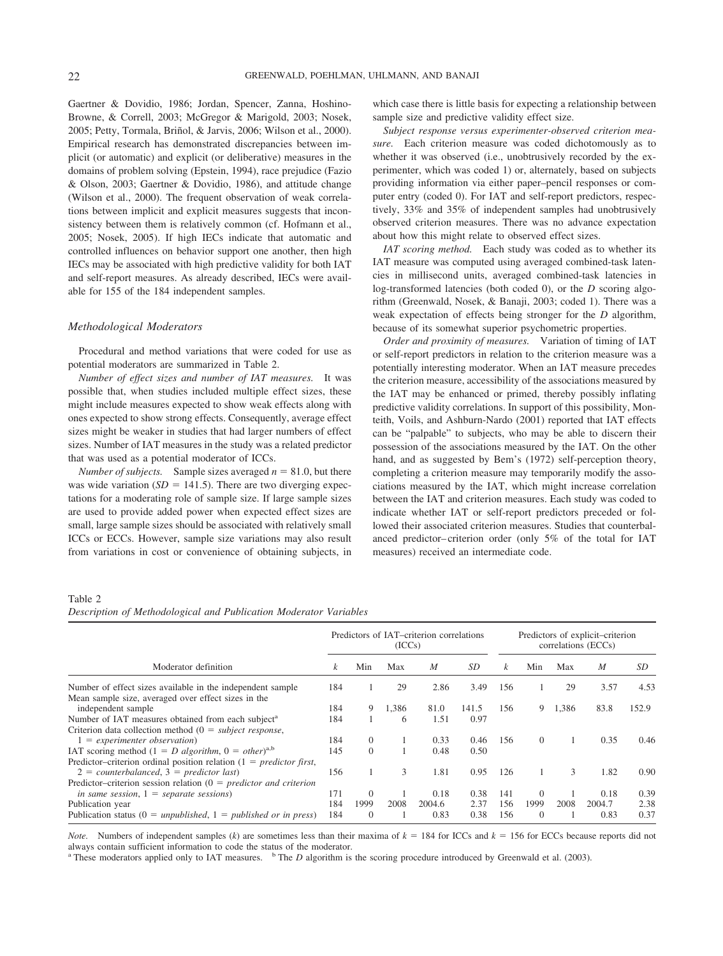Gaertner & Dovidio, 1986; Jordan, Spencer, Zanna, Hoshino-Browne, & Correll, 2003; McGregor & Marigold, 2003; Nosek, 2005; Petty, Tormala, Briñol, & Jarvis, 2006; Wilson et al., 2000). Empirical research has demonstrated discrepancies between implicit (or automatic) and explicit (or deliberative) measures in the domains of problem solving (Epstein, 1994), race prejudice (Fazio & Olson, 2003; Gaertner & Dovidio, 1986), and attitude change (Wilson et al., 2000). The frequent observation of weak correlations between implicit and explicit measures suggests that inconsistency between them is relatively common (cf. Hofmann et al., 2005; Nosek, 2005). If high IECs indicate that automatic and controlled influences on behavior support one another, then high IECs may be associated with high predictive validity for both IAT and self-report measures. As already described, IECs were available for 155 of the 184 independent samples.

#### *Methodological Moderators*

Procedural and method variations that were coded for use as potential moderators are summarized in Table 2.

*Number of effect sizes and number of IAT measures.* It was possible that, when studies included multiple effect sizes, these might include measures expected to show weak effects along with ones expected to show strong effects. Consequently, average effect sizes might be weaker in studies that had larger numbers of effect sizes. Number of IAT measures in the study was a related predictor that was used as a potential moderator of ICCs.

*Number of subjects.* Sample sizes averaged  $n = 81.0$ , but there was wide variation  $(SD = 141.5)$ . There are two diverging expectations for a moderating role of sample size. If large sample sizes are used to provide added power when expected effect sizes are small, large sample sizes should be associated with relatively small ICCs or ECCs. However, sample size variations may also result from variations in cost or convenience of obtaining subjects, in

which case there is little basis for expecting a relationship between sample size and predictive validity effect size.

*Subject response versus experimenter-observed criterion measure.* Each criterion measure was coded dichotomously as to whether it was observed (i.e., unobtrusively recorded by the experimenter, which was coded 1) or, alternately, based on subjects providing information via either paper–pencil responses or computer entry (coded 0). For IAT and self-report predictors, respectively, 33% and 35% of independent samples had unobtrusively observed criterion measures. There was no advance expectation about how this might relate to observed effect sizes.

*IAT scoring method.* Each study was coded as to whether its IAT measure was computed using averaged combined-task latencies in millisecond units, averaged combined-task latencies in log-transformed latencies (both coded 0), or the *D* scoring algorithm (Greenwald, Nosek, & Banaji, 2003; coded 1). There was a weak expectation of effects being stronger for the *D* algorithm, because of its somewhat superior psychometric properties.

*Order and proximity of measures.* Variation of timing of IAT or self-report predictors in relation to the criterion measure was a potentially interesting moderator. When an IAT measure precedes the criterion measure, accessibility of the associations measured by the IAT may be enhanced or primed, thereby possibly inflating predictive validity correlations. In support of this possibility, Monteith, Voils, and Ashburn-Nardo (2001) reported that IAT effects can be "palpable" to subjects, who may be able to discern their possession of the associations measured by the IAT. On the other hand, and as suggested by Bem's (1972) self-perception theory, completing a criterion measure may temporarily modify the associations measured by the IAT, which might increase correlation between the IAT and criterion measures. Each study was coded to indicate whether IAT or self-report predictors preceded or followed their associated criterion measures. Studies that counterbalanced predictor– criterion order (only 5% of the total for IAT measures) received an intermediate code.

#### Table 2

| Description of Methodological and Publication Moderator Variables |
|-------------------------------------------------------------------|
|-------------------------------------------------------------------|

|                                                                                                                                         | Predictors of IAT-criterion correlations<br>(ICCs) |          |       |        |       | Predictors of explicit–criterion<br>correlations (ECCs) |          |       |        |       |
|-----------------------------------------------------------------------------------------------------------------------------------------|----------------------------------------------------|----------|-------|--------|-------|---------------------------------------------------------|----------|-------|--------|-------|
| Moderator definition                                                                                                                    |                                                    | Min      | Max   | M      | SD    | k                                                       | Min      | Max   | M      | SD    |
| Number of effect sizes available in the independent sample<br>Mean sample size, averaged over effect sizes in the                       | 184                                                |          | 29    | 2.86   | 3.49  | 156                                                     |          | 29    | 3.57   | 4.53  |
| independent sample                                                                                                                      | 184                                                | 9        | 1,386 | 81.0   | 141.5 | 156                                                     | 9        | 1,386 | 83.8   | 152.9 |
| Number of IAT measures obtained from each subject <sup>a</sup><br>Criterion data collection method $(0 = subject response,$             | 184                                                |          | 6     | 1.51   | 0.97  |                                                         |          |       |        |       |
| $1 = experimenter observation$ )                                                                                                        | 184                                                | $\theta$ |       | 0.33   | 0.46  | 156                                                     | $\Omega$ |       | 0.35   | 0.46  |
| IAT scoring method (1 = D algorithm, 0 = other) <sup>a,b</sup><br>Predictor–criterion ordinal position relation $(1 = predictor first,$ | 145                                                | $\Omega$ |       | 0.48   | 0.50  |                                                         |          |       |        |       |
| $2 = counterbalanced, 3 = predictor last)$                                                                                              | 156                                                |          | 3     | 1.81   | 0.95  | 126                                                     |          | 3     | 1.82   | 0.90  |
| Predictor-criterion session relation ( $0 = predictor$ and criterion                                                                    |                                                    |          |       |        |       |                                                         |          |       |        |       |
| in same session, $1 = separate sessions$ )                                                                                              | 171                                                | $\theta$ |       | 0.18   | 0.38  | 141                                                     | $\Omega$ |       | 0.18   | 0.39  |
| Publication year                                                                                                                        | 184                                                | 1999     | 2008  | 2004.6 | 2.37  | 156                                                     | 1999     | 2008  | 2004.7 | 2.38  |
| Publication status ( $0 = \text{unpublished}$ , $1 = \text{published}$ or in press)                                                     | 184                                                | $\theta$ |       | 0.83   | 0.38  | 156                                                     | $\Omega$ |       | 0.83   | 0.37  |

*Note.* Numbers of independent samples (*k*) are sometimes less than their maxima of  $k = 184$  for ICCs and  $k = 156$  for ECCs because reports did not always contain sufficient information to code the status of the moderator.

<sup>a</sup> These moderators applied only to IAT measures. <sup>b</sup> The *D* algorithm is the scoring procedure introduced by Greenwald et al. (2003).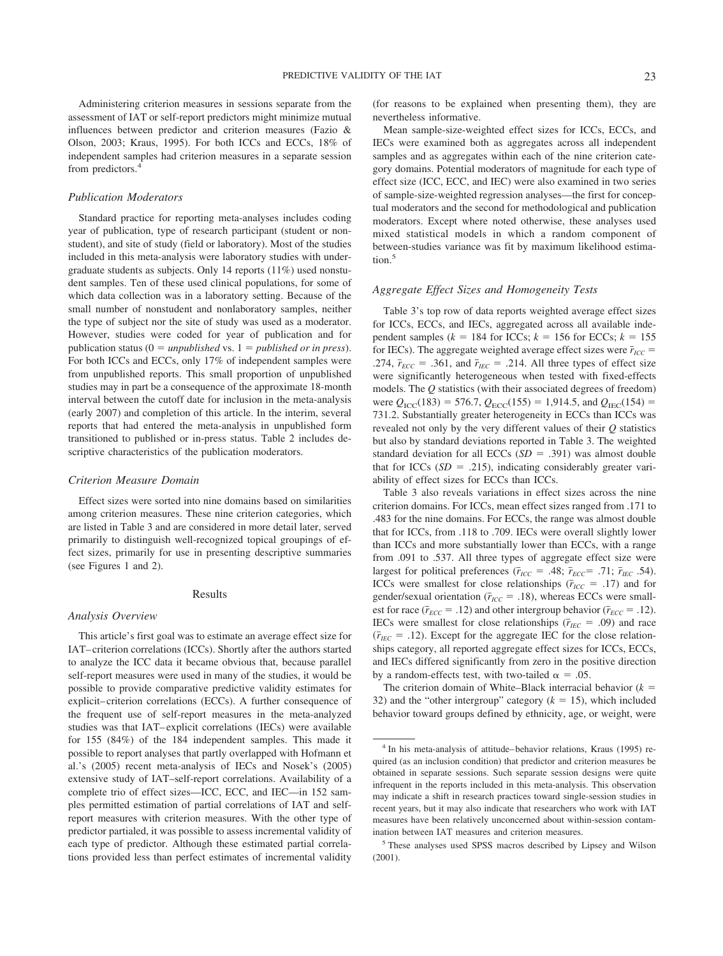Administering criterion measures in sessions separate from the assessment of IAT or self-report predictors might minimize mutual influences between predictor and criterion measures (Fazio & Olson, 2003; Kraus, 1995). For both ICCs and ECCs, 18% of independent samples had criterion measures in a separate session from predictors.<sup>4</sup>

#### *Publication Moderators*

Standard practice for reporting meta-analyses includes coding year of publication, type of research participant (student or nonstudent), and site of study (field or laboratory). Most of the studies included in this meta-analysis were laboratory studies with undergraduate students as subjects. Only 14 reports (11%) used nonstudent samples. Ten of these used clinical populations, for some of which data collection was in a laboratory setting. Because of the small number of nonstudent and nonlaboratory samples, neither the type of subject nor the site of study was used as a moderator. However, studies were coded for year of publication and for publication status ( $0 = \text{unpublished}$  vs.  $1 = \text{published}$  or in press). For both ICCs and ECCs, only 17% of independent samples were from unpublished reports. This small proportion of unpublished studies may in part be a consequence of the approximate 18-month interval between the cutoff date for inclusion in the meta-analysis (early 2007) and completion of this article. In the interim, several reports that had entered the meta-analysis in unpublished form transitioned to published or in-press status. Table 2 includes descriptive characteristics of the publication moderators.

#### *Criterion Measure Domain*

Effect sizes were sorted into nine domains based on similarities among criterion measures. These nine criterion categories, which are listed in Table 3 and are considered in more detail later, served primarily to distinguish well-recognized topical groupings of effect sizes, primarily for use in presenting descriptive summaries (see Figures 1 and 2).

#### Results

#### *Analysis Overview*

This article's first goal was to estimate an average effect size for IAT– criterion correlations (ICCs). Shortly after the authors started to analyze the ICC data it became obvious that, because parallel self-report measures were used in many of the studies, it would be possible to provide comparative predictive validity estimates for explicit– criterion correlations (ECCs). A further consequence of the frequent use of self-report measures in the meta-analyzed studies was that IAT-explicit correlations (IECs) were available for 155 (84%) of the 184 independent samples. This made it possible to report analyses that partly overlapped with Hofmann et al.'s (2005) recent meta-analysis of IECs and Nosek's (2005) extensive study of IAT–self-report correlations. Availability of a complete trio of effect sizes—ICC, ECC, and IEC—in 152 samples permitted estimation of partial correlations of IAT and selfreport measures with criterion measures. With the other type of predictor partialed, it was possible to assess incremental validity of each type of predictor. Although these estimated partial correlations provided less than perfect estimates of incremental validity

(for reasons to be explained when presenting them), they are nevertheless informative.

Mean sample-size-weighted effect sizes for ICCs, ECCs, and IECs were examined both as aggregates across all independent samples and as aggregates within each of the nine criterion category domains. Potential moderators of magnitude for each type of effect size (ICC, ECC, and IEC) were also examined in two series of sample-size-weighted regression analyses—the first for conceptual moderators and the second for methodological and publication moderators. Except where noted otherwise, these analyses used mixed statistical models in which a random component of between-studies variance was fit by maximum likelihood estimation.<sup>5</sup>

#### *Aggregate Effect Sizes and Homogeneity Tests*

Table 3's top row of data reports weighted average effect sizes for ICCs, ECCs, and IECs, aggregated across all available independent samples ( $k = 184$  for ICCs;  $k = 156$  for ECCs;  $k = 155$ for IECs). The aggregate weighted average effect sizes were  $\bar{r}_{\text{ICC}}$  = .274,  $\bar{r}_{ECC}$  = .361, and  $\bar{r}_{IEC}$  = .214. All three types of effect size were significantly heterogeneous when tested with fixed-effects models. The *Q* statistics (with their associated degrees of freedom) were  $Q_{\text{ICC}}(183) = 576.7$ ,  $Q_{\text{ECC}}(155) = 1,914.5$ , and  $Q_{\text{IEC}}(154) =$ 731.2. Substantially greater heterogeneity in ECCs than ICCs was revealed not only by the very different values of their *Q* statistics but also by standard deviations reported in Table 3. The weighted standard deviation for all ECCs  $(SD = .391)$  was almost double that for ICCs  $(SD = .215)$ , indicating considerably greater variability of effect sizes for ECCs than ICCs.

Table 3 also reveals variations in effect sizes across the nine criterion domains. For ICCs, mean effect sizes ranged from .171 to .483 for the nine domains. For ECCs, the range was almost double that for ICCs, from .118 to .709. IECs were overall slightly lower than ICCs and more substantially lower than ECCs, with a range from .091 to .537. All three types of aggregate effect size were largest for political preferences ( $\bar{r}_{\text{ICC}} = .48$ ;  $\bar{r}_{\text{ECC}} = .71$ ;  $\bar{r}_{\text{IEC}}$  .54). ICCs were smallest for close relationships ( $\bar{r}_{\text{ICC}} = .17$ ) and for gender/sexual orientation ( $\bar{r}_{\text{ICC}} = .18$ ), whereas ECCs were smallest for race ( $\bar{r}_{ECC}$  = .12) and other intergroup behavior ( $\bar{r}_{ECC}$  = .12). IECs were smallest for close relationships ( $\bar{r}_{\text{IEC}}$  = .09) and race  $(\bar{r}_{\text{HC}} = .12)$ . Except for the aggregate IEC for the close relationships category, all reported aggregate effect sizes for ICCs, ECCs, and IECs differed significantly from zero in the positive direction by a random-effects test, with two-tailed  $\alpha = .05$ .

The criterion domain of White–Black interracial behavior  $(k =$ 32) and the "other intergroup" category  $(k = 15)$ , which included behavior toward groups defined by ethnicity, age, or weight, were

<sup>4</sup> In his meta-analysis of attitude– behavior relations, Kraus (1995) required (as an inclusion condition) that predictor and criterion measures be obtained in separate sessions. Such separate session designs were quite infrequent in the reports included in this meta-analysis. This observation may indicate a shift in research practices toward single-session studies in recent years, but it may also indicate that researchers who work with IAT measures have been relatively unconcerned about within-session contamination between IAT measures and criterion measures.

<sup>5</sup> These analyses used SPSS macros described by Lipsey and Wilson (2001).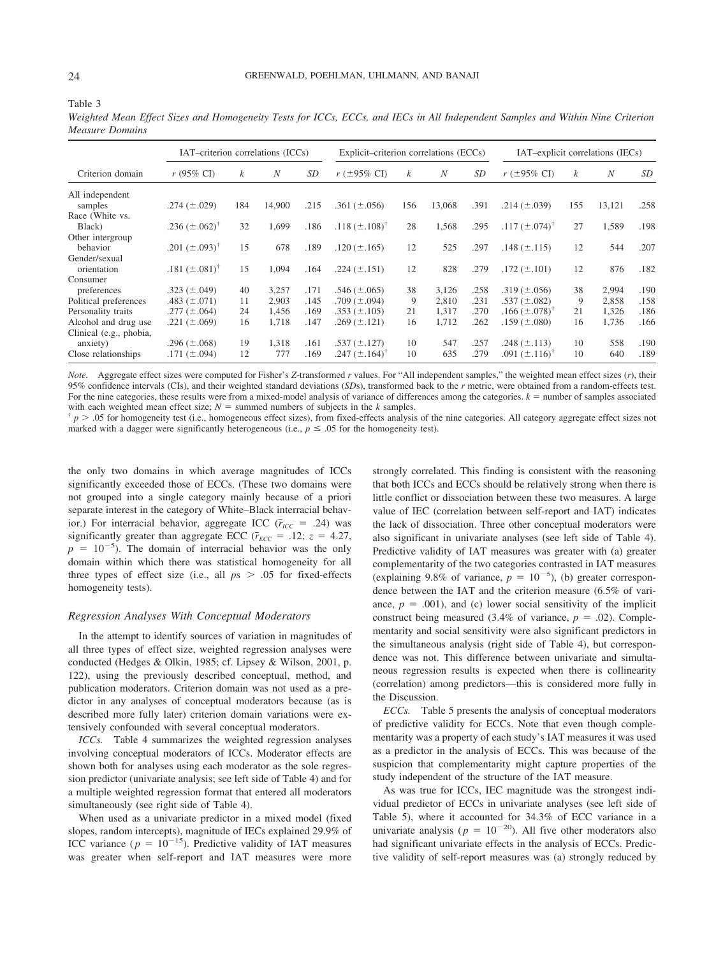Table 3

|                         | IAT-criterion correlations (ICCs) |     |        |      | Explicit–criterion correlations (ECCs) |     |        |      | IAT-explicit correlations (IECs) |     |        |      |
|-------------------------|-----------------------------------|-----|--------|------|----------------------------------------|-----|--------|------|----------------------------------|-----|--------|------|
| Criterion domain        | $r$ (95% CI)                      | k   | N      | SD   | $r$ ( $\pm$ 95% CI)                    | k   | N      | SD   | $r$ ( $\pm$ 95% CI)              | k   | N      | SD   |
| All independent         |                                   |     |        |      |                                        |     |        |      |                                  |     |        |      |
| samples                 | $.274 (\pm .029)$                 | 184 | 14,900 | .215 | .361 $(\pm .056)$                      | 156 | 13,068 | .391 | .214 $(\pm .039)$                | 155 | 13,121 | .258 |
| Race (White vs.         |                                   |     |        |      |                                        |     |        |      |                                  |     |        |      |
| Black)                  | .236 $(\pm .062)^{\dagger}$       | 32  | 1,699  | .186 | .118 $(\pm .108)^{\dagger}$            | 28  | 1,568  | .295 | .117 $(\pm .074)^{\dagger}$      | 27  | 1,589  | .198 |
| Other intergroup        |                                   |     |        |      |                                        |     |        |      |                                  |     |        |      |
| behavior                | .201 $(\pm .093)^{\dagger}$       | 15  | 678    | .189 | $.120 \ (\pm .165)$                    | 12  | 525    | .297 | .148 $(\pm .115)$                | 12  | 544    | .207 |
| Gender/sexual           |                                   |     |        |      |                                        |     |        |      |                                  |     |        |      |
| orientation             | .181 $(\pm .081)^{\dagger}$       | 15  | 1,094  | .164 | $.224 (\pm .151)$                      | 12  | 828    | .279 | $.172 \ (\pm .101)$              | 12  | 876    | .182 |
| Consumer                |                                   |     |        |      |                                        |     |        |      |                                  |     |        |      |
| preferences             | .323 $(\pm .049)$                 | 40  | 3,257  | .171 | $.546 (\pm .065)$                      | 38  | 3,126  | .258 | .319 $(\pm .056)$                | 38  | 2,994  | .190 |
| Political preferences   | .483 $(\pm .071)$                 | 11  | 2,903  | .145 | $.709 \ (\pm .094)$                    | 9   | 2,810  | .231 | $.537 (\pm .082)$                | 9   | 2,858  | .158 |
| Personality traits      | $.277 \ (\pm .064)$               | 24  | 1.456  | .169 | $.353 \ (\pm .105)$                    | 21  | 1.317  | .270 | $.166~(\pm .078)^{T}$            | 21  | 1,326  | .186 |
| Alcohol and drug use    | .221 $(\pm .069)$                 | 16  | 1,718  | .147 | $.269 \, (\pm .121)$                   | 16  | 1,712  | .262 | $.159 \ (\pm .080)$              | 16  | 1,736  | .166 |
| Clinical (e.g., phobia, |                                   |     |        |      |                                        |     |        |      |                                  |     |        |      |
| anxiety)                | .296 $(\pm .068)$                 | 19  | 1,318  | .161 | $.537 \ (\pm .127)$                    | 10  | 547    | .257 | .248 $(\pm .113)$                | 10  | 558    | .190 |
| Close relationships     | $.171 (\pm .094)$                 | 12  | 777    | .169 | .247 $(\pm .164)^{\dagger}$            | 10  | 635    | .279 | .091 $(\pm .116)^{\dagger}$      | 10  | 640    | .189 |

*Weighted Mean Effect Sizes and Homogeneity Tests for ICCs, ECCs, and IECs in All Independent Samples and Within Nine Criterion Measure Domains*

*Note.* Aggregate effect sizes were computed for Fisher's *Z*-transformed *r* values. For "All independent samples," the weighted mean effect sizes (*r*), their 95% confidence intervals (CIs), and their weighted standard deviations (*SD*s), transformed back to the *r* metric, were obtained from a random-effects test. For the nine categories, these results were from a mixed-model analysis of variance of differences among the categories.  $k =$  number of samples associated with each weighted mean effect size;  $N =$  summed numbers of subjec

 $\phi$  = 0.05 for homogeneity test (i.e., homogeneous effect sizes), from fixed-effects analysis of the nine categories. All category aggregate effect sizes not marked with a dagger were significantly heterogeneous (i.e.,  $p \leq 0.05$  for the homogeneity test).

the only two domains in which average magnitudes of ICCs significantly exceeded those of ECCs. (These two domains were not grouped into a single category mainly because of a priori separate interest in the category of White–Black interracial behavior.) For interracial behavior, aggregate ICC ( $\bar{r}_{\text{ICC}}$  = .24) was significantly greater than aggregate ECC ( $\bar{r}_{ECC}$  = .12;  $z$  = 4.27,  $p = 10^{-5}$ ). The domain of interracial behavior was the only domain within which there was statistical homogeneity for all three types of effect size (i.e., all  $ps > .05$  for fixed-effects homogeneity tests).

#### *Regression Analyses With Conceptual Moderators*

In the attempt to identify sources of variation in magnitudes of all three types of effect size, weighted regression analyses were conducted (Hedges & Olkin, 1985; cf. Lipsey & Wilson, 2001, p. 122), using the previously described conceptual, method, and publication moderators. Criterion domain was not used as a predictor in any analyses of conceptual moderators because (as is described more fully later) criterion domain variations were extensively confounded with several conceptual moderators.

*ICCs.* Table 4 summarizes the weighted regression analyses involving conceptual moderators of ICCs. Moderator effects are shown both for analyses using each moderator as the sole regression predictor (univariate analysis; see left side of Table 4) and for a multiple weighted regression format that entered all moderators simultaneously (see right side of Table 4).

When used as a univariate predictor in a mixed model (fixed slopes, random intercepts), magnitude of IECs explained 29.9% of ICC variance ( $p = 10^{-15}$ ). Predictive validity of IAT measures was greater when self-report and IAT measures were more

strongly correlated. This finding is consistent with the reasoning that both ICCs and ECCs should be relatively strong when there is little conflict or dissociation between these two measures. A large value of IEC (correlation between self-report and IAT) indicates the lack of dissociation. Three other conceptual moderators were also significant in univariate analyses (see left side of Table 4). Predictive validity of IAT measures was greater with (a) greater complementarity of the two categories contrasted in IAT measures (explaining 9.8% of variance,  $p = 10^{-5}$ ), (b) greater correspondence between the IAT and the criterion measure (6.5% of variance,  $p = .001$ ), and (c) lower social sensitivity of the implicit construct being measured  $(3.4\% \text{ of variance}, p = .02)$ . Complementarity and social sensitivity were also significant predictors in the simultaneous analysis (right side of Table 4), but correspondence was not. This difference between univariate and simultaneous regression results is expected when there is collinearity (correlation) among predictors—this is considered more fully in the Discussion.

*ECCs.* Table 5 presents the analysis of conceptual moderators of predictive validity for ECCs. Note that even though complementarity was a property of each study's IAT measures it was used as a predictor in the analysis of ECCs. This was because of the suspicion that complementarity might capture properties of the study independent of the structure of the IAT measure.

As was true for ICCs, IEC magnitude was the strongest individual predictor of ECCs in univariate analyses (see left side of Table 5), where it accounted for 34.3% of ECC variance in a univariate analysis ( $p = 10^{-20}$ ). All five other moderators also had significant univariate effects in the analysis of ECCs. Predictive validity of self-report measures was (a) strongly reduced by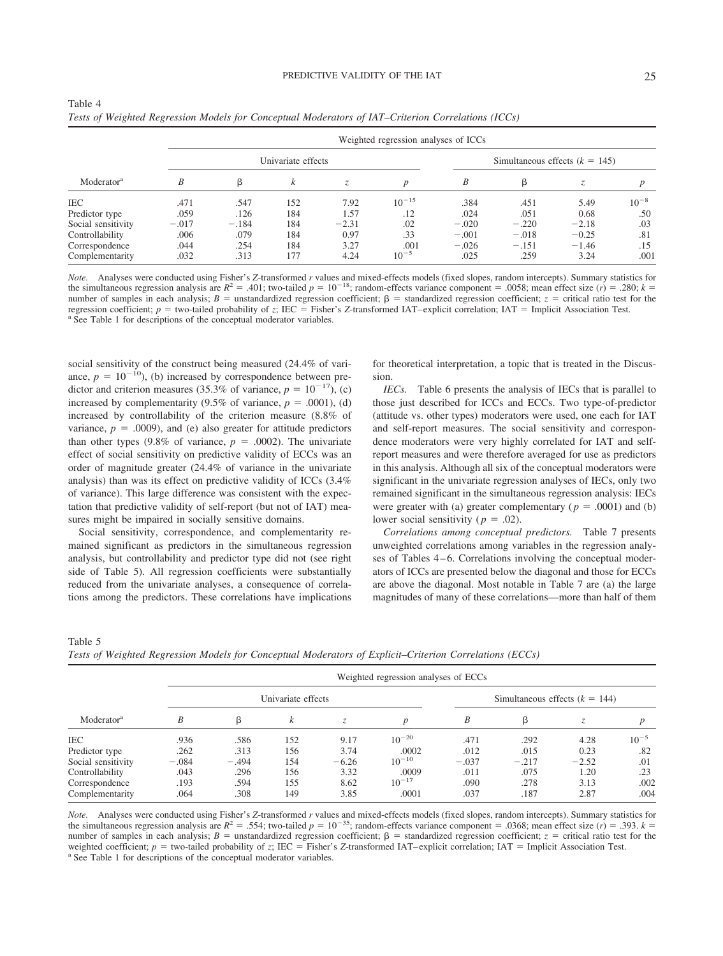|                        |         |         |                    |         | Weighted regression analyses of ICCs |         |                                  |         |           |
|------------------------|---------|---------|--------------------|---------|--------------------------------------|---------|----------------------------------|---------|-----------|
|                        |         |         | Univariate effects |         |                                      |         | Simultaneous effects $(k = 145)$ |         |           |
| Moderator <sup>a</sup> | B       | β       | k                  | Z.      | $\boldsymbol{D}$                     | B       | β                                | Z.      |           |
| <b>IEC</b>             | .471    | .547    | 152                | 7.92    | $10^{-15}$                           | .384    | .451                             | 5.49    | $10^{-8}$ |
| Predictor type         | .059    | .126    | 184                | 1.57    | .12                                  | .024    | .051                             | 0.68    | .50       |
| Social sensitivity     | $-.017$ | $-.184$ | 184                | $-2.31$ | .02                                  | $-.020$ | $-.220$                          | $-2.18$ | .03       |
| Controllability        | .006    | .079    | 184                | 0.97    | .33                                  | $-.001$ | $-.018$                          | $-0.25$ | .81       |
| Correspondence         | .044    | .254    | 184                | 3.27    | .001                                 | $-.026$ | $-.151$                          | $-1.46$ | .15       |
| Complementarity        | .032    | .313    | 177                | 4.24    | $10^{-5}$                            | .025    | .259                             | 3.24    | .001      |

| Table 4                                                                                            |  |  |
|----------------------------------------------------------------------------------------------------|--|--|
| Tests of Weighted Regression Models for Conceptual Moderators of IAT–Criterion Correlations (ICCs) |  |  |

*Note.* Analyses were conducted using Fisher's *Z*-transformed *r* values and mixed-effects models (fixed slopes, random intercepts). Summary statistics for the simultaneous regression analysis are  $R^2 = .401$ ; two-tailed  $p = 10^{-18}$ ; random-effects variance component = .0058; mean effect size (*r*) = .280; *k* = number of samples in each analysis;  $B =$  unstandardized regression coefficient;  $\beta =$  standardized regression coefficient;  $z =$  critical ratio test for the regression coefficient;  $p =$  two-tailed probability of z; IEC = Fisher's Z-transformed IAT-explicit correlation; IAT = Implicit Association Test.<br><sup>a</sup> See Table 1 for descriptions of the conceptual moderator variables.

social sensitivity of the construct being measured (24.4% of variance,  $p = 10^{-10}$ ), (b) increased by correspondence between predictor and criterion measures (35.3% of variance,  $p = 10^{-17}$ ), (c) increased by complementarity  $(9.5\% \text{ of variance}, p = .0001)$ , (d) increased by controllability of the criterion measure (8.8% of variance,  $p = .0009$ ), and (e) also greater for attitude predictors than other types (9.8% of variance,  $p = .0002$ ). The univariate effect of social sensitivity on predictive validity of ECCs was an order of magnitude greater (24.4% of variance in the univariate analysis) than was its effect on predictive validity of ICCs (3.4% of variance). This large difference was consistent with the expectation that predictive validity of self-report (but not of IAT) measures might be impaired in socially sensitive domains.

Social sensitivity, correspondence, and complementarity remained significant as predictors in the simultaneous regression analysis, but controllability and predictor type did not (see right side of Table 5). All regression coefficients were substantially reduced from the univariate analyses, a consequence of correlations among the predictors. These correlations have implications

for theoretical interpretation, a topic that is treated in the Discussion.

*IECs.* Table 6 presents the analysis of IECs that is parallel to those just described for ICCs and ECCs. Two type-of-predictor (attitude vs. other types) moderators were used, one each for IAT and self-report measures. The social sensitivity and correspondence moderators were very highly correlated for IAT and selfreport measures and were therefore averaged for use as predictors in this analysis. Although all six of the conceptual moderators were significant in the univariate regression analyses of IECs, only two remained significant in the simultaneous regression analysis: IECs were greater with (a) greater complementary ( $p = .0001$ ) and (b) lower social sensitivity ( $p = .02$ ).

*Correlations among conceptual predictors.* Table 7 presents unweighted correlations among variables in the regression analyses of Tables 4–6. Correlations involving the conceptual moderators of ICCs are presented below the diagonal and those for ECCs are above the diagonal. Most notable in Table 7 are (a) the large magnitudes of many of these correlations—more than half of them

| Table 5                                                                                                 |  |  |
|---------------------------------------------------------------------------------------------------------|--|--|
| Tests of Weighted Regression Models for Conceptual Moderators of Explicit–Criterion Correlations (ECCs) |  |  |

|                        |         |         |                    |         | Weighted regression analyses of ECCs |         |                                  |               |           |
|------------------------|---------|---------|--------------------|---------|--------------------------------------|---------|----------------------------------|---------------|-----------|
|                        |         |         | Univariate effects |         |                                      |         | Simultaneous effects $(k = 144)$ |               |           |
| Moderator <sup>a</sup> | B       |         | k                  | Z.      | $\boldsymbol{n}$                     | B       | β                                | $\mathcal{Z}$ | n         |
| IEC                    | .936    | .586    | 152                | 9.17    | $10^{-20}$                           | .471    | .292                             | 4.28          | $10^{-5}$ |
| Predictor type         | .262    | .313    | 156                | 3.74    | .0002                                | .012    | .015                             | 0.23          | .82       |
| Social sensitivity     | $-.084$ | $-.494$ | 154                | $-6.26$ | $10^{-10}$                           | $-.037$ | $-.217$                          | $-2.52$       | .01       |
| Controllability        | .043    | .296    | 156                | 3.32    | .0009                                | .011    | .075                             | 1.20          | .23       |
| Correspondence         | .193    | .594    | 155                | 8.62    | $10^{-17}$                           | .090    | .278                             | 3.13          | .002      |
| Complementarity        | .064    | .308    | 149                | 3.85    | .0001                                | .037    | .187                             | 2.87          | .004      |

*Note.* Analyses were conducted using Fisher's *Z*-transformed *r* values and mixed-effects models (fixed slopes, random intercepts). Summary statistics for the simultaneous regression analysis are  $R^2 = .554$ ; two-tailed  $p = 10^{-35}$ ; random-effects variance component = .0368; mean effect size (*r*) = .393. *k* = number of samples in each analysis;  $B =$  unstandardized regression coefficient;  $\beta =$  standardized regression coefficient;  $z =$  critical ratio test for the weighted coefficient;  $p =$  two-tailed probability of z; IEC = Fisher's Z-transformed IAT-explicit correlation; IAT = Implicit Association Test.<br><sup>a</sup> See Table 1 for descriptions of the conceptual moderator variables.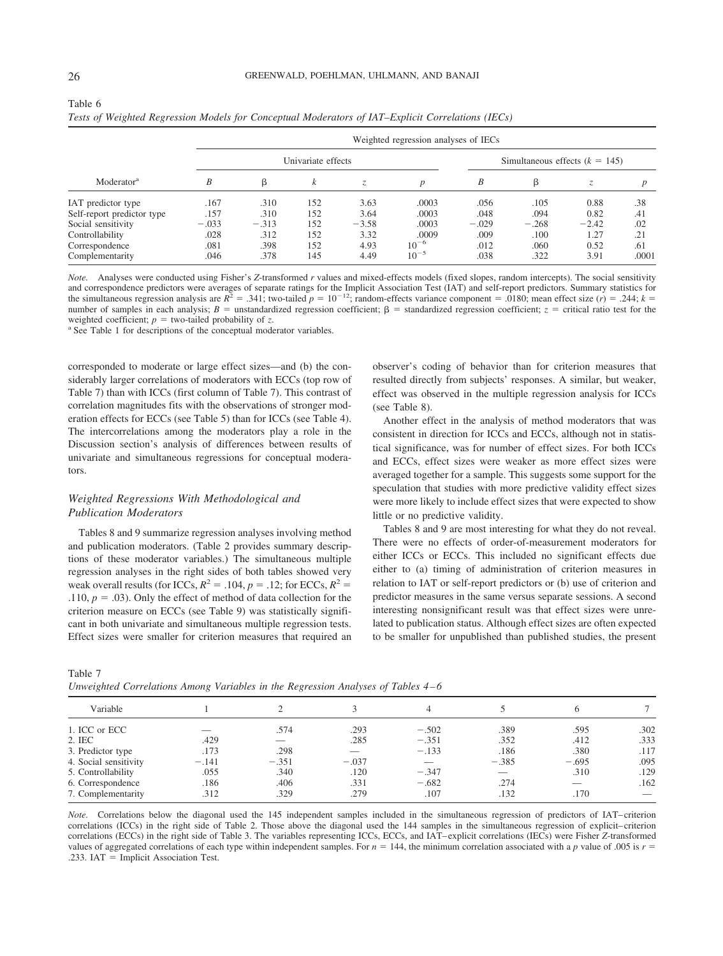|                            |         | Weighted regression analyses of IECs |                    |         |                  |         |                                  |             |       |  |  |
|----------------------------|---------|--------------------------------------|--------------------|---------|------------------|---------|----------------------------------|-------------|-------|--|--|
|                            |         |                                      | Univariate effects |         |                  |         | Simultaneous effects $(k = 145)$ |             |       |  |  |
| Moderator <sup>a</sup>     | B       | ß                                    | k                  |         | $\boldsymbol{D}$ | B       | β                                | $Z_{\rm s}$ | n     |  |  |
| IAT predictor type         | .167    | .310                                 | 152                | 3.63    | .0003            | .056    | .105                             | 0.88        | .38   |  |  |
| Self-report predictor type | .157    | .310                                 | 152                | 3.64    | .0003            | .048    | .094                             | 0.82        | .41   |  |  |
| Social sensitivity         | $-.033$ | $-.313$                              | 152                | $-3.58$ | .0003            | $-.029$ | $-.268$                          | $-2.42$     | .02   |  |  |
| Controllability            | .028    | .312                                 | 152                | 3.32    | .0009            | .009    | .100                             | 1.27        | .21   |  |  |
| Correspondence             | .081    | .398                                 | 152                | 4.93    | $10^{-6}$        | .012    | .060                             | 0.52        | .61   |  |  |
| Complementarity            | .046    | .378                                 | 145                | 4.49    | $10^{-5}$        | .038    | .322                             | 3.91        | .0001 |  |  |

| Table 6                                                                                           |  |
|---------------------------------------------------------------------------------------------------|--|
| Tests of Weighted Regression Models for Conceptual Moderators of IAT-Explicit Correlations (IECs) |  |

*Note.* Analyses were conducted using Fisher's *Z*-transformed *r* values and mixed-effects models (fixed slopes, random intercepts). The social sensitivity and correspondence predictors were averages of separate ratings for the Implicit Association Test (IAT) and self-report predictors. Summary statistics for the simultaneous regression analysis are  $R^2 = .341$ ; two-tailed  $p$ number of samples in each analysis;  $B =$  unstandardized regression coefficient;  $\beta =$  standardized regression coefficient;  $z =$  critical ratio test for the weighted coefficient;  $p =$  two-tailed probability of *z*. <br><sup>a</sup> See Table 1 for descriptions of the conceptual moderator variables.

corresponded to moderate or large effect sizes—and (b) the considerably larger correlations of moderators with ECCs (top row of Table 7) than with ICCs (first column of Table 7). This contrast of correlation magnitudes fits with the observations of stronger moderation effects for ECCs (see Table 5) than for ICCs (see Table 4). The intercorrelations among the moderators play a role in the Discussion section's analysis of differences between results of univariate and simultaneous regressions for conceptual moderators.

## *Weighted Regressions With Methodological and Publication Moderators*

Tables 8 and 9 summarize regression analyses involving method and publication moderators. (Table 2 provides summary descriptions of these moderator variables.) The simultaneous multiple regression analyses in the right sides of both tables showed very weak overall results (for ICCs,  $R^2 = .104$ ,  $p = .12$ ; for ECCs,  $R^2 =$ .110,  $p = .03$ ). Only the effect of method of data collection for the criterion measure on ECCs (see Table 9) was statistically significant in both univariate and simultaneous multiple regression tests. Effect sizes were smaller for criterion measures that required an

observer's coding of behavior than for criterion measures that resulted directly from subjects' responses. A similar, but weaker, effect was observed in the multiple regression analysis for ICCs (see Table 8).

Another effect in the analysis of method moderators that was consistent in direction for ICCs and ECCs, although not in statistical significance, was for number of effect sizes. For both ICCs and ECCs, effect sizes were weaker as more effect sizes were averaged together for a sample. This suggests some support for the speculation that studies with more predictive validity effect sizes were more likely to include effect sizes that were expected to show little or no predictive validity.

Tables 8 and 9 are most interesting for what they do not reveal. There were no effects of order-of-measurement moderators for either ICCs or ECCs. This included no significant effects due either to (a) timing of administration of criterion measures in relation to IAT or self-report predictors or (b) use of criterion and predictor measures in the same versus separate sessions. A second interesting nonsignificant result was that effect sizes were unrelated to publication status. Although effect sizes are often expected to be smaller for unpublished than published studies, the present

| v.<br>۰.<br>٠<br>× | ٠ |  |
|--------------------|---|--|
|                    |   |  |

| Unweighted Correlations Among Variables in the Regression Analyses of Tables 4-6 |  |  |  |
|----------------------------------------------------------------------------------|--|--|--|
|                                                                                  |  |  |  |

| Variable              |         |         |                          | 4       |                          |         |                               |
|-----------------------|---------|---------|--------------------------|---------|--------------------------|---------|-------------------------------|
| 1. ICC or ECC         |         | .574    | .293                     | $-.502$ | .389                     | .595    | .302                          |
| 2. IEC                | .429    |         | .285                     | $-.351$ | .352                     | .412    | .333                          |
| 3. Predictor type     | .173    | .298    | $\overline{\phantom{a}}$ | $-.133$ | .186                     | .380    | .117                          |
| 4. Social sensitivity | $-.141$ | $-.351$ | $-.037$                  |         | $-.385$                  | $-.695$ | .095                          |
| 5. Controllability    | .055    | .340    | .120                     | $-.347$ | $\overline{\phantom{a}}$ | .310    | .129                          |
| 6. Correspondence     | .186    | .406    | .331                     | $-.682$ | .274                     |         | .162                          |
| 7. Complementarity    | .312    | .329    | .279                     | .107    | .132                     | .170    | $\overbrace{\phantom{12332}}$ |
|                       |         |         |                          |         |                          |         |                               |

*Note.* Correlations below the diagonal used the 145 independent samples included in the simultaneous regression of predictors of IAT–criterion correlations (ICCs) in the right side of Table 2. Those above the diagonal used the 144 samples in the simultaneous regression of explicit– criterion correlations (ECCs) in the right side of Table 3. The variables representing ICCs, ECCs, and IAT– explicit correlations (IECs) were Fisher *Z*-transformed values of aggregated correlations of each type within independent samples. For  $n = 144$ , the minimum correlation associated with a *p* value of .005 is  $r =$ .233. IAT  $=$  Implicit Association Test.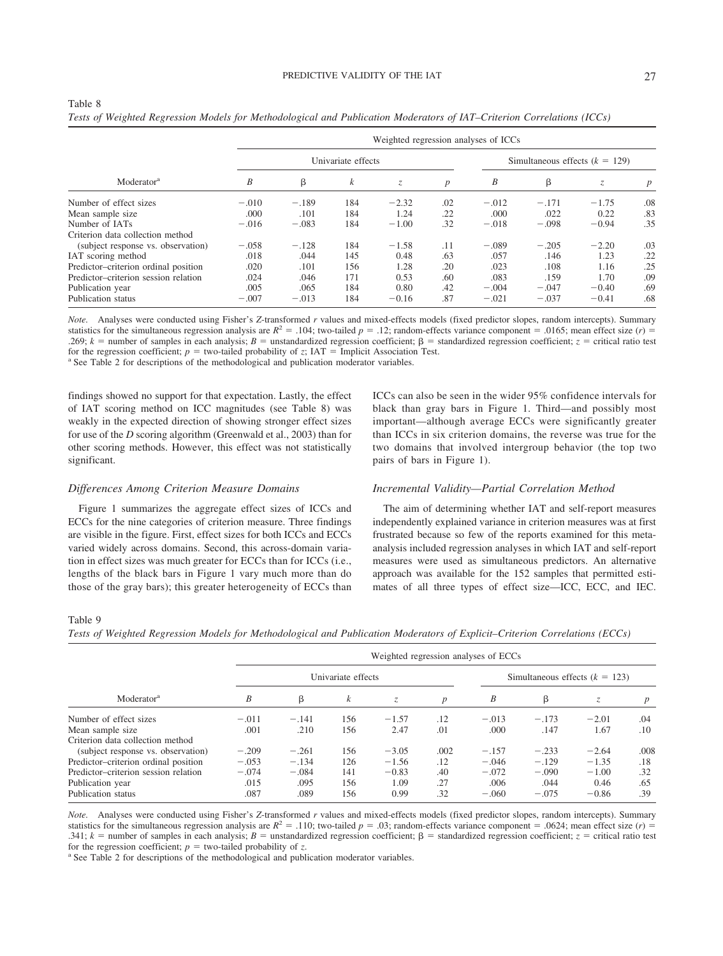|                                      |         | Weighted regression analyses of ICCs |                    |         |                  |                                  |         |         |                 |  |  |  |  |
|--------------------------------------|---------|--------------------------------------|--------------------|---------|------------------|----------------------------------|---------|---------|-----------------|--|--|--|--|
|                                      |         |                                      | Univariate effects |         |                  | Simultaneous effects $(k = 129)$ |         |         |                 |  |  |  |  |
| Moderator <sup>a</sup>               | B       | β                                    | k                  | Z.      | $\boldsymbol{p}$ | B                                | β       | Z.      | $p_{\parallel}$ |  |  |  |  |
| Number of effect sizes               | $-.010$ | $-.189$                              | 184                | $-2.32$ | .02              | $-.012$                          | $-.171$ | $-1.75$ | .08             |  |  |  |  |
| Mean sample size                     | .000    | .101                                 | 184                | 1.24    | .22              | .000                             | .022    | 0.22    | .83             |  |  |  |  |
| Number of IATs                       | $-.016$ | $-.083$                              | 184                | $-1.00$ | .32              | $-.018$                          | $-.098$ | $-0.94$ | .35             |  |  |  |  |
| Criterion data collection method     |         |                                      |                    |         |                  |                                  |         |         |                 |  |  |  |  |
| (subject response vs. observation)   | $-.058$ | $-.128$                              | 184                | $-1.58$ | .11              | $-.089$                          | $-.205$ | $-2.20$ | .03             |  |  |  |  |
| IAT scoring method                   | .018    | .044                                 | 145                | 0.48    | .63              | .057                             | .146    | 1.23    | .22             |  |  |  |  |
| Predictor-criterion ordinal position | .020    | .101                                 | 156                | 1.28    | .20              | .023                             | .108    | 1.16    | .25             |  |  |  |  |
| Predictor-criterion session relation | .024    | .046                                 | 171                | 0.53    | .60              | .083                             | .159    | 1.70    | .09             |  |  |  |  |
| Publication year                     | .005    | .065                                 | 184                | 0.80    | .42              | $-.004$                          | $-.047$ | $-0.40$ | .69             |  |  |  |  |
| Publication status                   | $-.007$ | $-.013$                              | 184                | $-0.16$ | .87              | $-.021$                          | $-.037$ | $-0.41$ | .68             |  |  |  |  |

Table 8 *Tests of Weighted Regression Models for Methodological and Publication Moderators of IAT–Criterion Correlations (ICCs)*

*Note.* Analyses were conducted using Fisher's *Z*-transformed *r* values and mixed-effects models (fixed predictor slopes, random intercepts). Summary statistics for the simultaneous regression analysis are  $R^2 = .104$ ; two-tailed  $p = .12$ ; random-effects variance component = .0165; mean effect size (*r*) = .269;  $k =$  number of samples in each analysis;  $B =$  unstandardized regression coefficient;  $\beta =$  standardized regression coefficient;  $z =$  critical ratio test for the regression coefficient;  $p =$  two-tailed probability of *z*; IAT = Implicit Association Test. a See Table 2 for descriptions of the methodological and publication moderator variables.

findings showed no support for that expectation. Lastly, the effect of IAT scoring method on ICC magnitudes (see Table 8) was weakly in the expected direction of showing stronger effect sizes for use of the *D* scoring algorithm (Greenwald et al., 2003) than for other scoring methods. However, this effect was not statistically significant.

### ICCs can also be seen in the wider 95% confidence intervals for black than gray bars in Figure 1. Third—and possibly most important—although average ECCs were significantly greater than ICCs in six criterion domains, the reverse was true for the two domains that involved intergroup behavior (the top two pairs of bars in Figure 1).

#### *Differences Among Criterion Measure Domains*

Figure 1 summarizes the aggregate effect sizes of ICCs and ECCs for the nine categories of criterion measure. Three findings are visible in the figure. First, effect sizes for both ICCs and ECCs varied widely across domains. Second, this across-domain variation in effect sizes was much greater for ECCs than for ICCs (i.e., lengths of the black bars in Figure 1 vary much more than do those of the gray bars); this greater heterogeneity of ECCs than

### *Incremental Validity—Partial Correlation Method*

The aim of determining whether IAT and self-report measures independently explained variance in criterion measures was at first frustrated because so few of the reports examined for this metaanalysis included regression analyses in which IAT and self-report measures were used as simultaneous predictors. An alternative approach was available for the 152 samples that permitted estimates of all three types of effect size—ICC, ECC, and IEC.

#### Table 9

*Tests of Weighted Regression Models for Methodological and Publication Moderators of Explicit–Criterion Correlations (ECCs)*

|                                      |         | Weighted regression analyses of ECCs |                    |         |                  |                                  |         |               |      |  |  |  |  |
|--------------------------------------|---------|--------------------------------------|--------------------|---------|------------------|----------------------------------|---------|---------------|------|--|--|--|--|
|                                      |         |                                      | Univariate effects |         |                  | Simultaneous effects $(k = 123)$ |         |               |      |  |  |  |  |
| Moderator <sup>a</sup>               | B       | $\beta$                              | k                  |         | $\boldsymbol{p}$ | B                                | β       | $\mathcal{Z}$ |      |  |  |  |  |
| Number of effect sizes               | $-.011$ | $-.141$                              | 156                | $-1.57$ | .12              | $-.013$                          | $-.173$ | $-2.01$       | .04  |  |  |  |  |
| Mean sample size                     | .001    | .210                                 | 156                | 2.47    | .01              | .000                             | .147    | 1.67          | .10  |  |  |  |  |
| Criterion data collection method     |         |                                      |                    |         |                  |                                  |         |               |      |  |  |  |  |
| (subject response vs. observation)   | $-.209$ | $-.261$                              | 156                | $-3.05$ | .002             | $-.157$                          | $-.233$ | $-2.64$       | .008 |  |  |  |  |
| Predictor-criterion ordinal position | $-.053$ | $-.134$                              | 126                | $-1.56$ | .12              | $-.046$                          | $-.129$ | $-1.35$       | .18  |  |  |  |  |
| Predictor-criterion session relation | $-.074$ | $-.084$                              | 141                | $-0.83$ | .40              | $-.072$                          | $-.090$ | $-1.00$       | .32  |  |  |  |  |
| Publication year                     | .015    | .095                                 | 156                | 1.09    | .27              | .006                             | .044    | 0.46          | .65  |  |  |  |  |
| Publication status                   | .087    | .089                                 | 156                | 0.99    | .32              | $-.060$                          | $-.075$ | $-0.86$       | .39  |  |  |  |  |

*Note.* Analyses were conducted using Fisher's *Z*-transformed *r* values and mixed-effects models (fixed predictor slopes, random intercepts). Summary statistics for the simultaneous regression analysis are  $R^2 = .110$ ; two-tailed  $p = .03$ ; random-effects variance component = .0624; mean effect size (*r*) = .341;  $k =$  number of samples in each analysis;  $B =$  unstandardized regression coefficient;  $\beta =$  standardized regression coefficient;  $z =$  critical ratio test for the regression coefficient;  $p =$  two-tailed probability of *z*. a See Table 2 for descriptions of the methodological and publication moderator variables.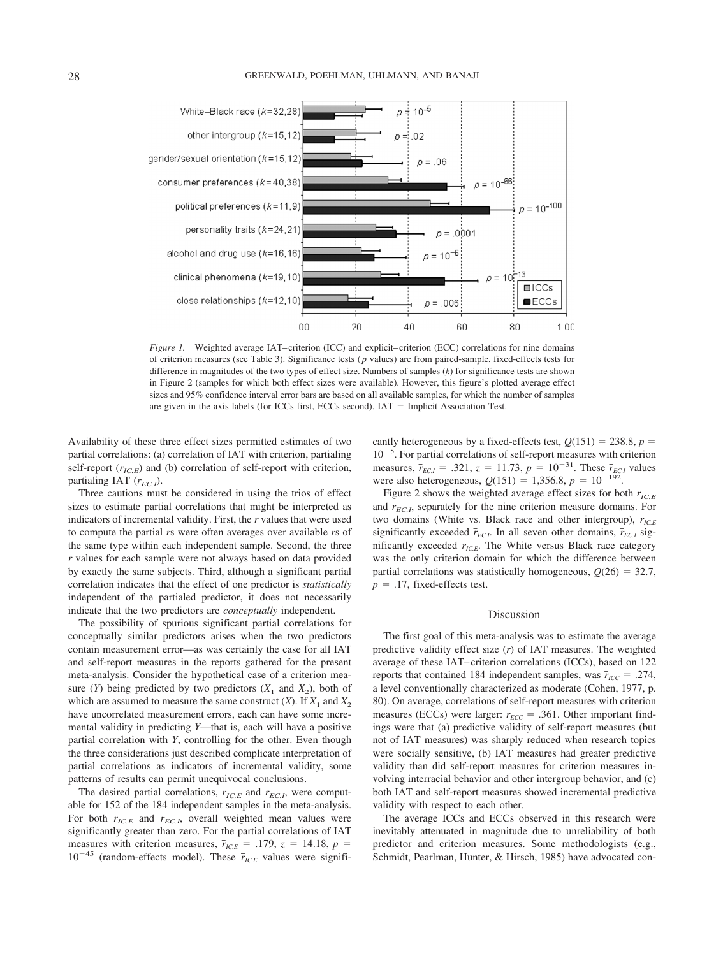

*Figure 1.* Weighted average IAT–criterion (ICC) and explicit–criterion (ECC) correlations for nine domains of criterion measures (see Table 3). Significance tests ( *p* values) are from paired-sample, fixed-effects tests for difference in magnitudes of the two types of effect size. Numbers of samples (*k*) for significance tests are shown in Figure 2 (samples for which both effect sizes were available). However, this figure's plotted average effect sizes and 95% confidence interval error bars are based on all available samples, for which the number of samples are given in the axis labels (for ICCs first, ECCs second).  $IAT = Implicit Association Test$ .

Availability of these three effect sizes permitted estimates of two partial correlations: (a) correlation of IAT with criterion, partialing self-report  $(r_{IC,E})$  and (b) correlation of self-report with criterion, partialing IAT  $(r_{ECI})$ .

Three cautions must be considered in using the trios of effect sizes to estimate partial correlations that might be interpreted as indicators of incremental validity. First, the *r* values that were used to compute the partial *r*s were often averages over available *r*s of the same type within each independent sample. Second, the three *r* values for each sample were not always based on data provided by exactly the same subjects. Third, although a significant partial correlation indicates that the effect of one predictor is *statistically* independent of the partialed predictor, it does not necessarily indicate that the two predictors are *conceptually* independent.

The possibility of spurious significant partial correlations for conceptually similar predictors arises when the two predictors contain measurement error—as was certainly the case for all IAT and self-report measures in the reports gathered for the present meta-analysis. Consider the hypothetical case of a criterion measure (*Y*) being predicted by two predictors  $(X_1$  and  $X_2$ ), both of which are assumed to measure the same construct  $(X)$ . If  $X_1$  and  $X_2$ have uncorrelated measurement errors, each can have some incremental validity in predicting *Y*—that is, each will have a positive partial correlation with *Y*, controlling for the other. Even though the three considerations just described complicate interpretation of partial correlations as indicators of incremental validity, some patterns of results can permit unequivocal conclusions.

The desired partial correlations,  $r_{ICE}$  and  $r_{EC}$ , were computable for 152 of the 184 independent samples in the meta-analysis. For both  $r_{ICE}$  and  $r_{EC}$ , overall weighted mean values were significantly greater than zero. For the partial correlations of IAT measures with criterion measures,  $\bar{r}_{ICE}$  = .179,  $z = 14.18$ ,  $p =$  $10^{-45}$  (random-effects model). These  $\bar{r}_{ICE}$  values were significantly heterogeneous by a fixed-effects test,  $Q(151) = 238.8$ ,  $p =$  $10^{-5}$ . For partial correlations of self-report measures with criterion measures,  $\bar{r}_{ECI} = .321$ ,  $z = 11.73$ ,  $p = 10^{-31}$ . These  $\bar{r}_{ECI}$  values were also heterogeneous,  $Q(151) = 1,356.8, p = 10^{-192}$ .

Figure 2 shows the weighted average effect sizes for both  $r_{ICE}$ and  $r_{EC,I}$ , separately for the nine criterion measure domains. For two domains (White vs. Black race and other intergroup),  $\bar{r}_{ICE}$ significantly exceeded  $\bar{r}_{EC}$ . In all seven other domains,  $\bar{r}_{EC}$  significantly exceeded  $\bar{r}_{ICE}$ . The White versus Black race category was the only criterion domain for which the difference between partial correlations was statistically homogeneous,  $Q(26) = 32.7$ ,  $p = .17$ , fixed-effects test.

#### Discussion

The first goal of this meta-analysis was to estimate the average predictive validity effect size (*r*) of IAT measures. The weighted average of these IAT– criterion correlations (ICCs), based on 122 reports that contained 184 independent samples, was  $\bar{r}_{ICC} = .274$ , a level conventionally characterized as moderate (Cohen, 1977, p. 80). On average, correlations of self-report measures with criterion measures (ECCs) were larger:  $\bar{r}_{ECC}$  = .361. Other important findings were that (a) predictive validity of self-report measures (but not of IAT measures) was sharply reduced when research topics were socially sensitive, (b) IAT measures had greater predictive validity than did self-report measures for criterion measures involving interracial behavior and other intergroup behavior, and (c) both IAT and self-report measures showed incremental predictive validity with respect to each other.

The average ICCs and ECCs observed in this research were inevitably attenuated in magnitude due to unreliability of both predictor and criterion measures. Some methodologists (e.g., Schmidt, Pearlman, Hunter, & Hirsch, 1985) have advocated con-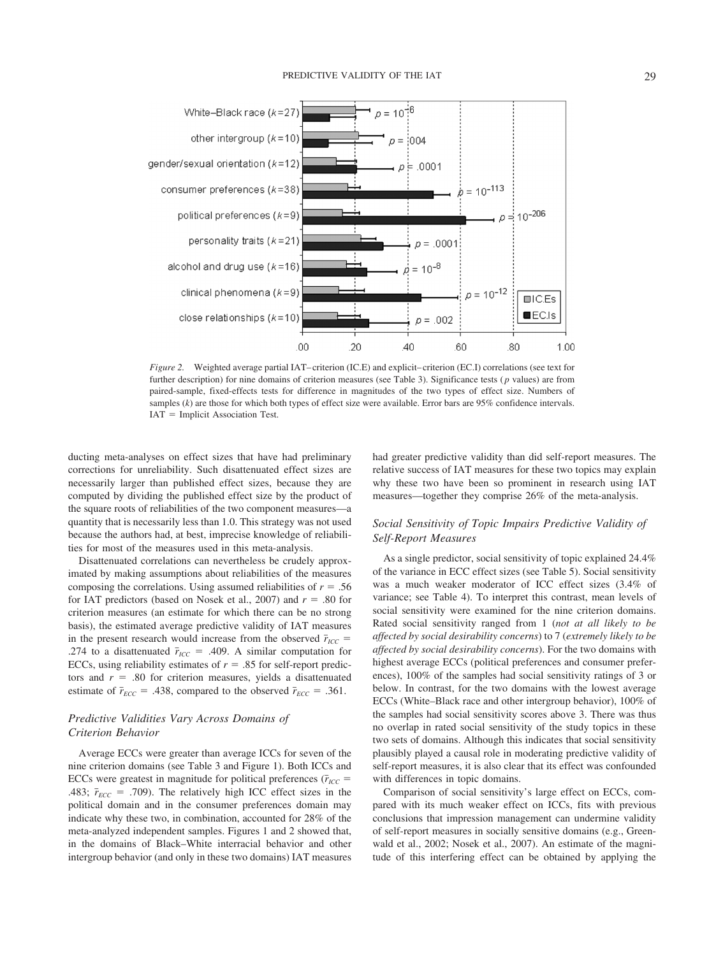

*Figure 2.* Weighted average partial IAT–criterion (IC.E) and explicit–criterion (EC.I) correlations (see text for further description) for nine domains of criterion measures (see Table 3). Significance tests ( *p* values) are from paired-sample, fixed-effects tests for difference in magnitudes of the two types of effect size. Numbers of samples (*k*) are those for which both types of effect size were available. Error bars are 95% confidence intervals.  $IAT = Implicit Association Test$ .

ducting meta-analyses on effect sizes that have had preliminary corrections for unreliability. Such disattenuated effect sizes are necessarily larger than published effect sizes, because they are computed by dividing the published effect size by the product of the square roots of reliabilities of the two component measures—a quantity that is necessarily less than 1.0. This strategy was not used because the authors had, at best, imprecise knowledge of reliabilities for most of the measures used in this meta-analysis.

Disattenuated correlations can nevertheless be crudely approximated by making assumptions about reliabilities of the measures composing the correlations. Using assumed reliabilities of  $r = .56$ for IAT predictors (based on Nosek et al., 2007) and  $r = .80$  for criterion measures (an estimate for which there can be no strong basis), the estimated average predictive validity of IAT measures in the present research would increase from the observed  $\bar{r}_{\text{ICC}} =$ .274 to a disattenuated  $\bar{r}_{\text{ICC}} = .409$ . A similar computation for ECCs, using reliability estimates of  $r = .85$  for self-report predictors and  $r = .80$  for criterion measures, yields a disattenuated estimate of  $\bar{r}_{ECC}$  = .438, compared to the observed  $\bar{r}_{ECC}$  = .361.

## *Predictive Validities Vary Across Domains of Criterion Behavior*

Average ECCs were greater than average ICCs for seven of the nine criterion domains (see Table 3 and Figure 1). Both ICCs and ECCs were greatest in magnitude for political preferences ( $\bar{r}_{\text{ICC}}$  = .483;  $\bar{r}_{ECC}$  = .709). The relatively high ICC effect sizes in the political domain and in the consumer preferences domain may indicate why these two, in combination, accounted for 28% of the meta-analyzed independent samples. Figures 1 and 2 showed that, in the domains of Black–White interracial behavior and other intergroup behavior (and only in these two domains) IAT measures

had greater predictive validity than did self-report measures. The relative success of IAT measures for these two topics may explain why these two have been so prominent in research using IAT measures—together they comprise 26% of the meta-analysis.

## *Social Sensitivity of Topic Impairs Predictive Validity of Self-Report Measures*

As a single predictor, social sensitivity of topic explained 24.4% of the variance in ECC effect sizes (see Table 5). Social sensitivity was a much weaker moderator of ICC effect sizes (3.4% of variance; see Table 4). To interpret this contrast, mean levels of social sensitivity were examined for the nine criterion domains. Rated social sensitivity ranged from 1 (*not at all likely to be affected by social desirability concerns*) to 7 (*extremely likely to be affected by social desirability concerns*). For the two domains with highest average ECCs (political preferences and consumer preferences), 100% of the samples had social sensitivity ratings of 3 or below. In contrast, for the two domains with the lowest average ECCs (White–Black race and other intergroup behavior), 100% of the samples had social sensitivity scores above 3. There was thus no overlap in rated social sensitivity of the study topics in these two sets of domains. Although this indicates that social sensitivity plausibly played a causal role in moderating predictive validity of self-report measures, it is also clear that its effect was confounded with differences in topic domains.

Comparison of social sensitivity's large effect on ECCs, compared with its much weaker effect on ICCs, fits with previous conclusions that impression management can undermine validity of self-report measures in socially sensitive domains (e.g., Greenwald et al., 2002; Nosek et al., 2007). An estimate of the magnitude of this interfering effect can be obtained by applying the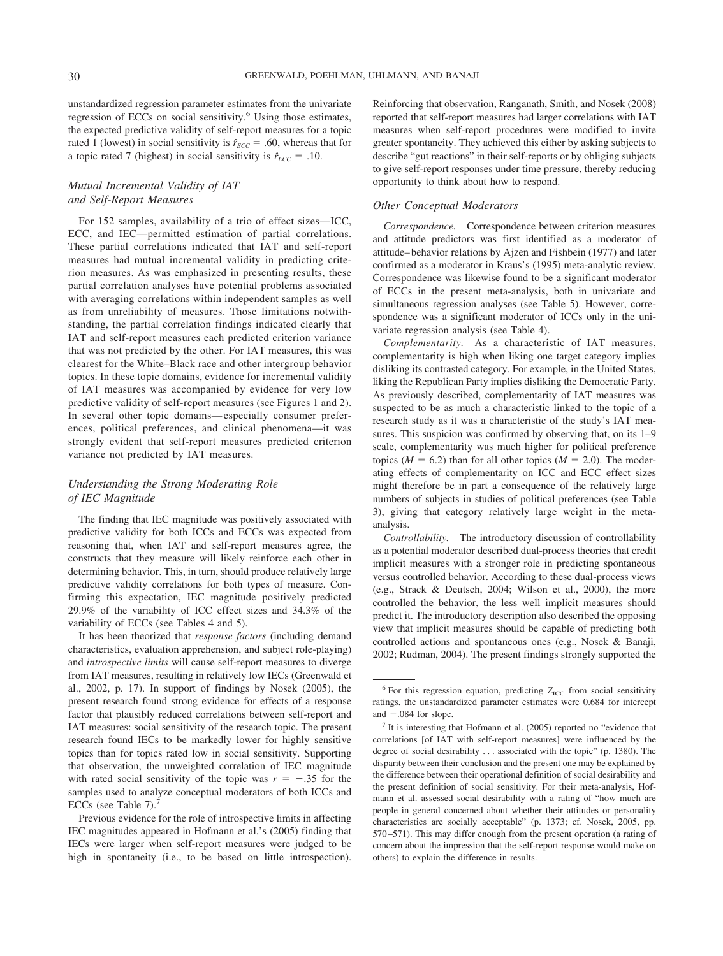unstandardized regression parameter estimates from the univariate regression of ECCs on social sensitivity.<sup>6</sup> Using those estimates, the expected predictive validity of self-report measures for a topic rated 1 (lowest) in social sensitivity is  $\hat{r}_{ECC} = .60$ , whereas that for a topic rated 7 (highest) in social sensitivity is  $\hat{r}_{\text{ECC}} = .10$ .

## *Mutual Incremental Validity of IAT and Self-Report Measures*

For 152 samples, availability of a trio of effect sizes—ICC, ECC, and IEC—permitted estimation of partial correlations. These partial correlations indicated that IAT and self-report measures had mutual incremental validity in predicting criterion measures. As was emphasized in presenting results, these partial correlation analyses have potential problems associated with averaging correlations within independent samples as well as from unreliability of measures. Those limitations notwithstanding, the partial correlation findings indicated clearly that IAT and self-report measures each predicted criterion variance that was not predicted by the other. For IAT measures, this was clearest for the White–Black race and other intergroup behavior topics. In these topic domains, evidence for incremental validity of IAT measures was accompanied by evidence for very low predictive validity of self-report measures (see Figures 1 and 2). In several other topic domains— especially consumer preferences, political preferences, and clinical phenomena—it was strongly evident that self-report measures predicted criterion variance not predicted by IAT measures.

## *Understanding the Strong Moderating Role of IEC Magnitude*

The finding that IEC magnitude was positively associated with predictive validity for both ICCs and ECCs was expected from reasoning that, when IAT and self-report measures agree, the constructs that they measure will likely reinforce each other in determining behavior. This, in turn, should produce relatively large predictive validity correlations for both types of measure. Confirming this expectation, IEC magnitude positively predicted 29.9% of the variability of ICC effect sizes and 34.3% of the variability of ECCs (see Tables 4 and 5).

It has been theorized that *response factors* (including demand characteristics, evaluation apprehension, and subject role-playing) and *introspective limits* will cause self-report measures to diverge from IAT measures, resulting in relatively low IECs (Greenwald et al., 2002, p. 17). In support of findings by Nosek (2005), the present research found strong evidence for effects of a response factor that plausibly reduced correlations between self-report and IAT measures: social sensitivity of the research topic. The present research found IECs to be markedly lower for highly sensitive topics than for topics rated low in social sensitivity. Supporting that observation, the unweighted correlation of IEC magnitude with rated social sensitivity of the topic was  $r = -.35$  for the samples used to analyze conceptual moderators of both ICCs and ECCs (see Table 7).<sup>7</sup>

Previous evidence for the role of introspective limits in affecting IEC magnitudes appeared in Hofmann et al.'s (2005) finding that IECs were larger when self-report measures were judged to be high in spontaneity (i.e., to be based on little introspection).

Reinforcing that observation, Ranganath, Smith, and Nosek (2008) reported that self-report measures had larger correlations with IAT measures when self-report procedures were modified to invite greater spontaneity. They achieved this either by asking subjects to describe "gut reactions" in their self-reports or by obliging subjects to give self-report responses under time pressure, thereby reducing opportunity to think about how to respond.

#### *Other Conceptual Moderators*

*Correspondence.* Correspondence between criterion measures and attitude predictors was first identified as a moderator of attitude– behavior relations by Ajzen and Fishbein (1977) and later confirmed as a moderator in Kraus's (1995) meta-analytic review. Correspondence was likewise found to be a significant moderator of ECCs in the present meta-analysis, both in univariate and simultaneous regression analyses (see Table 5). However, correspondence was a significant moderator of ICCs only in the univariate regression analysis (see Table 4).

*Complementarity.* As a characteristic of IAT measures, complementarity is high when liking one target category implies disliking its contrasted category. For example, in the United States, liking the Republican Party implies disliking the Democratic Party. As previously described, complementarity of IAT measures was suspected to be as much a characteristic linked to the topic of a research study as it was a characteristic of the study's IAT measures. This suspicion was confirmed by observing that, on its 1–9 scale, complementarity was much higher for political preference topics ( $M = 6.2$ ) than for all other topics ( $M = 2.0$ ). The moderating effects of complementarity on ICC and ECC effect sizes might therefore be in part a consequence of the relatively large numbers of subjects in studies of political preferences (see Table 3), giving that category relatively large weight in the metaanalysis.

*Controllability.* The introductory discussion of controllability as a potential moderator described dual-process theories that credit implicit measures with a stronger role in predicting spontaneous versus controlled behavior. According to these dual-process views (e.g., Strack & Deutsch, 2004; Wilson et al., 2000), the more controlled the behavior, the less well implicit measures should predict it. The introductory description also described the opposing view that implicit measures should be capable of predicting both controlled actions and spontaneous ones (e.g., Nosek & Banaji, 2002; Rudman, 2004). The present findings strongly supported the

<sup>&</sup>lt;sup>6</sup> For this regression equation, predicting  $Z_{\text{ICC}}$  from social sensitivity ratings, the unstandardized parameter estimates were 0.684 for intercept and  $-.084$  for slope.

 $<sup>7</sup>$  It is interesting that Hofmann et al. (2005) reported no "evidence that</sup> correlations [of IAT with self-report measures] were influenced by the degree of social desirability . . . associated with the topic" (p. 1380). The disparity between their conclusion and the present one may be explained by the difference between their operational definition of social desirability and the present definition of social sensitivity. For their meta-analysis, Hofmann et al. assessed social desirability with a rating of "how much are people in general concerned about whether their attitudes or personality characteristics are socially acceptable" (p. 1373; cf. Nosek, 2005, pp. 570 –571). This may differ enough from the present operation (a rating of concern about the impression that the self-report response would make on others) to explain the difference in results.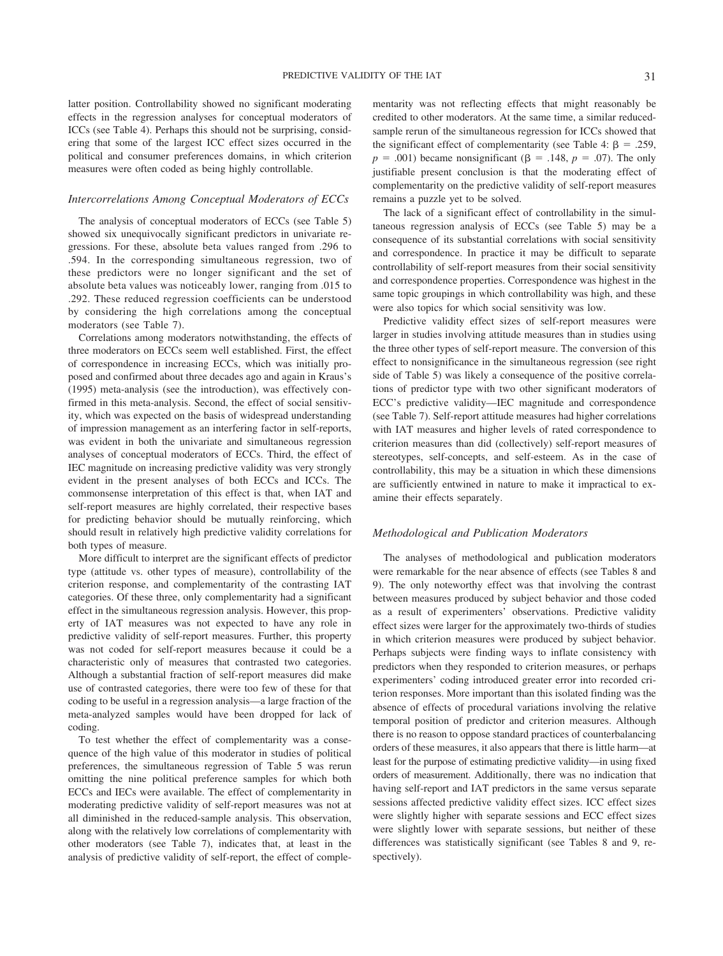latter position. Controllability showed no significant moderating effects in the regression analyses for conceptual moderators of ICCs (see Table 4). Perhaps this should not be surprising, considering that some of the largest ICC effect sizes occurred in the political and consumer preferences domains, in which criterion measures were often coded as being highly controllable.

#### *Intercorrelations Among Conceptual Moderators of ECCs*

The analysis of conceptual moderators of ECCs (see Table 5) showed six unequivocally significant predictors in univariate regressions. For these, absolute beta values ranged from .296 to .594. In the corresponding simultaneous regression, two of these predictors were no longer significant and the set of absolute beta values was noticeably lower, ranging from .015 to .292. These reduced regression coefficients can be understood by considering the high correlations among the conceptual moderators (see Table 7).

Correlations among moderators notwithstanding, the effects of three moderators on ECCs seem well established. First, the effect of correspondence in increasing ECCs, which was initially proposed and confirmed about three decades ago and again in Kraus's (1995) meta-analysis (see the introduction), was effectively confirmed in this meta-analysis. Second, the effect of social sensitivity, which was expected on the basis of widespread understanding of impression management as an interfering factor in self-reports, was evident in both the univariate and simultaneous regression analyses of conceptual moderators of ECCs. Third, the effect of IEC magnitude on increasing predictive validity was very strongly evident in the present analyses of both ECCs and ICCs. The commonsense interpretation of this effect is that, when IAT and self-report measures are highly correlated, their respective bases for predicting behavior should be mutually reinforcing, which should result in relatively high predictive validity correlations for both types of measure.

More difficult to interpret are the significant effects of predictor type (attitude vs. other types of measure), controllability of the criterion response, and complementarity of the contrasting IAT categories. Of these three, only complementarity had a significant effect in the simultaneous regression analysis. However, this property of IAT measures was not expected to have any role in predictive validity of self-report measures. Further, this property was not coded for self-report measures because it could be a characteristic only of measures that contrasted two categories. Although a substantial fraction of self-report measures did make use of contrasted categories, there were too few of these for that coding to be useful in a regression analysis—a large fraction of the meta-analyzed samples would have been dropped for lack of coding.

To test whether the effect of complementarity was a consequence of the high value of this moderator in studies of political preferences, the simultaneous regression of Table 5 was rerun omitting the nine political preference samples for which both ECCs and IECs were available. The effect of complementarity in moderating predictive validity of self-report measures was not at all diminished in the reduced-sample analysis. This observation, along with the relatively low correlations of complementarity with other moderators (see Table 7), indicates that, at least in the analysis of predictive validity of self-report, the effect of comple-

mentarity was not reflecting effects that might reasonably be credited to other moderators. At the same time, a similar reducedsample rerun of the simultaneous regression for ICCs showed that the significant effect of complementarity (see Table 4:  $\beta = .259$ ,  $p = .001$ ) became nonsignificant ( $\beta = .148$ ,  $p = .07$ ). The only justifiable present conclusion is that the moderating effect of complementarity on the predictive validity of self-report measures remains a puzzle yet to be solved.

The lack of a significant effect of controllability in the simultaneous regression analysis of ECCs (see Table 5) may be a consequence of its substantial correlations with social sensitivity and correspondence. In practice it may be difficult to separate controllability of self-report measures from their social sensitivity and correspondence properties. Correspondence was highest in the same topic groupings in which controllability was high, and these were also topics for which social sensitivity was low.

Predictive validity effect sizes of self-report measures were larger in studies involving attitude measures than in studies using the three other types of self-report measure. The conversion of this effect to nonsignificance in the simultaneous regression (see right side of Table 5) was likely a consequence of the positive correlations of predictor type with two other significant moderators of ECC's predictive validity—IEC magnitude and correspondence (see Table 7). Self-report attitude measures had higher correlations with IAT measures and higher levels of rated correspondence to criterion measures than did (collectively) self-report measures of stereotypes, self-concepts, and self-esteem. As in the case of controllability, this may be a situation in which these dimensions are sufficiently entwined in nature to make it impractical to examine their effects separately.

#### *Methodological and Publication Moderators*

The analyses of methodological and publication moderators were remarkable for the near absence of effects (see Tables 8 and 9). The only noteworthy effect was that involving the contrast between measures produced by subject behavior and those coded as a result of experimenters' observations. Predictive validity effect sizes were larger for the approximately two-thirds of studies in which criterion measures were produced by subject behavior. Perhaps subjects were finding ways to inflate consistency with predictors when they responded to criterion measures, or perhaps experimenters' coding introduced greater error into recorded criterion responses. More important than this isolated finding was the absence of effects of procedural variations involving the relative temporal position of predictor and criterion measures. Although there is no reason to oppose standard practices of counterbalancing orders of these measures, it also appears that there is little harm—at least for the purpose of estimating predictive validity—in using fixed orders of measurement. Additionally, there was no indication that having self-report and IAT predictors in the same versus separate sessions affected predictive validity effect sizes. ICC effect sizes were slightly higher with separate sessions and ECC effect sizes were slightly lower with separate sessions, but neither of these differences was statistically significant (see Tables 8 and 9, respectively).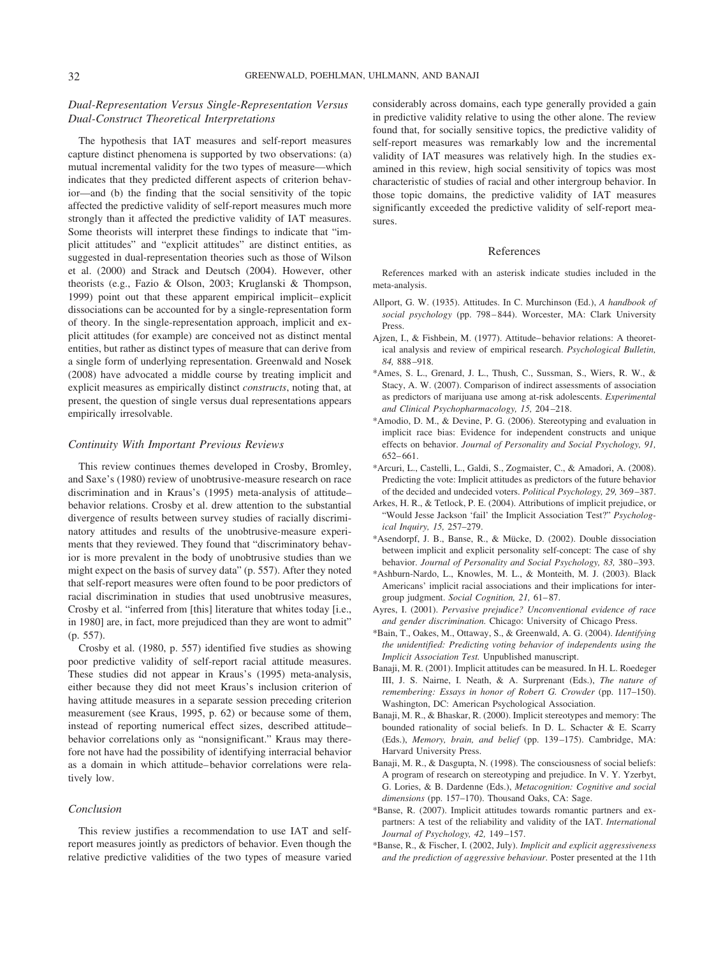## *Dual-Representation Versus Single-Representation Versus Dual-Construct Theoretical Interpretations*

The hypothesis that IAT measures and self-report measures capture distinct phenomena is supported by two observations: (a) mutual incremental validity for the two types of measure—which indicates that they predicted different aspects of criterion behavior—and (b) the finding that the social sensitivity of the topic affected the predictive validity of self-report measures much more strongly than it affected the predictive validity of IAT measures. Some theorists will interpret these findings to indicate that "implicit attitudes" and "explicit attitudes" are distinct entities, as suggested in dual-representation theories such as those of Wilson et al. (2000) and Strack and Deutsch (2004). However, other theorists (e.g., Fazio & Olson, 2003; Kruglanski & Thompson, 1999) point out that these apparent empirical implicit– explicit dissociations can be accounted for by a single-representation form of theory. In the single-representation approach, implicit and explicit attitudes (for example) are conceived not as distinct mental entities, but rather as distinct types of measure that can derive from a single form of underlying representation. Greenwald and Nosek (2008) have advocated a middle course by treating implicit and explicit measures as empirically distinct *constructs*, noting that, at present, the question of single versus dual representations appears empirically irresolvable.

#### *Continuity With Important Previous Reviews*

This review continues themes developed in Crosby, Bromley, and Saxe's (1980) review of unobtrusive-measure research on race discrimination and in Kraus's (1995) meta-analysis of attitude– behavior relations. Crosby et al. drew attention to the substantial divergence of results between survey studies of racially discriminatory attitudes and results of the unobtrusive-measure experiments that they reviewed. They found that "discriminatory behavior is more prevalent in the body of unobtrusive studies than we might expect on the basis of survey data" (p. 557). After they noted that self-report measures were often found to be poor predictors of racial discrimination in studies that used unobtrusive measures, Crosby et al. "inferred from [this] literature that whites today [i.e., in 1980] are, in fact, more prejudiced than they are wont to admit" (p. 557).

Crosby et al. (1980, p. 557) identified five studies as showing poor predictive validity of self-report racial attitude measures. These studies did not appear in Kraus's (1995) meta-analysis, either because they did not meet Kraus's inclusion criterion of having attitude measures in a separate session preceding criterion measurement (see Kraus, 1995, p. 62) or because some of them, instead of reporting numerical effect sizes, described attitude– behavior correlations only as "nonsignificant." Kraus may therefore not have had the possibility of identifying interracial behavior as a domain in which attitude– behavior correlations were relatively low.

#### *Conclusion*

This review justifies a recommendation to use IAT and selfreport measures jointly as predictors of behavior. Even though the relative predictive validities of the two types of measure varied considerably across domains, each type generally provided a gain in predictive validity relative to using the other alone. The review found that, for socially sensitive topics, the predictive validity of self-report measures was remarkably low and the incremental validity of IAT measures was relatively high. In the studies examined in this review, high social sensitivity of topics was most characteristic of studies of racial and other intergroup behavior. In those topic domains, the predictive validity of IAT measures significantly exceeded the predictive validity of self-report measures.

#### References

References marked with an asterisk indicate studies included in the meta-analysis.

- Allport, G. W. (1935). Attitudes. In C. Murchinson (Ed.), *A handbook of social psychology* (pp. 798 – 844). Worcester, MA: Clark University Press.
- Ajzen, I., & Fishbein, M. (1977). Attitude– behavior relations: A theoretical analysis and review of empirical research. *Psychological Bulletin, 84,* 888 –918.
- \*Ames, S. L., Grenard, J. L., Thush, C., Sussman, S., Wiers, R. W., & Stacy, A. W. (2007). Comparison of indirect assessments of association as predictors of marijuana use among at-risk adolescents. *Experimental and Clinical Psychopharmacology, 15,* 204 –218.
- \*Amodio, D. M., & Devine, P. G. (2006). Stereotyping and evaluation in implicit race bias: Evidence for independent constructs and unique effects on behavior. *Journal of Personality and Social Psychology, 91,* 652– 661.
- \*Arcuri, L., Castelli, L., Galdi, S., Zogmaister, C., & Amadori, A. (2008). Predicting the vote: Implicit attitudes as predictors of the future behavior of the decided and undecided voters. *Political Psychology, 29,* 369 –387.
- Arkes, H. R., & Tetlock, P. E. (2004). Attributions of implicit prejudice, or "Would Jesse Jackson 'fail' the Implicit Association Test?" *Psychological Inquiry, 15,* 257–279.
- \*Asendorpf, J. B., Banse, R., & Mücke, D. (2002). Double dissociation between implicit and explicit personality self-concept: The case of shy behavior. *Journal of Personality and Social Psychology, 83,* 380 –393.
- \*Ashburn-Nardo, L., Knowles, M. L., & Monteith, M. J. (2003). Black Americans' implicit racial associations and their implications for intergroup judgment. *Social Cognition*, 21, 61-87.
- Ayres, I. (2001). *Pervasive prejudice? Unconventional evidence of race and gender discrimination.* Chicago: University of Chicago Press.
- \*Bain, T., Oakes, M., Ottaway, S., & Greenwald, A. G. (2004). *Identifying the unidentified: Predicting voting behavior of independents using the Implicit Association Test.* Unpublished manuscript.
- Banaji, M. R. (2001). Implicit attitudes can be measured. In H. L. Roedeger III, J. S. Nairne, I. Neath, & A. Surprenant (Eds.), *The nature of remembering: Essays in honor of Robert G. Crowder* (pp. 117–150). Washington, DC: American Psychological Association.
- Banaji, M. R., & Bhaskar, R. (2000). Implicit stereotypes and memory: The bounded rationality of social beliefs. In D. L. Schacter & E. Scarry (Eds.), *Memory, brain, and belief* (pp. 139 –175). Cambridge, MA: Harvard University Press.
- Banaji, M. R., & Dasgupta, N. (1998). The consciousness of social beliefs: A program of research on stereotyping and prejudice. In V. Y. Yzerbyt, G. Lories, & B. Dardenne (Eds.), *Metacognition: Cognitive and social dimensions* (pp. 157–170). Thousand Oaks, CA: Sage.
- \*Banse, R. (2007). Implicit attitudes towards romantic partners and expartners: A test of the reliability and validity of the IAT. *International Journal of Psychology, 42,* 149 –157.
- \*Banse, R., & Fischer, I. (2002, July). *Implicit and explicit aggressiveness and the prediction of aggressive behaviour.* Poster presented at the 11th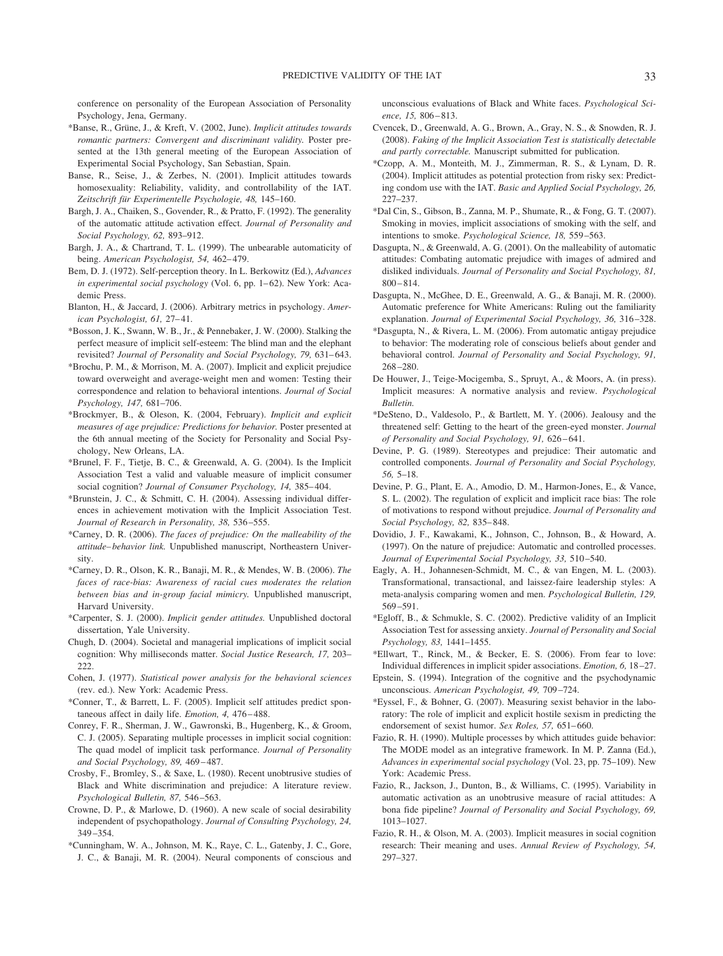conference on personality of the European Association of Personality Psychology, Jena, Germany.

- \*Banse, R., Gru¨ne, J., & Kreft, V. (2002, June). *Implicit attitudes towards romantic partners: Convergent and discriminant validity.* Poster presented at the 13th general meeting of the European Association of Experimental Social Psychology, San Sebastian, Spain.
- Banse, R., Seise, J., & Zerbes, N. (2001). Implicit attitudes towards homosexuality: Reliability, validity, and controllability of the IAT. *Zeitschrift fu¨r Experimentelle Psychologie, 48,* 145–160.
- Bargh, J. A., Chaiken, S., Govender, R., & Pratto, F. (1992). The generality of the automatic attitude activation effect. *Journal of Personality and Social Psychology, 62,* 893–912.
- Bargh, J. A., & Chartrand, T. L. (1999). The unbearable automaticity of being. *American Psychologist, 54,* 462– 479.
- Bem, D. J. (1972). Self-perception theory. In L. Berkowitz (Ed.), *Advances in experimental social psychology* (Vol. 6, pp. 1–62). New York: Academic Press.
- Blanton, H., & Jaccard, J. (2006). Arbitrary metrics in psychology. *American Psychologist, 61,* 27– 41.
- \*Bosson, J. K., Swann, W. B., Jr., & Pennebaker, J. W. (2000). Stalking the perfect measure of implicit self-esteem: The blind man and the elephant revisited? *Journal of Personality and Social Psychology, 79,* 631– 643.
- \*Brochu, P. M., & Morrison, M. A. (2007). Implicit and explicit prejudice toward overweight and average-weight men and women: Testing their correspondence and relation to behavioral intentions. *Journal of Social Psychology, 147,* 681–706.
- \*Brockmyer, B., & Oleson, K. (2004, February). *Implicit and explicit measures of age prejudice: Predictions for behavior.* Poster presented at the 6th annual meeting of the Society for Personality and Social Psychology, New Orleans, LA.
- \*Brunel, F. F., Tietje, B. C., & Greenwald, A. G. (2004). Is the Implicit Association Test a valid and valuable measure of implicit consumer social cognition? *Journal of Consumer Psychology, 14,* 385– 404.
- \*Brunstein, J. C., & Schmitt, C. H. (2004). Assessing individual differences in achievement motivation with the Implicit Association Test. *Journal of Research in Personality, 38,* 536 –555.
- \*Carney, D. R. (2006). *The faces of prejudice: On the malleability of the attitude– behavior link.* Unpublished manuscript, Northeastern University.
- \*Carney, D. R., Olson, K. R., Banaji, M. R., & Mendes, W. B. (2006). *The faces of race-bias: Awareness of racial cues moderates the relation between bias and in-group facial mimicry.* Unpublished manuscript, Harvard University.
- \*Carpenter, S. J. (2000). *Implicit gender attitudes.* Unpublished doctoral dissertation, Yale University.
- Chugh, D. (2004). Societal and managerial implications of implicit social cognition: Why milliseconds matter. *Social Justice Research, 17,* 203– 222.
- Cohen, J. (1977). *Statistical power analysis for the behavioral sciences* (rev. ed.). New York: Academic Press.
- \*Conner, T., & Barrett, L. F. (2005). Implicit self attitudes predict spontaneous affect in daily life. *Emotion, 4,* 476 – 488.
- Conrey, F. R., Sherman, J. W., Gawronski, B., Hugenberg, K., & Groom, C. J. (2005). Separating multiple processes in implicit social cognition: The quad model of implicit task performance. *Journal of Personality and Social Psychology, 89,* 469 – 487.
- Crosby, F., Bromley, S., & Saxe, L. (1980). Recent unobtrusive studies of Black and White discrimination and prejudice: A literature review. *Psychological Bulletin, 87,* 546 –563.
- Crowne, D. P., & Marlowe, D. (1960). A new scale of social desirability independent of psychopathology. *Journal of Consulting Psychology, 24,* 349 –354.
- \*Cunningham, W. A., Johnson, M. K., Raye, C. L., Gatenby, J. C., Gore, J. C., & Banaji, M. R. (2004). Neural components of conscious and

unconscious evaluations of Black and White faces. *Psychological Science, 15,* 806 – 813.

- Cvencek, D., Greenwald, A. G., Brown, A., Gray, N. S., & Snowden, R. J. (2008). *Faking of the Implicit Association Test is statistically detectable and partly correctable.* Manuscript submitted for publication.
- \*Czopp, A. M., Monteith, M. J., Zimmerman, R. S., & Lynam, D. R. (2004). Implicit attitudes as potential protection from risky sex: Predicting condom use with the IAT. *Basic and Applied Social Psychology, 26,* 227–237.
- \*Dal Cin, S., Gibson, B., Zanna, M. P., Shumate, R., & Fong, G. T. (2007). Smoking in movies, implicit associations of smoking with the self, and intentions to smoke. *Psychological Science, 18,* 559 –563.
- Dasgupta, N., & Greenwald, A. G. (2001). On the malleability of automatic attitudes: Combating automatic prejudice with images of admired and disliked individuals. *Journal of Personality and Social Psychology, 81,*  $800 - 814.$
- Dasgupta, N., McGhee, D. E., Greenwald, A. G., & Banaji, M. R. (2000). Automatic preference for White Americans: Ruling out the familiarity explanation. *Journal of Experimental Social Psychology, 36,* 316 –328.
- \*Dasgupta, N., & Rivera, L. M. (2006). From automatic antigay prejudice to behavior: The moderating role of conscious beliefs about gender and behavioral control. *Journal of Personality and Social Psychology, 91,* 268 –280.
- De Houwer, J., Teige-Mocigemba, S., Spruyt, A., & Moors, A. (in press). Implicit measures: A normative analysis and review. *Psychological Bulletin.*
- \*DeSteno, D., Valdesolo, P., & Bartlett, M. Y. (2006). Jealousy and the threatened self: Getting to the heart of the green-eyed monster. *Journal of Personality and Social Psychology, 91,* 626 – 641.
- Devine, P. G. (1989). Stereotypes and prejudice: Their automatic and controlled components. *Journal of Personality and Social Psychology, 56,* 5–18.
- Devine, P. G., Plant, E. A., Amodio, D. M., Harmon-Jones, E., & Vance, S. L. (2002). The regulation of explicit and implicit race bias: The role of motivations to respond without prejudice. *Journal of Personality and Social Psychology, 82,* 835– 848.
- Dovidio, J. F., Kawakami, K., Johnson, C., Johnson, B., & Howard, A. (1997). On the nature of prejudice: Automatic and controlled processes. *Journal of Experimental Social Psychology, 33,* 510 –540.
- Eagly, A. H., Johannesen-Schmidt, M. C., & van Engen, M. L. (2003). Transformational, transactional, and laissez-faire leadership styles: A meta-analysis comparing women and men. *Psychological Bulletin, 129,* 569 –591.
- \*Egloff, B., & Schmukle, S. C. (2002). Predictive validity of an Implicit Association Test for assessing anxiety. *Journal of Personality and Social Psychology, 83,* 1441–1455.
- \*Ellwart, T., Rinck, M., & Becker, E. S. (2006). From fear to love: Individual differences in implicit spider associations. *Emotion, 6,* 18 –27.
- Epstein, S. (1994). Integration of the cognitive and the psychodynamic unconscious. *American Psychologist, 49,* 709 –724.
- \*Eyssel, F., & Bohner, G. (2007). Measuring sexist behavior in the laboratory: The role of implicit and explicit hostile sexism in predicting the endorsement of sexist humor. *Sex Roles*, 57, 651–660.
- Fazio, R. H. (1990). Multiple processes by which attitudes guide behavior: The MODE model as an integrative framework. In M. P. Zanna (Ed.), *Advances in experimental social psychology* (Vol. 23, pp. 75–109). New York: Academic Press.
- Fazio, R., Jackson, J., Dunton, B., & Williams, C. (1995). Variability in automatic activation as an unobtrusive measure of racial attitudes: A bona fide pipeline? *Journal of Personality and Social Psychology, 69,* 1013–1027.
- Fazio, R. H., & Olson, M. A. (2003). Implicit measures in social cognition research: Their meaning and uses. *Annual Review of Psychology, 54,* 297–327.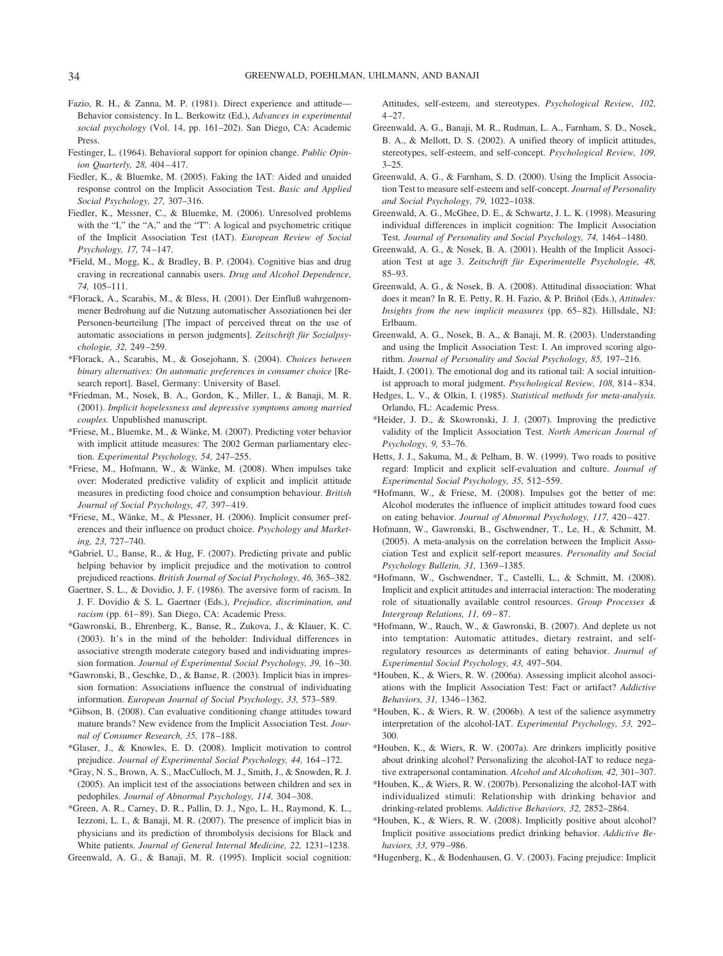- Fazio, R. H., & Zanna, M. P. (1981). Direct experience and attitude— Behavior consistency. In L. Berkowitz (Ed.), *Advances in experimental social psychology* (Vol. 14, pp. 161–202). San Diego, CA: Academic Press.
- Festinger, L. (1964). Behavioral support for opinion change. *Public Opinion Quarterly, 28,* 404 – 417.
- Fiedler, K., & Bluemke, M. (2005). Faking the IAT: Aided and unaided response control on the Implicit Association Test. *Basic and Applied Social Psychology, 27,* 307–316.
- Fiedler, K., Messner, C., & Bluemke, M. (2006). Unresolved problems with the "I," the "A," and the "T": A logical and psychometric critique of the Implicit Association Test (IAT). *European Review of Social Psychology, 17,* 74 –147.
- \*Field, M., Mogg, K., & Bradley, B. P. (2004). Cognitive bias and drug craving in recreational cannabis users. *Drug and Alcohol Dependence, 74,* 105–111.
- \*Florack, A., Scarabis, M., & Bless, H. (2001). Der Einfluß wahrgenommener Bedrohung auf die Nutzung automatischer Assoziationen bei der Personen-beurteilung [The impact of perceived threat on the use of automatic associations in person judgments]. Zeitschrift für Sozialpsy*chologie, 32,* 249 –259.
- \*Florack, A., Scarabis, M., & Gosejohann, S. (2004). *Choices between binary alternatives: On automatic preferences in consumer choice* [Research report]. Basel, Germany: University of Basel.
- \*Friedman, M., Nosek, B. A., Gordon, K., Miller, I., & Banaji, M. R. (2001). *Implicit hopelessness and depressive symptoms among married couples.* Unpublished manuscript.
- \*Friese, M., Bluemke, M., & Wa¨nke, M. (2007). Predicting voter behavior with implicit attitude measures: The 2002 German parliamentary election. *Experimental Psychology, 54,* 247–255.
- \*Friese, M., Hofmann, W., & Wänke, M. (2008). When impulses take over: Moderated predictive validity of explicit and implicit attitude measures in predicting food choice and consumption behaviour. *British Journal of Social Psychology, 47,* 397– 419.
- \*Friese, M., Wänke, M., & Plessner, H. (2006). Implicit consumer preferences and their influence on product choice. *Psychology and Marketing, 23,* 727–740.
- \*Gabriel, U., Banse, R., & Hug, F. (2007). Predicting private and public helping behavior by implicit prejudice and the motivation to control prejudiced reactions. *British Journal of Social Psychology, 46,* 365–382.
- Gaertner, S. L., & Dovidio, J. F. (1986). The aversive form of racism. In J. F. Dovidio & S. L. Gaertner (Eds.), *Prejudice, discrimination, and* racism (pp. 61-89). San Diego, CA: Academic Press.
- \*Gawronski, B., Ehrenberg, K., Banse, R., Zukova, J., & Klauer, K. C. (2003). It's in the mind of the beholder: Individual differences in associative strength moderate category based and individuating impression formation. *Journal of Experimental Social Psychology, 39,* 16 –30.
- \*Gawronski, B., Geschke, D., & Banse, R. (2003). Implicit bias in impression formation: Associations influence the construal of individuating information. *European Journal of Social Psychology, 33,* 573–589.
- \*Gibson, B. (2008). Can evaluative conditioning change attitudes toward mature brands? New evidence from the Implicit Association Test. *Journal of Consumer Research, 35,* 178 –188.
- \*Glaser, J., & Knowles, E. D. (2008). Implicit motivation to control prejudice. *Journal of Experimental Social Psychology, 44,* 164 –172.
- \*Gray, N. S., Brown, A. S., MacCulloch, M. J., Smith, J., & Snowden, R. J. (2005). An implicit test of the associations between children and sex in pedophiles. *Journal of Abnormal Psychology, 114,* 304 –308.
- \*Green, A. R., Carney, D. R., Pallin, D. J., Ngo, L. H., Raymond, K. L., Iezzoni, L. I., & Banaji, M. R. (2007). The presence of implicit bias in physicians and its prediction of thrombolysis decisions for Black and White patients. *Journal of General Internal Medicine, 22,* 1231–1238.

Greenwald, A. G., & Banaji, M. R. (1995). Implicit social cognition:

Attitudes, self-esteem, and stereotypes. *Psychological Review, 102,*  $4 - 27$ .

- Greenwald, A. G., Banaji, M. R., Rudman, L. A., Farnham, S. D., Nosek, B. A., & Mellott, D. S. (2002). A unified theory of implicit attitudes, stereotypes, self-esteem, and self-concept. *Psychological Review, 109,* 3–25.
- Greenwald, A. G., & Farnham, S. D. (2000). Using the Implicit Association Test to measure self-esteem and self-concept. *Journal of Personality and Social Psychology, 79,* 1022–1038.
- Greenwald, A. G., McGhee, D. E., & Schwartz, J. L. K. (1998). Measuring individual differences in implicit cognition: The Implicit Association Test. *Journal of Personality and Social Psychology, 74,* 1464 –1480.
- Greenwald, A. G., & Nosek, B. A. (2001). Health of the Implicit Association Test at age 3. *Zeitschrift fu¨r Experimentelle Psychologie, 48,* 85–93.
- Greenwald, A. G., & Nosek, B. A. (2008). Attitudinal dissociation: What does it mean? In R. E. Petty, R. H. Fazio, & P. Briñol (Eds.), *Attitudes: Insights from the new implicit measures* (pp. 65– 82). Hillsdale, NJ: Erlbaum.
- Greenwald, A. G., Nosek, B. A., & Banaji, M. R. (2003). Understanding and using the Implicit Association Test: I. An improved scoring algorithm. *Journal of Personality and Social Psychology, 85,* 197–216.
- Haidt, J. (2001). The emotional dog and its rational tail: A social intuitionist approach to moral judgment. *Psychological Review, 108,* 814 – 834.
- Hedges, L. V., & Olkin, I. (1985). *Statistical methods for meta-analysis.* Orlando, FL: Academic Press.
- \*Heider, J. D., & Skowronski, J. J. (2007). Improving the predictive validity of the Implicit Association Test. *North American Journal of Psychology, 9,* 53–76.
- Hetts, J. J., Sakuma, M., & Pelham, B. W. (1999). Two roads to positive regard: Implicit and explicit self-evaluation and culture. *Journal of Experimental Social Psychology, 35,* 512–559.
- \*Hofmann, W., & Friese, M. (2008). Impulses got the better of me: Alcohol moderates the influence of implicit attitudes toward food cues on eating behavior. *Journal of Abnormal Psychology, 117, 420–427*.
- Hofmann, W., Gawronski, B., Gschwendner, T., Le, H., & Schmitt, M. (2005). A meta-analysis on the correlation between the Implicit Association Test and explicit self-report measures. *Personality and Social Psychology Bulletin, 31,* 1369 –1385.
- \*Hofmann, W., Gschwendner, T., Castelli, L., & Schmitt, M. (2008). Implicit and explicit attitudes and interracial interaction: The moderating role of situationally available control resources. *Group Processes & Intergroup Relations, 11,* 69 – 87.
- \*Hofmann, W., Rauch, W., & Gawronski, B. (2007). And deplete us not into temptation: Automatic attitudes, dietary restraint, and selfregulatory resources as determinants of eating behavior. *Journal of Experimental Social Psychology, 43,* 497–504.
- \*Houben, K., & Wiers, R. W. (2006a). Assessing implicit alcohol associations with the Implicit Association Test: Fact or artifact? *Addictive Behaviors, 31,* 1346 –1362.
- \*Houben, K., & Wiers, R. W. (2006b). A test of the salience asymmetry interpretation of the alcohol-IAT. *Experimental Psychology, 53,* 292– 300.
- \*Houben, K., & Wiers, R. W. (2007a). Are drinkers implicitly positive about drinking alcohol? Personalizing the alcohol-IAT to reduce negative extrapersonal contamination. *Alcohol and Alcoholism, 42,* 301–307.
- \*Houben, K., & Wiers, R. W. (2007b). Personalizing the alcohol-IAT with individualized stimuli: Relationship with drinking behavior and drinking-related problems. *Addictive Behaviors, 32,* 2852–2864.
- \*Houben, K., & Wiers, R. W. (2008). Implicitly positive about alcohol? Implicit positive associations predict drinking behavior. *Addictive Behaviors, 33,* 979 –986.
- \*Hugenberg, K., & Bodenhausen, G. V. (2003). Facing prejudice: Implicit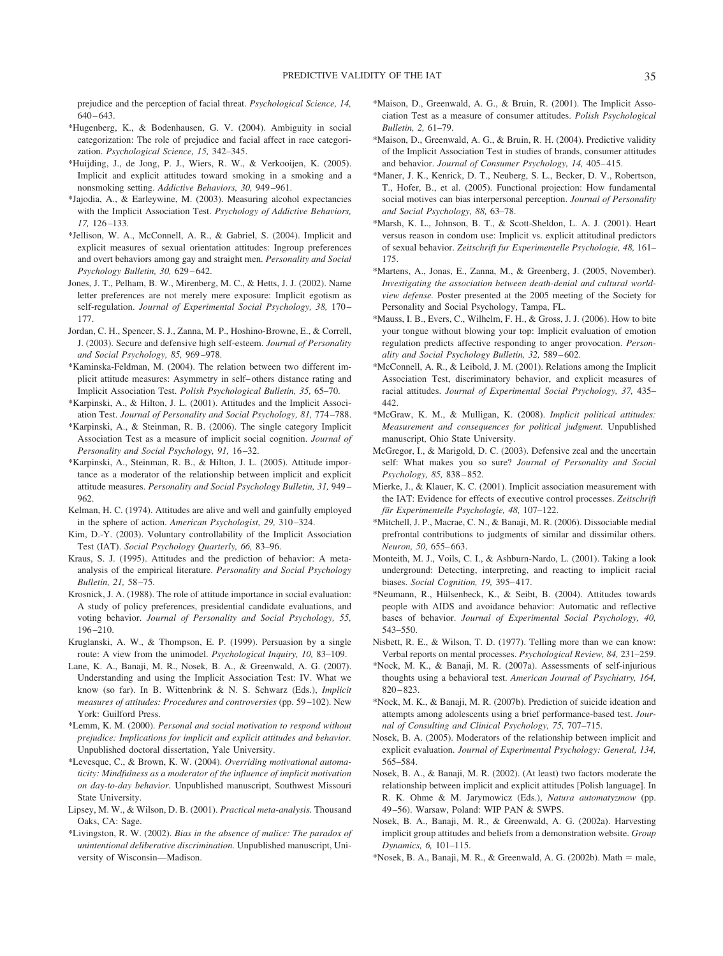prejudice and the perception of facial threat. *Psychological Science, 14,*  $640 - 643.$ 

- \*Hugenberg, K., & Bodenhausen, G. V. (2004). Ambiguity in social categorization: The role of prejudice and facial affect in race categorization. *Psychological Science, 15,* 342–345.
- \*Huijding, J., de Jong, P. J., Wiers, R. W., & Verkooijen, K. (2005). Implicit and explicit attitudes toward smoking in a smoking and a nonsmoking setting. *Addictive Behaviors, 30,* 949 –961.
- \*Jajodia, A., & Earleywine, M. (2003). Measuring alcohol expectancies with the Implicit Association Test. *Psychology of Addictive Behaviors, 17,* 126 –133.
- \*Jellison, W. A., McConnell, A. R., & Gabriel, S. (2004). Implicit and explicit measures of sexual orientation attitudes: Ingroup preferences and overt behaviors among gay and straight men. *Personality and Social Psychology Bulletin, 30,* 629 – 642.
- Jones, J. T., Pelham, B. W., Mirenberg, M. C., & Hetts, J. J. (2002). Name letter preferences are not merely mere exposure: Implicit egotism as self-regulation. *Journal of Experimental Social Psychology, 38,* 170 – 177.
- Jordan, C. H., Spencer, S. J., Zanna, M. P., Hoshino-Browne, E., & Correll, J. (2003). Secure and defensive high self-esteem. *Journal of Personality and Social Psychology, 85,* 969 –978.
- \*Kaminska-Feldman, M. (2004). The relation between two different implicit attitude measures: Asymmetry in self– others distance rating and Implicit Association Test. *Polish Psychological Bulletin, 35,* 65–70.
- \*Karpinski, A., & Hilton, J. L. (2001). Attitudes and the Implicit Association Test. *Journal of Personality and Social Psychology, 81,* 774 –788.
- \*Karpinski, A., & Steinman, R. B. (2006). The single category Implicit Association Test as a measure of implicit social cognition. *Journal of Personality and Social Psychology, 91,* 16 –32.
- \*Karpinski, A., Steinman, R. B., & Hilton, J. L. (2005). Attitude importance as a moderator of the relationship between implicit and explicit attitude measures. *Personality and Social Psychology Bulletin, 31,* 949 – 962.
- Kelman, H. C. (1974). Attitudes are alive and well and gainfully employed in the sphere of action. *American Psychologist, 29,* 310 –324.
- Kim, D.-Y. (2003). Voluntary controllability of the Implicit Association Test (IAT). *Social Psychology Quarterly, 66,* 83–96.
- Kraus, S. J. (1995). Attitudes and the prediction of behavior: A metaanalysis of the empirical literature. *Personality and Social Psychology Bulletin, 21,* 58 –75.
- Krosnick, J. A. (1988). The role of attitude importance in social evaluation: A study of policy preferences, presidential candidate evaluations, and voting behavior. *Journal of Personality and Social Psychology, 55,* 196 –210.
- Kruglanski, A. W., & Thompson, E. P. (1999). Persuasion by a single route: A view from the unimodel. *Psychological Inquiry, 10,* 83–109.
- Lane, K. A., Banaji, M. R., Nosek, B. A., & Greenwald, A. G. (2007). Understanding and using the Implicit Association Test: IV. What we know (so far). In B. Wittenbrink & N. S. Schwarz (Eds.), *Implicit measures of attitudes: Procedures and controversies* (pp. 59 –102). New York: Guilford Press.
- \*Lemm, K. M. (2000). *Personal and social motivation to respond without prejudice: Implications for implicit and explicit attitudes and behavior.* Unpublished doctoral dissertation, Yale University.
- \*Levesque, C., & Brown, K. W. (2004). *Overriding motivational automaticity: Mindfulness as a moderator of the influence of implicit motivation on day-to-day behavior.* Unpublished manuscript, Southwest Missouri State University.
- Lipsey, M. W., & Wilson, D. B. (2001). *Practical meta-analysis.* Thousand Oaks, CA: Sage.
- \*Livingston, R. W. (2002). *Bias in the absence of malice: The paradox of unintentional deliberative discrimination.* Unpublished manuscript, University of Wisconsin—Madison.
- \*Maison, D., Greenwald, A. G., & Bruin, R. (2001). The Implicit Association Test as a measure of consumer attitudes. *Polish Psychological Bulletin, 2,* 61–79.
- \*Maison, D., Greenwald, A. G., & Bruin, R. H. (2004). Predictive validity of the Implicit Association Test in studies of brands, consumer attitudes and behavior. *Journal of Consumer Psychology, 14, 405–415.*
- \*Maner, J. K., Kenrick, D. T., Neuberg, S. L., Becker, D. V., Robertson, T., Hofer, B., et al. (2005). Functional projection: How fundamental social motives can bias interpersonal perception. *Journal of Personality and Social Psychology, 88,* 63–78.
- \*Marsh, K. L., Johnson, B. T., & Scott-Sheldon, L. A. J. (2001). Heart versus reason in condom use: Implicit vs. explicit attitudinal predictors of sexual behavior. *Zeitschrift fur Experimentelle Psychologie, 48,* 161– 175.
- \*Martens, A., Jonas, E., Zanna, M., & Greenberg, J. (2005, November). *Investigating the association between death-denial and cultural worldview defense.* Poster presented at the 2005 meeting of the Society for Personality and Social Psychology, Tampa, FL.
- \*Mauss, I. B., Evers, C., Wilhelm, F. H., & Gross, J. J. (2006). How to bite your tongue without blowing your top: Implicit evaluation of emotion regulation predicts affective responding to anger provocation. *Personality and Social Psychology Bulletin, 32,* 589 – 602.
- \*McConnell, A. R., & Leibold, J. M. (2001). Relations among the Implicit Association Test, discriminatory behavior, and explicit measures of racial attitudes. *Journal of Experimental Social Psychology, 37,* 435– 442.
- \*McGraw, K. M., & Mulligan, K. (2008). *Implicit political attitudes: Measurement and consequences for political judgment.* Unpublished manuscript, Ohio State University.
- McGregor, I., & Marigold, D. C. (2003). Defensive zeal and the uncertain self: What makes you so sure? *Journal of Personality and Social Psychology, 85,* 838 – 852.
- Mierke, J., & Klauer, K. C. (2001). Implicit association measurement with the IAT: Evidence for effects of executive control processes. *Zeitschrift fu¨r Experimentelle Psychologie, 48,* 107–122.
- \*Mitchell, J. P., Macrae, C. N., & Banaji, M. R. (2006). Dissociable medial prefrontal contributions to judgments of similar and dissimilar others. *Neuron, 50,* 655– 663.
- Monteith, M. J., Voils, C. I., & Ashburn-Nardo, L. (2001). Taking a look underground: Detecting, interpreting, and reacting to implicit racial biases. *Social Cognition, 19,* 395– 417.
- \*Neumann, R., Hu¨lsenbeck, K., & Seibt, B. (2004). Attitudes towards people with AIDS and avoidance behavior: Automatic and reflective bases of behavior. *Journal of Experimental Social Psychology, 40,* 543–550.
- Nisbett, R. E., & Wilson, T. D. (1977). Telling more than we can know: Verbal reports on mental processes. *Psychological Review, 84,* 231–259.
- \*Nock, M. K., & Banaji, M. R. (2007a). Assessments of self-injurious thoughts using a behavioral test. *American Journal of Psychiatry, 164,*  $820 - 823$ .
- \*Nock, M. K., & Banaji, M. R. (2007b). Prediction of suicide ideation and attempts among adolescents using a brief performance-based test. *Journal of Consulting and Clinical Psychology, 75,* 707–715.
- Nosek, B. A. (2005). Moderators of the relationship between implicit and explicit evaluation. *Journal of Experimental Psychology: General, 134,* 565–584.
- Nosek, B. A., & Banaji, M. R. (2002). (At least) two factors moderate the relationship between implicit and explicit attitudes [Polish language]. In R. K. Ohme & M. Jarymowicz (Eds.), *Natura automatyzmow* (pp. 49 –56). Warsaw, Poland: WIP PAN & SWPS.
- Nosek, B. A., Banaji, M. R., & Greenwald, A. G. (2002a). Harvesting implicit group attitudes and beliefs from a demonstration website. *Group Dynamics, 6,* 101–115.
- \*Nosek, B. A., Banaji, M. R., & Greenwald, A. G. (2002b). Math  $=$  male,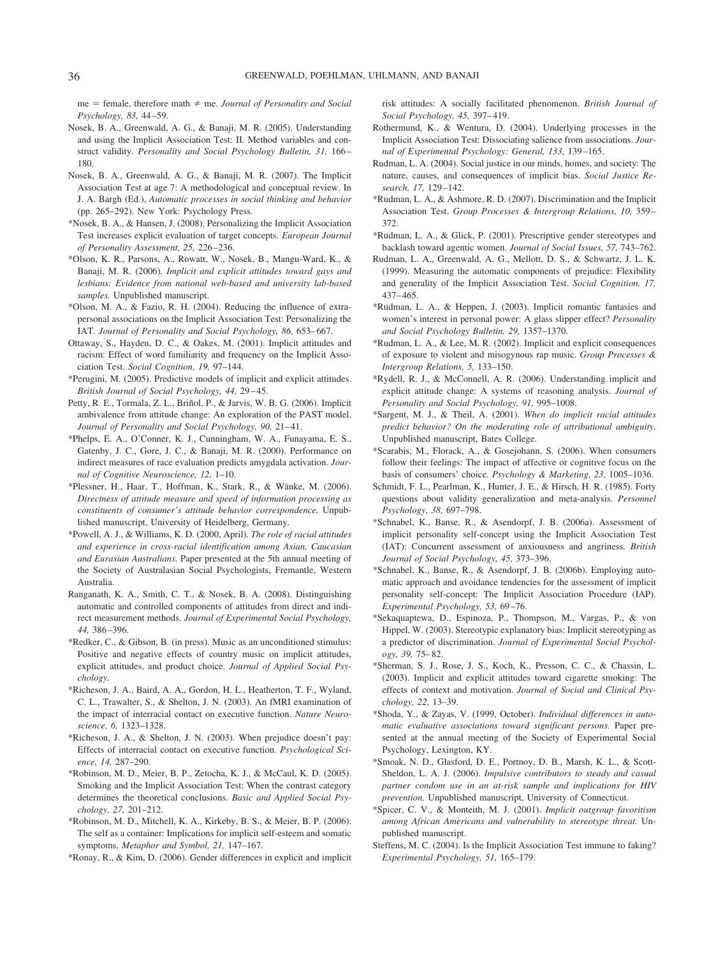$me = female$ , therefore math  $\neq$  me. *Journal of Personality and Social Psychology, 83,* 44 –59.

Nosek, B. A., Greenwald, A. G., & Banaji, M. R. (2005). Understanding and using the Implicit Association Test: II. Method variables and construct validity. *Personality and Social Psychology Bulletin, 31,* 166 – 180.

- Nosek, B. A., Greenwald, A. G., & Banaji, M. R. (2007). The Implicit Association Test at age 7: A methodological and conceptual review. In J. A. Bargh (Ed.), *Automatic processes in social thinking and behavior* (pp. 265–292). New York: Psychology Press.
- \*Nosek, B. A., & Hansen, J. (2008). Personalizing the Implicit Association Test increases explicit evaluation of target concepts. *European Journal of Personality Assessment, 25,* 226 –236.
- \*Olson, K. R., Parsons, A., Rowatt, W., Nosek, B., Mangu-Ward, K., & Banaji, M. R. (2006). *Implicit and explicit attitudes toward gays and lesbians: Evidence from national web-based and university lab-based samples.* Unpublished manuscript.
- \*Olson, M. A., & Fazio, R. H. (2004). Reducing the influence of extrapersonal associations on the Implicit Association Test: Personalizing the IAT. *Journal of Personality and Social Psychology, 86,* 653– 667.
- Ottaway, S., Hayden, D. C., & Oakes, M. (2001). Implicit attitudes and racism: Effect of word familiarity and frequency on the Implicit Association Test. *Social Cognition, 19,* 97–144.
- \*Perugini, M. (2005). Predictive models of implicit and explicit attitudes. *British Journal of Social Psychology, 44,* 29 – 45.
- Petty, R. E., Tormala, Z. L., Briñol, P., & Jarvis, W. B. G. (2006). Implicit ambivalence from attitude change: An exploration of the PAST model. Journal of Personality and Social Psychology, 90, 21-41.
- \*Phelps, E. A., O'Conner, K. J., Cunningham, W. A., Funayama, E. S., Gatenby, J. C., Gore, J. C., & Banaji, M. R. (2000). Performance on indirect measures of race evaluation predicts amygdala activation. *Journal of Cognitive Neuroscience, 12,* 1–10.
- \*Plessner, H., Haar, T., Hoffman, K., Stark, R., & Wänke, M. (2006). *Directness of attitude measure and speed of information processing as constituents of consumer's attitude behavior correspondence.* Unpublished manuscript, University of Heidelberg, Germany.
- \*Powell, A. J., & Williams, K. D. (2000, April). *The role of racial attitudes and experience in cross-racial identification among Asian, Caucasian and Eurasian Australians.* Paper presented at the 5th annual meeting of the Society of Australasian Social Psychologists, Fremantle, Western Australia.
- Ranganath, K. A., Smith, C. T., & Nosek, B. A. (2008). Distinguishing automatic and controlled components of attitudes from direct and indirect measurement methods. *Journal of Experimental Social Psychology, 44,* 386 –396.
- \*Redker, C., & Gibson, B. (in press). Music as an unconditioned stimulus: Positive and negative effects of country music on implicit attitudes, explicit attitudes, and product choice. *Journal of Applied Social Psychology.*
- \*Richeson, J. A., Baird, A. A., Gordon, H. L., Heatherton, T. F., Wyland, C. L., Trawalter, S., & Shelton, J. N. (2003). An fMRI examination of the impact of interracial contact on executive function. *Nature Neuroscience, 6,* 1323–1328.
- \*Richeson, J. A., & Shelton, J. N. (2003). When prejudice doesn't pay: Effects of interracial contact on executive function. *Psychological Science, 14,* 287–290.
- \*Robinson, M. D., Meier, B. P., Zetocha, K. J., & McCaul, K. D. (2005). Smoking and the Implicit Association Test: When the contrast category determines the theoretical conclusions. *Basic and Applied Social Psychology, 27,* 201–212.
- \*Robinson, M. D., Mitchell, K. A., Kirkeby, B. S., & Meier, B. P. (2006). The self as a container: Implications for implicit self-esteem and somatic symptoms. *Metaphor and Symbol, 21,* 147–167.

\*Ronay, R., & Kim, D. (2006). Gender differences in explicit and implicit

risk attitudes: A socially facilitated phenomenon. *British Journal of Social Psychology, 45,* 397– 419.

- Rothermund, K., & Wentura, D. (2004). Underlying processes in the Implicit Association Test: Dissociating salience from associations. *Journal of Experimental Psychology: General, 133,* 139 –165.
- Rudman, L. A. (2004). Social justice in our minds, homes, and society: The nature, causes, and consequences of implicit bias. *Social Justice Research, 17,* 129 –142.
- \*Rudman, L. A., & Ashmore, R. D. (2007). Discrimination and the Implicit Association Test. *Group Processes & Intergroup Relations, 10,* 359 – 372.
- \*Rudman, L. A., & Glick, P. (2001). Prescriptive gender stereotypes and backlash toward agentic women. *Journal of Social Issues, 57,* 743–762.
- Rudman, L. A., Greenwald, A. G., Mellott, D. S., & Schwartz, J. L. K. (1999). Measuring the automatic components of prejudice: Flexibility and generality of the Implicit Association Test. *Social Cognition, 17,* 437– 465.
- \*Rudman, L. A., & Heppen, J. (2003). Implicit romantic fantasies and women's interest in personal power: A glass slipper effect? *Personality and Social Psychology Bulletin, 29,* 1357–1370.
- \*Rudman, L. A., & Lee, M. R. (2002). Implicit and explicit consequences of exposure to violent and misogynous rap music. *Group Processes & Intergroup Relations, 5,* 133–150.
- \*Rydell, R. J., & McConnell, A. R. (2006). Understanding implicit and explicit attitude change: A systems of reasoning analysis. *Journal of Personality and Social Psychology, 91,* 995–1008.
- \*Sargent, M. J., & Theil, A. (2001). *When do implicit racial attitudes predict behavior? On the moderating role of attributional ambiguity.* Unpublished manuscript, Bates College.
- \*Scarabis, M., Florack, A., & Gosejohann, S. (2006). When consumers follow their feelings: The impact of affective or cognitive focus on the basis of consumers' choice. *Psychology & Marketing, 23,* 1005–1036.
- Schmidt, F. L., Pearlman, K., Hunter, J. E., & Hirsch, H. R. (1985). Forty questions about validity generalization and meta-analysis. *Personnel Psychology, 38,* 697–798.
- \*Schnabel, K., Banse, R., & Asendorpf, J. B. (2006a). Assessment of implicit personality self-concept using the Implicit Association Test (IAT): Concurrent assessment of anxiousness and angriness. *British Journal of Social Psychology, 45,* 373–396.
- \*Schnabel, K., Banse, R., & Asendorpf, J. B. (2006b). Employing automatic approach and avoidance tendencies for the assessment of implicit personality self-concept: The Implicit Association Procedure (IAP). *Experimental Psychology, 53,* 69 –76.
- \*Sekaquaptewa, D., Espinoza, P., Thompson, M., Vargas, P., & von Hippel, W. (2003). Stereotypic explanatory bias: Implicit stereotyping as a predictor of discrimination. *Journal of Experimental Social Psychology, 39,* 75– 82.
- \*Sherman, S. J., Rose, J. S., Koch, K., Presson, C. C., & Chassin, L. (2003). Implicit and explicit attitudes toward cigarette smoking: The effects of context and motivation. *Journal of Social and Clinical Psychology, 22,* 13–39.
- \*Shoda, Y., & Zayas, V. (1999, October). *Individual differences in automatic evaluative associations toward significant persons.* Paper presented at the annual meeting of the Society of Experimental Social Psychology, Lexington, KY.
- \*Smoak, N. D., Glasford, D. E., Portnoy, D. B., Marsh, K. L., & Scott-Sheldon, L. A. J. (2006). *Impulsive contributors to steady and casual partner condom use in an at-risk sample and implications for HIV prevention.* Unpublished manuscript, University of Connecticut.
- \*Spicer, C. V., & Monteith, M. J. (2001). *Implicit outgroup favoritism among African Americans and vulnerability to stereotype threat.* Unpublished manuscript.
- Steffens, M. C. (2004). Is the Implicit Association Test immune to faking? *Experimental Psychology, 51,* 165–179.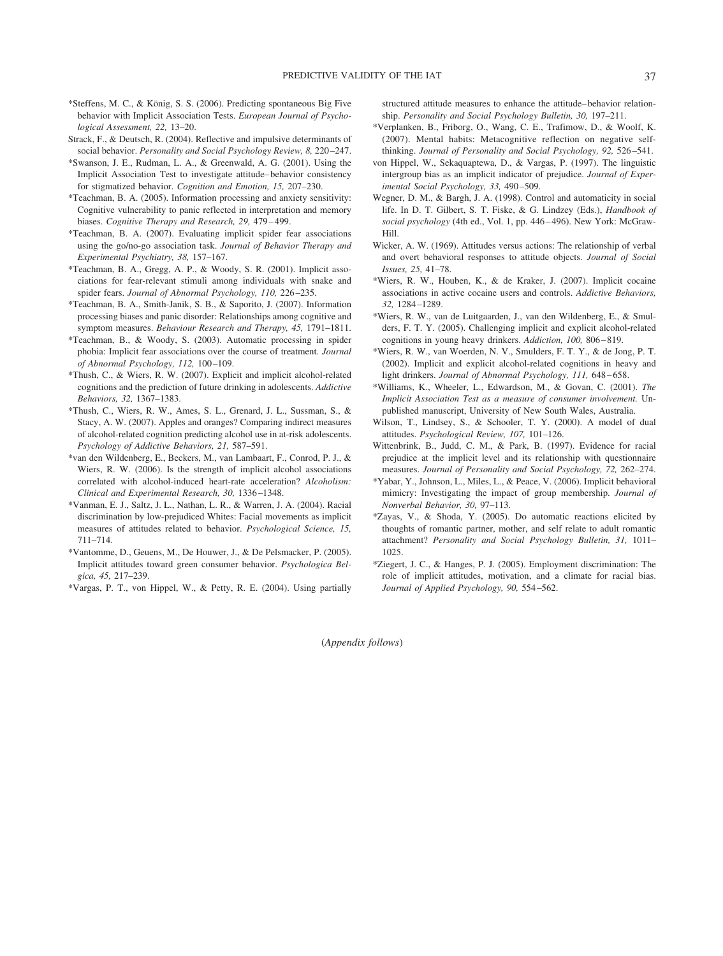- \*Steffens, M. C., & König, S. S. (2006). Predicting spontaneous Big Five behavior with Implicit Association Tests. *European Journal of Psychological Assessment, 22,* 13–20.
- Strack, F., & Deutsch, R. (2004). Reflective and impulsive determinants of social behavior. *Personality and Social Psychology Review, 8,* 220 –247.
- \*Swanson, J. E., Rudman, L. A., & Greenwald, A. G. (2001). Using the Implicit Association Test to investigate attitude– behavior consistency for stigmatized behavior. *Cognition and Emotion, 15,* 207–230.
- \*Teachman, B. A. (2005). Information processing and anxiety sensitivity: Cognitive vulnerability to panic reflected in interpretation and memory biases. *Cognitive Therapy and Research, 29,* 479 – 499.
- \*Teachman, B. A. (2007). Evaluating implicit spider fear associations using the go/no-go association task. *Journal of Behavior Therapy and Experimental Psychiatry, 38,* 157–167.
- \*Teachman, B. A., Gregg, A. P., & Woody, S. R. (2001). Implicit associations for fear-relevant stimuli among individuals with snake and spider fears. *Journal of Abnormal Psychology, 110,* 226 –235.
- \*Teachman, B. A., Smith-Janik, S. B., & Saporito, J. (2007). Information processing biases and panic disorder: Relationships among cognitive and symptom measures. *Behaviour Research and Therapy, 45,* 1791–1811.
- \*Teachman, B., & Woody, S. (2003). Automatic processing in spider phobia: Implicit fear associations over the course of treatment. *Journal of Abnormal Psychology, 112,* 100 –109.
- \*Thush, C., & Wiers, R. W. (2007). Explicit and implicit alcohol-related cognitions and the prediction of future drinking in adolescents. *Addictive Behaviors, 32,* 1367–1383.
- \*Thush, C., Wiers, R. W., Ames, S. L., Grenard, J. L., Sussman, S., & Stacy, A. W. (2007). Apples and oranges? Comparing indirect measures of alcohol-related cognition predicting alcohol use in at-risk adolescents. *Psychology of Addictive Behaviors, 21,* 587–591.
- \*van den Wildenberg, E., Beckers, M., van Lambaart, F., Conrod, P. J., & Wiers, R. W. (2006). Is the strength of implicit alcohol associations correlated with alcohol-induced heart-rate acceleration? *Alcoholism: Clinical and Experimental Research, 30,* 1336 –1348.
- \*Vanman, E. J., Saltz, J. L., Nathan, L. R., & Warren, J. A. (2004). Racial discrimination by low-prejudiced Whites: Facial movements as implicit measures of attitudes related to behavior. *Psychological Science, 15,* 711–714.
- \*Vantomme, D., Geuens, M., De Houwer, J., & De Pelsmacker, P. (2005). Implicit attitudes toward green consumer behavior. *Psychologica Belgica, 45,* 217–239.
- \*Vargas, P. T., von Hippel, W., & Petty, R. E. (2004). Using partially

structured attitude measures to enhance the attitude– behavior relationship. *Personality and Social Psychology Bulletin, 30,* 197–211.

- \*Verplanken, B., Friborg, O., Wang, C. E., Trafimow, D., & Woolf, K. (2007). Mental habits: Metacognitive reflection on negative selfthinking. *Journal of Personality and Social Psychology, 92,* 526 –541.
- von Hippel, W., Sekaquaptewa, D., & Vargas, P. (1997). The linguistic intergroup bias as an implicit indicator of prejudice. *Journal of Experimental Social Psychology, 33,* 490 –509.
- Wegner, D. M., & Bargh, J. A. (1998). Control and automaticity in social life. In D. T. Gilbert, S. T. Fiske, & G. Lindzey (Eds.), *Handbook of social psychology* (4th ed., Vol. 1, pp. 446 – 496). New York: McGraw-Hill.
- Wicker, A. W. (1969). Attitudes versus actions: The relationship of verbal and overt behavioral responses to attitude objects. *Journal of Social Issues, 25,* 41–78.
- \*Wiers, R. W., Houben, K., & de Kraker, J. (2007). Implicit cocaine associations in active cocaine users and controls. *Addictive Behaviors, 32,* 1284 –1289.
- \*Wiers, R. W., van de Luitgaarden, J., van den Wildenberg, E., & Smulders, F. T. Y. (2005). Challenging implicit and explicit alcohol-related cognitions in young heavy drinkers. *Addiction, 100,* 806 – 819.
- \*Wiers, R. W., van Woerden, N. V., Smulders, F. T. Y., & de Jong, P. T. (2002). Implicit and explicit alcohol-related cognitions in heavy and light drinkers. *Journal of Abnormal Psychology, 111*, 648-658.
- \*Williams, K., Wheeler, L., Edwardson, M., & Govan, C. (2001). *The Implicit Association Test as a measure of consumer involvement.* Unpublished manuscript, University of New South Wales, Australia.
- Wilson, T., Lindsey, S., & Schooler, T. Y. (2000). A model of dual attitudes. *Psychological Review, 107,* 101–126.
- Wittenbrink, B., Judd, C. M., & Park, B. (1997). Evidence for racial prejudice at the implicit level and its relationship with questionnaire measures. *Journal of Personality and Social Psychology, 72,* 262–274.
- \*Yabar, Y., Johnson, L., Miles, L., & Peace, V. (2006). Implicit behavioral mimicry: Investigating the impact of group membership. *Journal of Nonverbal Behavior, 30,* 97–113.
- \*Zayas, V., & Shoda, Y. (2005). Do automatic reactions elicited by thoughts of romantic partner, mother, and self relate to adult romantic attachment? *Personality and Social Psychology Bulletin, 31,* 1011– 1025.
- \*Ziegert, J. C., & Hanges, P. J. (2005). Employment discrimination: The role of implicit attitudes, motivation, and a climate for racial bias. *Journal of Applied Psychology, 90,* 554 –562.

(*Appendix follows*)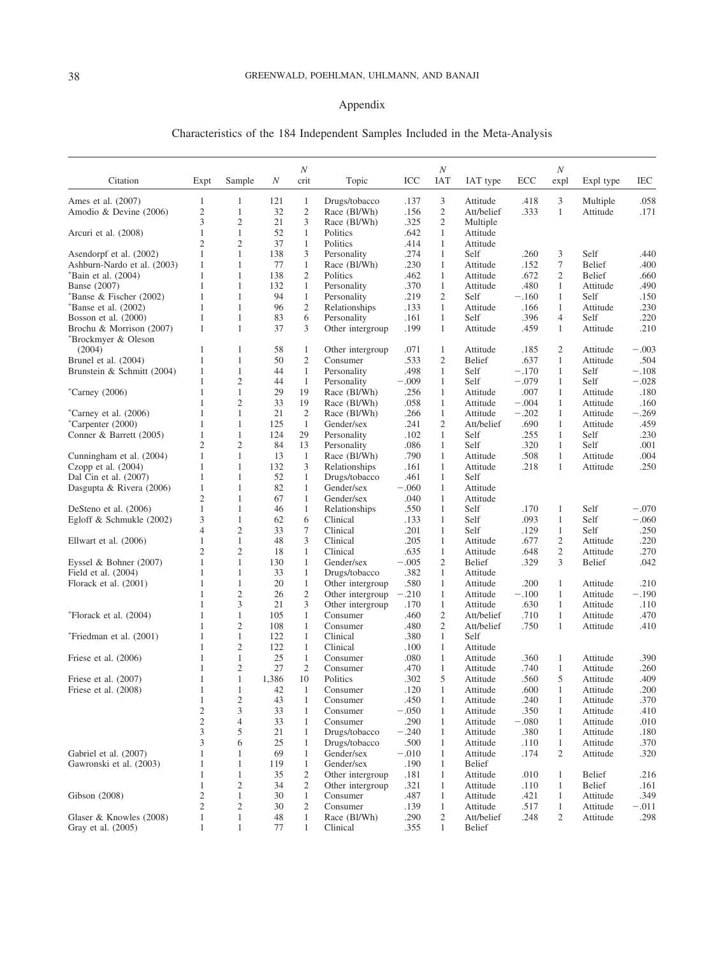## Appendix

## Characteristics of the 184 Independent Samples Included in the Meta-Analysis

| Citation                                        | Expt                         | Sample                         | N          | N<br>crit                    | Topic                | ICC          | N<br><b>IAT</b>   | IAT type             | ECC     | N<br>expl      | Expl type     | IEC     |
|-------------------------------------------------|------------------------------|--------------------------------|------------|------------------------------|----------------------|--------------|-------------------|----------------------|---------|----------------|---------------|---------|
| Ames et al. (2007)                              | 1                            | 1                              | 121        | $\mathbf{1}$                 | Drugs/tobacco        | .137         | 3                 | Attitude             | .418    | 3              | Multiple      | .058    |
| Amodio & Devine (2006)                          | $\overline{2}$               | $\mathbf{1}$                   | 32         | $\mathfrak{2}$               | Race (Bl/Wh)         | .156         | $\mathfrak{2}$    | Att/belief           | .333    | $\mathbf{1}$   | Attitude      | .171    |
|                                                 | 3                            | $\overline{c}$                 | 21         | 3                            | Race (Bl/Wh)         | .325         | $\mathfrak{2}$    | Multiple             |         |                |               |         |
| Arcuri et al. (2008)                            | 1                            | $\mathbf{1}$                   | 52         | $\mathbf{1}$                 | Politics             | .642         | $\mathbf{1}$      | Attitude             |         |                |               |         |
|                                                 | $\overline{2}$               | $\mathfrak{2}$                 | 37         | $\mathbf{1}$                 | Politics             | .414         | $\mathbf{1}$      | Attitude             |         |                |               |         |
| Asendorpf et al. (2002)                         | $\mathbf{1}$                 | $\mathbf{1}$                   | 138        | 3                            | Personality          | .274         | $\mathbf{1}$      | Self                 | .260    | 3              | Self          | .440    |
| Ashburn-Nardo et al. (2003)                     | $\mathbf{1}$                 | 1                              | 77         | $\mathbf{1}$                 | Race (Bl/Wh)         | .230         | $\mathbf{1}$      | Attitude             | .152    | 7              | <b>Belief</b> | .400    |
| *Bain et al. (2004)                             | $\mathbf{1}$                 | 1                              | 138        | $\overline{2}$               | Politics             | .462         | $\mathbf{1}$      | Attitude             | .672    | $\overline{2}$ | <b>Belief</b> | .660    |
| Banse (2007)                                    | $\mathbf{1}$                 | 1                              | 132        | $\mathbf{1}$                 | Personality          | .370         | $\mathbf{1}$      | Attitude             | .480    | 1              | Attitude      | .490    |
| *Banse & Fischer (2002)                         | $\mathbf{1}$                 | $\mathbf{1}$                   | 94         | $\mathbf{1}$                 | Personality          | .219         | $\overline{2}$    | Self                 | $-.160$ | 1              | Self          | .150    |
| $\mathrm{F}$ Banse et al. (2002)                | $\mathbf{1}$                 | 1                              | 96         | $\mathfrak{2}$               | Relationships        | .133         | $\mathbf{1}$      | Attitude             | .166    | 1              | Attitude      | .230    |
| Bosson et al. (2000)                            | $\mathbf{1}$                 | 1                              | 83         | 6                            | Personality          | .161         | $\mathbf{1}$      | Self                 | .396    | $\overline{4}$ | Self          | .220    |
| Brochu & Morrison (2007)<br>*Brockmyer & Oleson | $\mathbf{1}$                 | $\mathbf{1}$                   | 37         | 3                            | Other intergroup     | .199         | $\mathbf{1}$      | Attitude             | .459    | 1              | Attitude      | .210    |
| (2004)                                          | $\mathbf{1}$                 | 1                              | 58         | $\mathbf{1}$                 | Other intergroup     | .071         | $\mathbf{1}$      | Attitude             | .185    | 2              | Attitude      | $-.003$ |
| Brunel et al. (2004)                            | $\mathbf{1}$                 | $\mathbf{1}$                   | 50         | $\overline{2}$               | Consumer             | .533         | $\overline{2}$    | <b>Belief</b>        | .637    | $\mathbf{1}$   | Attitude      | .504    |
| Brunstein & Schmitt (2004)                      | $\mathbf{1}$                 | $\mathbf{1}$                   | 44         | $\mathbf{1}$                 | Personality          | .498         | 1                 | Self                 | $-.170$ | 1              | Self          | $-.108$ |
|                                                 | $\mathbf{1}$                 | $\overline{2}$                 | 44         | $\mathbf{1}$                 | Personality          | $-.009$      | $\mathbf{1}$      | Self                 | $-.079$ | 1              | Self          | $-.028$ |
| $^{\circ}$ Carney (2006)                        | $\mathbf{1}$                 | 1                              | 29         | 19                           | Race (Bl/Wh)         | .256         | $\mathbf{1}$      | Attitude             | .007    | 1              | Attitude      | .180    |
|                                                 | $\mathbf{1}$                 | $\overline{2}$                 | 33         | 19                           | Race (Bl/Wh)         | .058         | $\mathbf{1}$      | Attitude             | $-.004$ | 1              | Attitude      | .160    |
| $^{\ast}$ Carney et al. (2006)                  | $\mathbf{1}$                 | 1                              | 21         | $\mathfrak{2}$               | Race (Bl/Wh)         | .266         | 1                 | Attitude             | $-.202$ | 1              | Attitude      | $-.269$ |
| $^{\ast}$ Carpenter (2000)                      | $\mathbf{1}$                 | $\mathbf{1}$                   | 125        | $\mathbf{1}$                 | Gender/sex           | .241         | $\overline{2}$    | Att/belief           | .690    | 1              | Attitude      | .459    |
| Conner & Barrett (2005)                         | $\mathbf{1}$                 | $\mathbf{1}$                   | 124        | 29                           | Personality          | .102         | 1                 | Self                 | .255    | 1              | Self          | .230    |
|                                                 | $\overline{2}$               | $\overline{2}$                 | 84         | 13                           | Personality          | .086         | $\mathbf{1}$      | Self                 | .320    | $\mathbf{1}$   | Self          | .001    |
| Cunningham et al. (2004)                        | 1                            | 1                              | 13         | 1                            | Race (Bl/Wh)         | .790         | 1                 | Attitude             | .508    | $\mathbf{1}$   | Attitude      | .004    |
| Czopp et al. $(2004)$                           | $\mathbf{1}$                 | $\mathbf{1}$                   | 132        | 3                            | Relationships        | .161         | $\mathbf{1}$      | Attitude             | .218    | 1              | Attitude      | .250    |
| Dal Cin et al. (2007)                           | $\mathbf{1}$                 | 1                              | 52         | $\mathbf{1}$                 | Drugs/tobacco        | .461         | 1                 | Self                 |         |                |               |         |
| Dasgupta & Rivera (2006)                        | $\mathbf{1}$                 | 1                              | 82         | $\mathbf{1}$                 | Gender/sex           | $-.060$      | $\mathbf{1}$      | Attitude             |         |                |               |         |
|                                                 | $\mathfrak{2}$               | 1                              | 67         | $\mathbf{1}$                 | Gender/sex           | .040         | 1                 | Attitude             |         |                |               |         |
| DeSteno et al. (2006)                           | $\mathbf{1}$                 | 1                              | 46         | $\mathbf{1}$                 | Relationships        | .550         | 1                 | Self                 | .170    | 1              | Self          | $-.070$ |
| Egloff & Schmukle (2002)                        | 3                            | $\mathbf{1}$                   | 62         | 6                            | Clinical             | .133         | $\mathbf{1}$      | Self                 | .093    | 1              | Self          | $-.060$ |
|                                                 | 4                            | $\overline{2}$                 | 33         | $\tau$                       | Clinical             | .201         | $\mathbf{1}$      | Self                 | .129    | $\mathbf{1}$   | Self          | .250    |
| Ellwart et al. $(2006)$                         | $\mathbf{1}$                 | 1                              | 48         | 3                            | Clinical             | .205         | 1                 | Attitude             | .677    | $\overline{c}$ | Attitude      | .220    |
|                                                 | $\overline{2}$               | $\overline{2}$                 | 18         | $\mathbf{1}$                 | Clinical             | .635         | $\mathbf{1}$      | Attitude             | .648    | $\overline{c}$ | Attitude      | .270    |
| Eyssel & Bohner $(2007)$                        | $\mathbf{1}$                 | $\mathbf{1}$                   | 130        | $\mathbf{1}$                 | Gender/sex           | $-.005$      | $\mathfrak{2}$    | <b>Belief</b>        | .329    | 3              | <b>Belief</b> | .042    |
| Field et al. (2004)                             | $\mathbf{1}$                 | 1                              | 33         | $\mathbf{1}$                 | Drugs/tobacco        | .382         | $\mathbf{1}$      | Attitude             |         |                |               |         |
| Florack et al. (2001)                           | 1                            | $\mathbf{1}$                   | 20         | $\mathbf{1}$                 | Other intergroup     | .580         | $\mathbf{1}$      | Attitude             | .200    | 1              | Attitude      | .210    |
|                                                 | $\mathbf{1}$                 | $\overline{2}$                 | 26         | $\mathfrak{2}$               | Other intergroup     | $-.210$      | $\mathbf{1}$      | Attitude             | $-.100$ | 1              | Attitude      | $-.190$ |
|                                                 | $\mathbf{1}$                 | 3                              | 21         | 3                            | Other intergroup     | .170         | $\mathbf{1}$      | Attitude             | .630    | 1              | Attitude      | .110    |
| *Florack et al. (2004)                          | $\mathbf{1}$                 | $\mathbf{1}$                   | 105        | $\mathbf{1}$                 | Consumer             | .460         | $\mathfrak{2}$    | Att/belief           | .710    | 1              | Attitude      | .470    |
|                                                 | $\mathbf{1}$                 | $\mathfrak{2}$<br>$\mathbf{1}$ | 108<br>122 | $\mathbf{1}$<br>$\mathbf{1}$ | Consumer             | .480         | $\mathfrak{2}$    | Att/belief           | .750    | 1              | Attitude      | .410    |
| <sup>*</sup> Friedman et al. (2001)             | $\mathbf{1}$<br>$\mathbf{1}$ | $\mathfrak{2}$                 | 122        |                              | Clinical             | .380         | $\mathbf{1}$      | Self                 |         |                |               |         |
|                                                 | $\mathbf{1}$                 | $\mathbf{1}$                   | 25         | $\mathbf{1}$<br>$\mathbf{1}$ | Clinical<br>Consumer | .100<br>.080 | $\mathbf{1}$<br>1 | Attitude<br>Attitude | .360    | 1              | Attitude      | .390    |
| Friese et al. $(2006)$                          | 1                            | $\mathfrak{2}$                 | 27         | $\overline{2}$               | Consumer             | .470         | $\mathbf{1}$      | Attitude             | .740    | $\mathbf{1}$   | Attitude      | .260    |
| Friese et al. $(2007)$                          | $\mathbf{1}$                 | $\mathbf{1}$                   | 1,386      | 10                           | Politics             | .302         | 5                 | Attitude             | .560    | 5              | Attitude      | .409    |
| Friese et al. (2008)                            | 1                            | $\mathbf{1}$                   | 42         | $\mathbf{1}$                 | Consumer             | .120         | $\mathbf{1}$      | Attitude             | .600    | $\mathbf{1}$   | Attitude      | .200    |
|                                                 | $\mathbf{1}$                 | $\boldsymbol{2}$               | 43         | $\mathbf{1}$                 | Consumer             | .450         | $\mathbf{1}$      | Attitude             | .240    | $\mathbf{1}$   | Attitude      | .370    |
|                                                 | $\overline{c}$               | 3                              | 33         | $\mathbf{1}$                 | Consumer             | $-.050$      | $\mathbf{1}$      | Attitude             | .350    | $\mathbf{1}$   | Attitude      | .410    |
|                                                 | $\sqrt{2}$                   | $\overline{4}$                 | 33         | $\mathbf{1}$                 | Consumer             | .290         | $\mathbf{1}$      | Attitude             | $-.080$ | $\mathbf{1}$   | Attitude      | .010    |
|                                                 | 3                            | 5                              | 21         | $\mathbf{1}$                 | Drugs/tobacco        | $-.240$      | $\mathbf{1}$      | Attitude             | .380    | $\mathbf{1}$   | Attitude      | .180    |
|                                                 | 3                            | 6                              | 25         | $\mathbf{1}$                 | Drugs/tobacco        | .500         | $\mathbf{1}$      | Attitude             | .110    | $\mathbf{1}$   | Attitude      | .370    |
| Gabriel et al. (2007)                           | $\mathbf{1}$                 | 1                              | 69         | $\mathbf{1}$                 | Gender/sex           | $-.010$      | $\mathbf{1}$      | Attitude             | .174    | 2              | Attitude      | .320    |
| Gawronski et al. (2003)                         | $\mathbf{1}$                 | $\mathbf{1}$                   | 119        | $\mathbf{1}$                 | Gender/sex           | .190         | $\mathbf{1}$      | <b>Belief</b>        |         |                |               |         |
|                                                 | 1                            | 1                              | 35         | $\overline{c}$               | Other intergroup     | .181         | $\mathbf{1}$      | Attitude             | .010    | $\mathbf{1}$   | <b>Belief</b> | .216    |
|                                                 | $\mathbf{1}$                 | $\mathfrak{2}$                 | 34         | $\mathfrak{2}$               | Other intergroup     | .321         | $\mathbf{1}$      | Attitude             | .110    | $\mathbf{1}$   | <b>Belief</b> | .161    |
| Gibson (2008)                                   | $\overline{c}$               | 1                              | 30         | $\mathbf{1}$                 | Consumer             | .487         | $\mathbf{1}$      | Attitude             | .421    | $\mathbf{1}$   | Attitude      | .349    |
|                                                 | $\mathfrak{2}$               | $\mathfrak{2}$                 | 30         | $\mathfrak{2}$               | Consumer             | .139         | $\mathbf{1}$      | Attitude             | .517    | $\mathbf{1}$   | Attitude      | $-.011$ |
| Glaser & Knowles (2008)                         | $\mathbf{1}$                 | 1                              | 48         | $\mathbf{1}$                 | Race (Bl/Wh)         | .290         | $\overline{2}$    | Att/belief           | .248    | 2              | Attitude      | .298    |
| Gray et al. (2005)                              | $\mathbf{1}$                 | $\mathbf{1}$                   | 77         | $\mathbf{1}$                 | Clinical             | .355         | $\mathbf{1}$      | Belief               |         |                |               |         |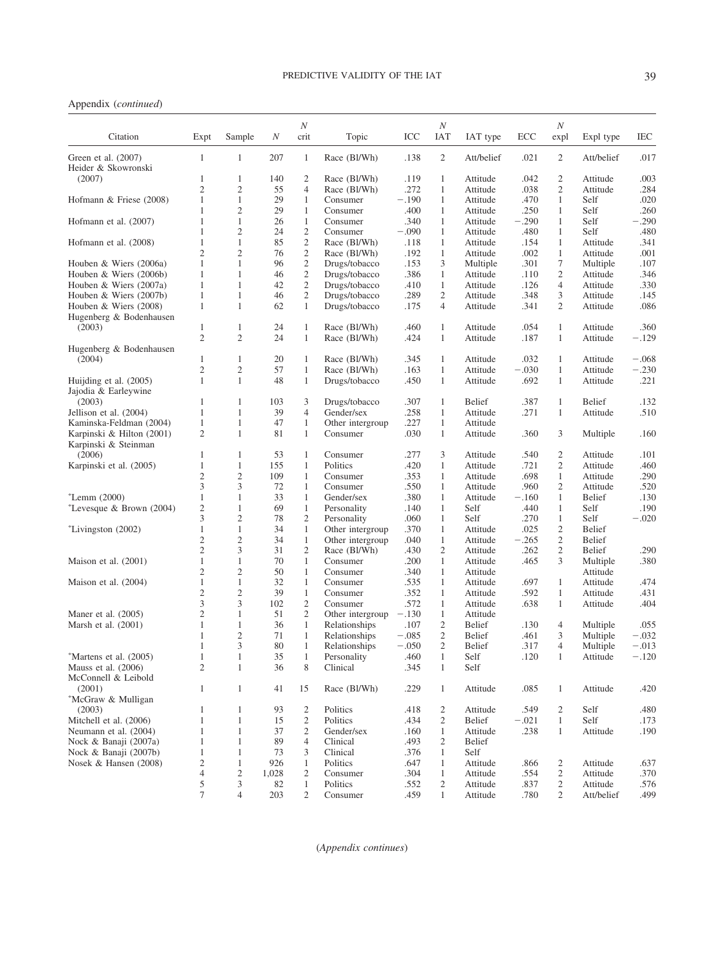## Appendix (*continued*)

| Citation                                   |                |                | N      | N<br>crit      | Topic            | ICC     | N<br><b>IAT</b> |               | ECC     | N              |               | IEC     |
|--------------------------------------------|----------------|----------------|--------|----------------|------------------|---------|-----------------|---------------|---------|----------------|---------------|---------|
|                                            | Expt           | Sample         |        |                |                  |         |                 | IAT type      |         | expl           | Expl type     |         |
| Green et al. (2007)<br>Heider & Skowronski | $\mathbf{1}$   | $\mathbf{1}$   | 207    | $\mathbf{1}$   | Race (Bl/Wh)     | .138    | $\overline{2}$  | Att/belief    | .021    | 2              | Att/belief    | .017    |
| (2007)                                     | $\mathbf{1}$   | 1              | 140    | $\mathfrak{2}$ | Race (Bl/Wh)     | .119    | 1               | Attitude      | .042    | $\mathfrak{2}$ | Attitude      | .003    |
|                                            | $\mathfrak{2}$ | $\overline{c}$ | 55     | $\overline{4}$ | Race (Bl/Wh)     | .272    | $\mathbf{1}$    | Attitude      | .038    | 2              | Attitude      | .284    |
| Hofmann & Friese (2008)                    | $\mathbf{1}$   | $\mathbf{1}$   | 29     | $\mathbf{1}$   | Consumer         | $-.190$ | $\mathbf{1}$    | Attitude      | .470    | $\mathbf{1}$   | Self          | .020    |
|                                            | 1              | $\overline{2}$ | 29     | $\mathbf{1}$   | Consumer         | .400    | $\mathbf{1}$    | Attitude      | .250    | $\mathbf{1}$   | Self          | .260    |
| Hofmann et al. (2007)                      | $\mathbf{1}$   | $\mathbf{1}$   | 26     | $\mathbf{1}$   | Consumer         | .340    | $\mathbf{1}$    | Attitude      | $-.290$ | $\mathbf{1}$   | Self          | $-.290$ |
|                                            | 1              | $\overline{2}$ | 24     | $\mathfrak{2}$ | Consumer         | $-.090$ | $\mathbf{1}$    | Attitude      | .480    | $\mathbf{1}$   | Self          | .480    |
| Hofmann et al. (2008)                      | $\mathbf{1}$   | $\mathbf{1}$   | 85     | $\mathfrak{2}$ | Race (Bl/Wh)     | .118    | $\mathbf{1}$    | Attitude      | .154    | $\mathbf{1}$   | Attitude      | .341    |
|                                            | $\mathfrak{2}$ | $\overline{2}$ | 76     | $\mathfrak{2}$ | Race (Bl/Wh)     | .192    | $\mathbf{1}$    | Attitude      | .002    | 1              | Attitude      | .001    |
| Houben $& Wiers (2006a)$                   | $\mathbf{1}$   | $\mathbf{1}$   | 96     | $\mathfrak{2}$ | Drugs/tobacco    | .153    | 3               | Multiple      | .301    | 7              | Multiple      | .107    |
| Houben & Wiers (2006b)                     | $\mathbf{1}$   | $\mathbf{1}$   | 46     | $\sqrt{2}$     | Drugs/tobacco    | .386    | $\mathbf{1}$    | Attitude      | .110    | $\mathfrak{2}$ | Attitude      | .346    |
| Houben & Wiers $(2007a)$                   | $\mathbf{1}$   | $\mathbf{1}$   | 42     | $\sqrt{2}$     | Drugs/tobacco    | .410    | $\mathbf{1}$    | Attitude      | .126    | $\overline{4}$ | Attitude      | .330    |
| Houben $& Wiers (2007b)$                   | $\mathbf{1}$   | $\mathbf{1}$   | 46     | $\mathfrak{2}$ | Drugs/tobacco    | .289    | $\mathfrak{2}$  | Attitude      | .348    | 3              | Attitude      | .145    |
| Houben & Wiers $(2008)$                    | $\mathbf{1}$   | $\mathbf{1}$   | 62     | 1              | Drugs/tobacco    | .175    | $\overline{4}$  | Attitude      | .341    | $\mathfrak{2}$ | Attitude      | .086    |
| Hugenberg & Bodenhausen                    |                |                |        |                |                  |         |                 |               |         |                |               |         |
| (2003)                                     | $\mathbf{1}$   | 1              | 24     | $\mathbf{1}$   | Race (Bl/Wh)     | .460    | $\mathbf{1}$    | Attitude      | .054    | $\mathbf{1}$   | Attitude      | .360    |
|                                            | $\overline{2}$ | $\overline{2}$ | 24     | $\mathbf{1}$   | Race (Bl/Wh)     | .424    | $\mathbf{1}$    | Attitude      | .187    | $\mathbf{1}$   | Attitude      | $-.129$ |
| Hugenberg & Bodenhausen                    |                |                |        |                |                  |         |                 |               |         |                |               |         |
| (2004)                                     | $\mathbf{1}$   | $\mathbf{1}$   | 20     | $\mathbf{1}$   | Race (Bl/Wh)     | .345    | $\mathbf{1}$    | Attitude      | .032    | $\mathbf{1}$   | Attitude      | $-.068$ |
|                                            | $\overline{2}$ | $\mathfrak{2}$ | 57     | $\mathbf{1}$   | Race (Bl/Wh)     | .163    | $\mathbf{1}$    | Attitude      | $-.030$ | $\mathbf{1}$   | Attitude      | $-.230$ |
| Huijding et al. (2005)                     | $\mathbf{1}$   | $\mathbf{1}$   | 48     | $\mathbf{1}$   | Drugs/tobacco    | .450    | $\mathbf{1}$    | Attitude      | .692    | $\mathbf{1}$   | Attitude      | .221    |
| Jajodia & Earleywine                       |                |                |        |                |                  |         |                 |               |         |                |               |         |
| (2003)                                     | $\mathbf{1}$   | 1              | 103    | 3              | Drugs/tobacco    | .307    | $\mathbf{1}$    | <b>Belief</b> | .387    | $\mathbf{1}$   | <b>Belief</b> | .132    |
| Jellison et al. (2004)                     | $\mathbf{1}$   | $\mathbf{1}$   | 39     | $\overline{4}$ | Gender/sex       | .258    | $\mathbf{1}$    | Attitude      | .271    | $\mathbf{1}$   | Attitude      | .510    |
| Kaminska-Feldman (2004)                    | $\mathbf{1}$   | $\mathbf{1}$   | 47     | $\mathbf{1}$   | Other intergroup | .227    | $\mathbf{1}$    | Attitude      |         |                |               |         |
| Karpinski & Hilton (2001)                  | $\overline{2}$ | $\mathbf{1}$   | 81     | $\mathbf{1}$   | Consumer         | .030    | 1               | Attitude      | .360    | 3              | Multiple      | .160    |
| Karpinski & Steinman                       |                |                |        |                |                  |         |                 |               |         |                |               |         |
| (2006)                                     | $\mathbf{1}$   | 1              | 53     | $\mathbf{1}$   | Consumer         | .277    | 3               | Attitude      | .540    | 2              | Attitude      | .101    |
| Karpinski et al. (2005)                    | $\mathbf{1}$   | $\mathbf{1}$   | 155    | $\mathbf{1}$   | Politics         | .420    | 1               | Attitude      | .721    | $\mathfrak{2}$ | Attitude      | .460    |
|                                            | $\mathfrak{2}$ | $\overline{2}$ | 109    | $\mathbf{1}$   | Consumer         | .353    | $\mathbf{1}$    | Attitude      | .698    | $\mathbf{1}$   | Attitude      | .290    |
|                                            | 3              | 3              | 72     | $\mathbf{1}$   | Consumer         | .550    | $\mathbf{1}$    | Attitude      | .960    | $\mathfrak{2}$ | Attitude      | .520    |
| "Lemma (2000)                              | $\mathbf{1}$   | $\mathbf{1}$   | 33     | $\mathbf{1}$   | Gender/sex       | .380    | $\mathbf{1}$    | Attitude      | $-.160$ | $\mathbf{1}$   | <b>Belief</b> | .130    |
| *Levesque & Brown (2004)                   | $\mathfrak{2}$ | $\mathbf{1}$   | 69     | $\mathbf{1}$   | Personality      | .140    | $\mathbf{1}$    | Self          | .440    | 1              | Self          | .190    |
|                                            | 3              | $\overline{2}$ | 78     | $\mathfrak{2}$ | Personality      | .060    | $\mathbf{1}$    | Self          | .270    | $\mathbf{1}$   | Self          | $-.020$ |
| "Livingston (2002)                         | $\mathbf{1}$   | $\mathbf{1}$   | 34     | $\mathbf{1}$   | Other intergroup | .370    | $\mathbf{1}$    | Attitude      | .025    | $\mathfrak{2}$ | <b>Belief</b> |         |
|                                            | $\overline{2}$ | $\overline{2}$ | 34     | $\mathbf{1}$   | Other intergroup | .040    | $\mathbf{1}$    | Attitude      | $-.265$ | $\mathfrak{2}$ | <b>Belief</b> |         |
|                                            | $\mathfrak{2}$ | 3              | 31     | $\mathfrak{2}$ | Race (Bl/Wh)     | .430    | $\mathfrak{2}$  | Attitude      | .262    | $\mathfrak{2}$ | <b>Belief</b> | .290    |
| Maison et al. (2001)                       | $\mathbf{1}$   | $\mathbf{1}$   | 70     | $\mathbf{1}$   | Consumer         | .200    | $\mathbf{1}$    | Attitude      | .465    | 3              | Multiple      | .380    |
|                                            | $\mathfrak{2}$ | $\overline{c}$ | 50     | $\mathbf{1}$   | Consumer         | .340    | $\mathbf{1}$    | Attitude      |         |                | Attitude      |         |
| Maison et al. (2004)                       | $\mathbf{1}$   | $\mathbf{1}$   | 32     | $\mathbf{1}$   | Consumer         | .535    | $\mathbf{1}$    | Attitude      | .697    | $\mathbf{1}$   | Attitude      | .474    |
|                                            | $\mathfrak{2}$ | $\mathfrak{2}$ | 39     | $\mathbf{1}$   | Consumer         | .352    | $\mathbf{1}$    | Attitude      | .592    | $\mathbf{1}$   | Attitude      | .431    |
|                                            | 3              | 3              | 102    | $\mathfrak{2}$ | Consumer         | .572    | $\mathbf{1}$    | Attitude      | .638    | $\mathbf{1}$   | Attitude      | .404    |
| Maner et al. $(2005)$                      | $\mathfrak{2}$ | 1              | 51     | $\mathfrak{2}$ | Other intergroup | $-.130$ | $\mathbf{1}$    | Attitude      |         |                |               |         |
| Marsh et al. $(2001)$                      | 1              | $\mathbf{1}$   | 36     | $\mathbf{1}$   | Relationships    | .107    | $\mathfrak{2}$  | <b>Belief</b> | .130    | $\overline{4}$ | Multiple      | .055    |
|                                            | $\mathbf{1}$   | $\overline{2}$ | 71     | $\mathbf{1}$   | Relationships    | $-.085$ | $\mathfrak{2}$  | <b>Belief</b> | .461    | 3              | Multiple      | $-.032$ |
|                                            | $\mathbf{1}$   | 3              | $80\,$ | $\mathbf{1}$   | Relationships    | $-.050$ | $\overline{c}$  | Belief        | .317    | $\overline{4}$ | Multiple      | $-.013$ |
| $*$ Martens et al. $(2005)$                | $\mathbf{1}$   | 1              | 35     | $\mathbf{1}$   | Personality      | .460    | $\mathbf{1}$    | Self          | .120    | $\mathbf{1}$   | Attitude      | $-.120$ |
| Mauss et al. (2006)                        | $\mathbf{2}$   | $\mathbf{1}$   | 36     | 8              | Clinical         | .345    | $\mathbf{1}$    | Self          |         |                |               |         |
| McConnell & Leibold                        |                |                |        |                |                  |         |                 |               |         |                |               |         |
| (2001)                                     | $\mathbf{1}$   | $\mathbf{1}$   | 41     | 15             | Race (Bl/Wh)     | .229    | 1               | Attitude      | .085    | $\mathbf{1}$   | Attitude      | .420    |
| *McGraw & Mulligan                         |                |                |        |                |                  |         |                 |               |         |                |               |         |
| (2003)                                     | 1              | 1              | 93     | $\mathfrak{2}$ | Politics         | .418    |                 | Attitude      | .549    | 2              | Self          | .480    |
|                                            |                |                |        |                |                  |         | $\overline{c}$  |               |         |                |               |         |
| Mitchell et al. (2006)                     | 1              | 1              | 15     | $\overline{c}$ | Politics         | .434    | $\overline{c}$  | <b>Belief</b> | $-.021$ | $\mathbf{1}$   | Self          | .173    |
| Neumann et al. (2004)                      | $\mathbf{1}$   | $\mathbf{1}$   | 37     | $\mathfrak{2}$ | Gender/sex       | .160    | $\mathbf{1}$    | Attitude      | .238    | $\mathbf{1}$   | Attitude      | .190    |
| Nock & Banaji (2007a)                      | 1              | 1              | 89     | $\overline{4}$ | Clinical         | .493    | 2               | <b>Belief</b> |         |                |               |         |
| Nock & Banaji (2007b)                      | $\mathbf{1}$   | $\mathbf{1}$   | 73     | 3              | Clinical         | .376    | $\mathbf{1}$    | Self          |         |                |               |         |
| Nosek & Hansen (2008)                      | $\overline{c}$ | 1              | 926    | $\mathbf{1}$   | Politics         | .647    | 1               | Attitude      | .866    | $\overline{c}$ | Attitude      | .637    |
|                                            | $\overline{4}$ | $\mathfrak{2}$ | 1,028  | $\mathfrak{2}$ | Consumer         | .304    | $\mathbf{1}$    | Attitude      | .554    | $\overline{c}$ | Attitude      | .370    |
|                                            | 5              | 3              | 82     | $\mathbf{1}$   | Politics         | .552    | 2               | Attitude      | .837    | $\overline{2}$ | Attitude      | .576    |
|                                            | $\tau$         | $\overline{4}$ | 203    | $\mathfrak{2}$ | Consumer         | .459    | $\mathbf{1}$    | Attitude      | .780    | 2              | Att/belief    | .499    |

(*Appendix continues*)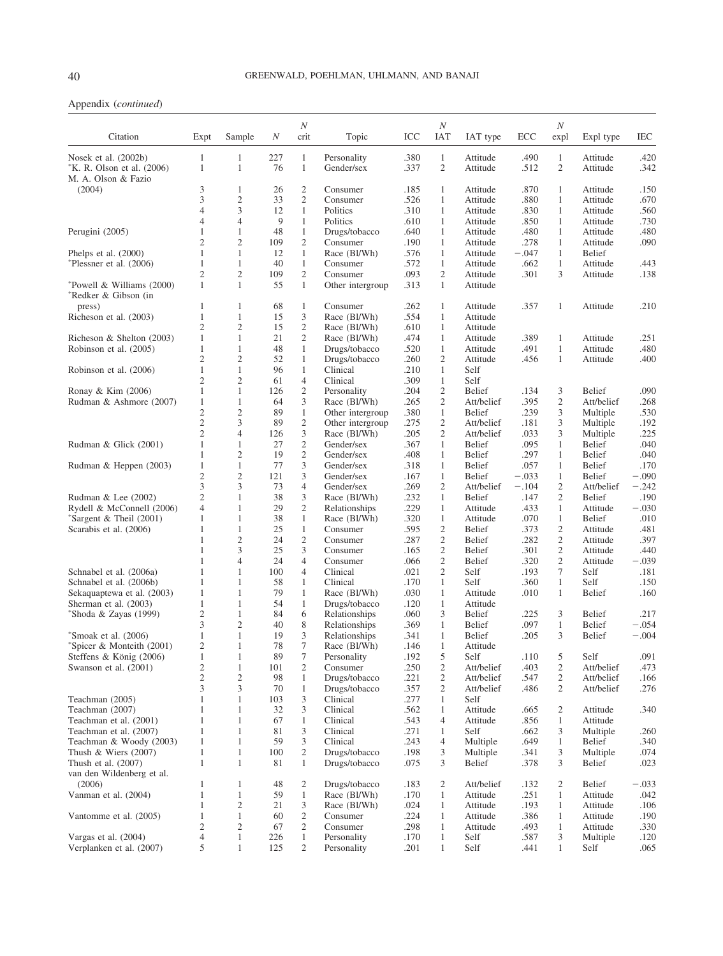## Appendix (*continued*)

| Citation                                                      | Expt                           | Sample                         | N         | N<br>crit                      | Topic                        | ICC          | N<br><b>IAT</b>                | IAT type             | ECC     | N<br>expl      | Expl type     | IEC     |
|---------------------------------------------------------------|--------------------------------|--------------------------------|-----------|--------------------------------|------------------------------|--------------|--------------------------------|----------------------|---------|----------------|---------------|---------|
| Nosek et al. (2002b)                                          | 1                              | 1                              | 227       | 1                              | Personality                  | .380         | 1                              | Attitude             | .490    | $\mathbf{1}$   | Attitude      | .420    |
| <sup>*</sup> K. R. Olson et al. (2006)<br>M. A. Olson & Fazio | 1                              | 1                              | 76        | $\mathbf{1}$                   | Gender/sex                   | .337         | $\mathfrak{2}$                 | Attitude             | .512    | $\mathfrak{2}$ | Attitude      | .342    |
| (2004)                                                        | 3                              | 1                              | 26        | $\mathfrak{2}$                 | Consumer                     | .185         | 1                              | Attitude             | .870    | $\mathbf{1}$   | Attitude      | .150    |
|                                                               | 3                              | $\mathfrak{2}$                 | 33        | $\mathfrak{2}$                 | Consumer                     | .526         | $\mathbf{1}$                   | Attitude             | .880    | $\mathbf{1}$   | Attitude      | .670    |
|                                                               | $\overline{4}$                 | 3                              | 12        | 1                              | Politics                     | .310         | $\mathbf{1}$                   | Attitude             | .830    | $\mathbf{1}$   | Attitude      | .560    |
|                                                               | $\overline{4}$                 | 4                              | 9         | $\mathbf{1}$                   | Politics                     | .610         | $\mathbf{1}$                   | Attitude             | .850    | $\mathbf{1}$   | Attitude      | .730    |
| Perugini (2005)                                               | 1                              | 1                              | 48        | $\mathbf{1}$                   | Drugs/tobacco                | .640         | $\mathbf{1}$                   | Attitude             | .480    | $\mathbf{1}$   | Attitude      | .480    |
|                                                               | $\overline{2}$                 | $\overline{2}$                 | 109       | $\overline{c}$                 | Consumer                     | .190         | $\mathbf{1}$                   | Attitude             | .278    | $\mathbf{1}$   | Attitude      | .090    |
| Phelps et al. $(2000)$                                        | $\mathbf{1}$                   | 1                              | 12        | 1                              | Race (Bl/Wh)                 | .576         | $\mathbf{1}$                   | Attitude             | $-.047$ | 1              | <b>Belief</b> |         |
| <i>Plessner et al.</i> (2006) <sup>*</sup>                    | $\mathbf{1}$                   | $\mathbf{1}$                   | 40        | $\mathbf{1}$                   | Consumer                     | .572         | $\mathbf{1}$                   | Attitude             | .662    | $\mathbf{1}$   | Attitude      | .443    |
| *Powell & Williams (2000)                                     | $\mathfrak{2}$<br>$\mathbf{1}$ | $\overline{2}$<br>$\mathbf{1}$ | 109<br>55 | $\mathfrak{2}$<br>$\mathbf{1}$ | Consumer<br>Other intergroup | .093<br>.313 | $\mathfrak{2}$<br>$\mathbf{1}$ | Attitude<br>Attitude | .301    | 3              | Attitude      | .138    |
| *Redker & Gibson (in                                          |                                |                                |           |                                |                              |              |                                |                      |         |                |               |         |
| press)<br>Richeson et al. (2003)                              | 1<br>1                         | $\mathbf{1}$<br>$\mathbf{1}$   | 68<br>15  | 1<br>3                         | Consumer<br>Race (Bl/Wh)     | .262<br>.554 | 1<br>$\mathbf{1}$              | Attitude<br>Attitude | .357    | $\mathbf{1}$   | Attitude      | .210    |
|                                                               | $\overline{2}$                 | $\mathfrak{2}$                 | 15        | $\overline{c}$                 |                              | .610         | $\mathbf{1}$                   | Attitude             |         |                |               |         |
|                                                               | $\mathbf{1}$                   | $\mathbf{1}$                   | 21        | $\overline{2}$                 | Race (Bl/Wh)<br>Race (Bl/Wh) | .474         | $\mathbf{1}$                   | Attitude             | .389    | $\mathbf{1}$   | Attitude      | .251    |
| Richeson & Shelton $(2003)$<br>Robinson et al. (2005)         | $\mathbf{1}$                   | $\mathbf{1}$                   | 48        | $\mathbf{1}$                   | Drugs/tobacco                | .520         | $\mathbf{1}$                   | Attitude             | .491    | $\mathbf{1}$   | Attitude      | .480    |
|                                                               | $\mathfrak{2}$                 | $\overline{2}$                 | 52        | $\mathbf{1}$                   | Drugs/tobacco                | .260         | $\mathfrak{2}$                 | Attitude             | .456    | $\mathbf{1}$   | Attitude      | .400    |
| Robinson et al. (2006)                                        | $\mathbf{1}$                   | $\mathbf{1}$                   | 96        | $\mathbf{1}$                   | Clinical                     | .210         | $\mathbf{1}$                   | Self                 |         |                |               |         |
|                                                               | $\mathfrak{2}$                 | $\overline{2}$                 | 61        | $\overline{4}$                 | Clinical                     | .309         | $\mathbf{1}$                   | Self                 |         |                |               |         |
| Ronay & Kim (2006)                                            | $\mathbf{1}$                   | $\mathbf{1}$                   | 126       | $\overline{c}$                 | Personality                  | .204         | $\mathfrak{2}$                 | <b>Belief</b>        | .134    | 3              | <b>Belief</b> | .090    |
| Rudman & Ashmore (2007)                                       | 1                              | $\mathbf{1}$                   | 64        | 3                              | Race (Bl/Wh)                 | .265         | $\mathfrak{2}$                 | Att/belief           | .395    | $\mathfrak{2}$ | Att/belief    | .268    |
|                                                               | $\overline{2}$                 | $\mathfrak{2}$                 | 89        | $\mathbf{1}$                   | Other intergroup             | .380         | $\mathbf{1}$                   | <b>Belief</b>        | .239    | 3              | Multiple      | .530    |
|                                                               | $\overline{2}$                 | 3                              | 89        | $\mathfrak{2}$                 | Other intergroup             | .275         | $\mathfrak{2}$                 | Att/belief           | .181    | 3              | Multiple      | .192    |
|                                                               | $\overline{2}$                 | $\overline{4}$                 | 126       | 3                              | Race (Bl/Wh)                 | .205         | $\mathfrak{2}$                 | Att/belief           | .033    | 3              | Multiple      | .225    |
| Rudman & Glick (2001)                                         | $\mathbf{1}$                   | 1                              | 27        | $\overline{c}$                 | Gender/sex                   | .367         | $\mathbf{1}$                   | <b>Belief</b>        | .095    | $\mathbf{1}$   | <b>Belief</b> | .040    |
|                                                               | 1                              | $\mathfrak{2}$                 | 19        | $\overline{c}$                 | Gender/sex                   | .408         | $\mathbf{1}$                   | <b>Belief</b>        | .297    | $\mathbf{1}$   | <b>Belief</b> | .040    |
| Rudman & Heppen (2003)                                        | $\mathbf{1}$                   | $\mathbf{1}$                   | 77        | 3                              | Gender/sex                   | .318         | $\mathbf{1}$                   | <b>Belief</b>        | .057    | $\mathbf{1}$   | <b>Belief</b> | .170    |
|                                                               | $\overline{2}$                 | $\mathfrak{2}$                 | 121       | 3                              | Gender/sex                   | .167         | $\mathbf{1}$                   | <b>Belief</b>        | $-.033$ | $\mathbf{1}$   | <b>Belief</b> | $-.090$ |
|                                                               | 3                              | 3                              | 73        | $\overline{4}$                 | Gender/sex                   | .269         | $\mathfrak{2}$                 | Att/belief           | $-.104$ | $\mathfrak{2}$ | Att/belief    | $-.242$ |
| Rudman & Lee $(2002)$                                         | $\overline{2}$                 | $\mathbf{1}$                   | 38        | 3                              | Race (Bl/Wh)                 | .232         | $\mathbf{1}$                   | <b>Belief</b>        | .147    | $\mathfrak{2}$ | <b>Belief</b> | .190    |
| Rydell & McConnell (2006)                                     | $\overline{4}$                 | $\mathbf{1}$                   | 29        | $\overline{c}$                 | Relationships                | .229         | $\mathbf{1}$                   | Attitude             | .433    | $\mathbf{1}$   | Attitude      | $-.030$ |
| $\sqrt[8]{\text{Sargent}} \& \text{Theil} (2001)$             | 1                              | $\mathbf{1}$                   | 38        | $\mathbf{1}$                   | Race (Bl/Wh)                 | .320         | $\mathbf{1}$                   | Attitude             | .070    | $\mathbf{1}$   | <b>Belief</b> | .010    |
| Scarabis et al. (2006)                                        | 1                              | $\mathbf{1}$                   | 25        | $\mathbf{1}$                   | Consumer                     | .595         | $\mathfrak{2}$                 | <b>Belief</b>        | .373    | $\mathfrak{2}$ | Attitude      | .481    |
|                                                               | 1                              | $\mathfrak{2}$                 | 24        | $\overline{c}$                 | Consumer                     | .287         | $\mathfrak{2}$                 | <b>Belief</b>        | .282    | $\mathfrak{2}$ | Attitude      | .397    |
|                                                               | 1                              | 3                              | 25        | 3                              | Consumer                     | .165         | $\mathfrak{2}$                 | <b>Belief</b>        | .301    | $\mathfrak{2}$ | Attitude      | .440    |
|                                                               | 1                              | 4                              | 24        | $\overline{4}$                 | Consumer                     | .066         | $\mathfrak{2}$                 | <b>Belief</b>        | .320    | $\overline{2}$ | Attitude      | $-.039$ |
| Schnabel et al. (2006a)                                       | 1                              | 1                              | 100       | $\overline{4}$                 | Clinical                     | .021         | $\mathfrak{2}$                 | Self                 | .193    | 7              | Self          | .181    |
| Schnabel et al. (2006b)                                       | 1                              | $\mathbf{1}$                   | 58        | 1                              | Clinical                     | .170         | $\mathbf{1}$                   | Self                 | .360    | $\mathbf{1}$   | Self          | .150    |
| Sekaquaptewa et al. (2003)                                    | $\mathbf{1}$                   | $\mathbf{1}$                   | 79        | 1                              | Race (Bl/Wh)                 | .030         | $\mathbf{1}$                   | Attitude             | .010    | $\mathbf{1}$   | <b>Belief</b> | .160    |
| Sherman et al. (2003)                                         | $\mathbf{1}$                   | $\mathbf{1}$                   | 54        | $\mathbf{1}$                   | Drugs/tobacco                | .120         | $\mathbf{1}$                   | Attitude             |         |                |               |         |
| "Shoda & Zayas (1999)                                         | $\overline{2}$                 | $\mathbf{1}$                   | 84        | 6                              | Relationships                | .060         | 3                              | <b>Belief</b>        | .225    | 3              | <b>Belief</b> | .217    |
|                                                               | 3                              | $\mathfrak{2}$                 | 40        | 8                              | Relationships                | .369         | 1                              | <b>Belief</b>        | .097    | $\mathbf{1}$   | <b>Belief</b> | $-.054$ |
| "Smoak et al. (2006)                                          | 1                              | 1                              | 19        | 3                              | Relationships                | .341         | $\mathbf{1}$                   | <b>Belief</b>        | .205    | 3              | <b>Belief</b> | $-.004$ |
| *Spicer & Monteith (2001)                                     | $\mathfrak{2}$                 | $\mathbf{1}$                   | $78\,$    | 7                              | Race (Bl/Wh)                 | .146         | $\mathbf{1}$                   | Attitude             |         |                |               |         |
| Steffens & König (2006)                                       | $\mathbf{1}$                   | $\mathbf{1}$                   | 89        | 7                              | Personality                  | .192         | 5                              | Self                 | .110    | 5              | Self          | .091    |
| Swanson et al. (2001)                                         | $\mathfrak{2}$                 | $\mathbf{1}$                   | 101       | $\overline{c}$                 | Consumer                     | .250         | $\mathfrak{2}$                 | Att/belief           | .403    | $\mathfrak{2}$ | Att/belief    | .473    |
|                                                               | $\overline{2}$                 | $\mathfrak{2}$                 | 98        | 1                              | Drugs/tobacco                | .221         | $\mathfrak{2}$                 | Att/belief           | .547    | $\mathfrak{2}$ | Att/belief    | .166    |
|                                                               | 3                              | 3                              | 70        | $\mathbf{1}$                   | Drugs/tobacco                | .357         | $\mathfrak{2}$                 | Att/belief           | .486    | $\overline{c}$ | Att/belief    | .276    |
| Teachman (2005)                                               | 1                              | 1                              | 103       | 3                              | Clinical                     | .277         | 1                              | Self                 |         |                |               |         |
| Teachman (2007)                                               | 1                              | $\mathbf{1}$                   | 32        | 3                              | Clinical                     | .562         | $\mathbf{1}$                   | Attitude             | .665    | 2              | Attitude      | .340    |
| Teachman et al. (2001)                                        | 1                              | 1                              | 67        | 1                              | Clinical                     | .543         | 4                              | Attitude             | .856    | $\mathbf{1}$   | Attitude      |         |
| Teachman et al. (2007)                                        | $\mathbf{1}$                   | 1                              | 81        | 3                              | Clinical                     | .271         | $\mathbf{1}$                   | Self                 | .662    | 3              | Multiple      | .260    |
| Teachman & Woody (2003)                                       | $\mathbf{1}$                   | 1                              | 59        | 3                              | Clinical                     | .243         | 4                              | Multiple             | .649    | $\mathbf{1}$   | <b>Belief</b> | .340    |
| Thush & Wiers $(2007)$                                        | $\mathbf{1}$                   | $\mathbf{1}$                   | 100       | $\mathbf{2}$                   | Drugs/tobacco                | .198         | 3                              | Multiple             | .341    | 3              | Multiple      | .074    |
| Thush et al. $(2007)$                                         | $\mathbf{1}$                   | $\mathbf{1}$                   | 81        | 1                              | Drugs/tobacco                | .075         | 3                              | <b>Belief</b>        | .378    | 3              | <b>Belief</b> | .023    |
| van den Wildenberg et al.                                     |                                |                                |           |                                |                              |              |                                |                      |         |                |               |         |
| (2006)                                                        | 1                              | 1                              | 48        | 2                              | Drugs/tobacco                | .183         | 2                              | Att/belief           | .132    | 2              | <b>Belief</b> | $-.033$ |
| Vanman et al. (2004)                                          | $\mathbf{1}$                   | 1                              | 59        | $\mathbf{1}$                   | Race (Bl/Wh)                 | .170         | $\mathbf{1}$                   | Attitude             | .251    | $\mathbf{1}$   | Attitude      | .042    |
|                                                               | $\mathbf{1}$                   | $\mathfrak{2}$                 | 21        | 3                              | Race (Bl/Wh)                 | .024         | 1                              | Attitude             | .193    | 1              | Attitude      | .106    |
| Vantomme et al. (2005)                                        | $\mathbf{1}$                   | $\mathbf{1}$                   | 60        | $\mathbf{2}$                   | Consumer                     | .224         | $\mathbf{1}$                   | Attitude             | .386    | $\mathbf{1}$   | Attitude      | .190    |
|                                                               | $\mathfrak{2}$                 | $\mathfrak{2}$                 | 67        | $\overline{c}$                 | Consumer                     | .298         | 1                              | Attitude             | .493    | $\mathbf{1}$   | Attitude      | .330    |
| Vargas et al. $(2004)$                                        | $\overline{4}$                 | $\mathbf{1}$                   | 226       | $\mathbf{1}$                   | Personality                  | .170         | $\mathbf{1}$                   | Self                 | .587    | 3              | Multiple      | .120    |
| Verplanken et al. (2007)                                      | 5                              | $\mathbf{1}$                   | 125       | 2                              | Personality                  | .201         | 1                              | Self                 | .441    | 1              | Self          | .065    |